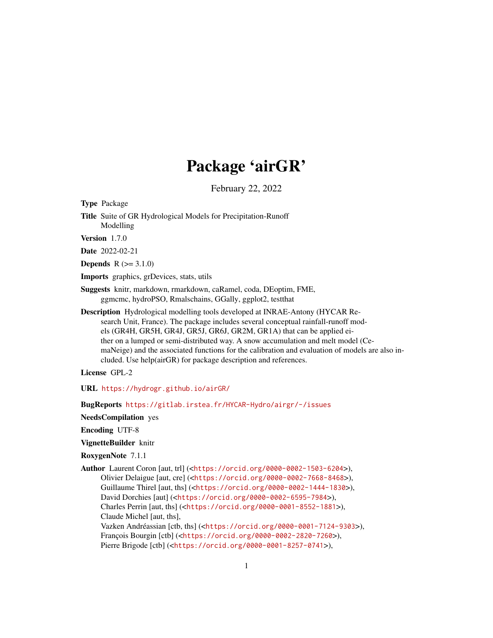# Package 'airGR'

February 22, 2022

Type Package

Title Suite of GR Hydrological Models for Precipitation-Runoff Modelling

Version 1.7.0

Date 2022-02-21

**Depends**  $R (= 3.1.0)$ 

Imports graphics, grDevices, stats, utils

Suggests knitr, markdown, rmarkdown, caRamel, coda, DEoptim, FME, ggmcmc, hydroPSO, Rmalschains, GGally, ggplot2, testthat

Description Hydrological modelling tools developed at INRAE-Antony (HYCAR Research Unit, France). The package includes several conceptual rainfall-runoff models (GR4H, GR5H, GR4J, GR5J, GR6J, GR2M, GR1A) that can be applied either on a lumped or semi-distributed way. A snow accumulation and melt model (CemaNeige) and the associated functions for the calibration and evaluation of models are also included. Use help(airGR) for package description and references.

License GPL-2

URL <https://hydrogr.github.io/airGR/>

BugReports <https://gitlab.irstea.fr/HYCAR-Hydro/airgr/-/issues>

NeedsCompilation yes

Encoding UTF-8

VignetteBuilder knitr

RoxygenNote 7.1.1

Author Laurent Coron [aut, trl] (<<https://orcid.org/0000-0002-1503-6204>>), Olivier Delaigue [aut, cre] (<<https://orcid.org/0000-0002-7668-8468>>), Guillaume Thirel [aut, ths] (<<https://orcid.org/0000-0002-1444-1830>>), David Dorchies [aut] (<<https://orcid.org/0000-0002-6595-7984>>), Charles Perrin [aut, ths] (<<https://orcid.org/0000-0001-8552-1881>>), Claude Michel [aut, ths], Vazken Andréassian [ctb, ths] (<<https://orcid.org/0000-0001-7124-9303>>), François Bourgin [ctb] (<<https://orcid.org/0000-0002-2820-7260>>), Pierre Brigode [ctb] (<<https://orcid.org/0000-0001-8257-0741>>),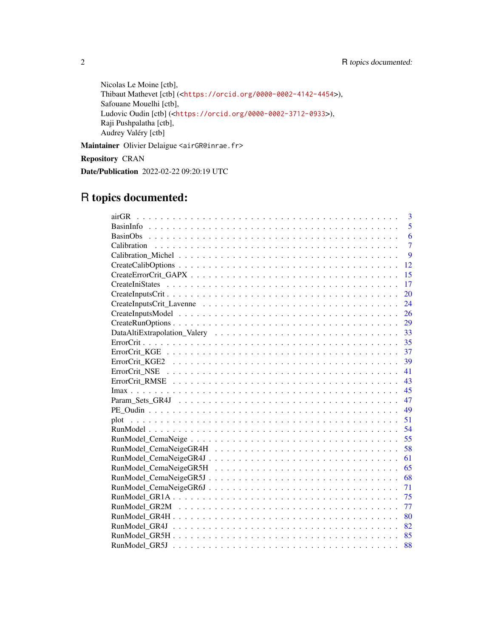Nicolas Le Moine [ctb], Thibaut Mathevet [ctb] (<<https://orcid.org/0000-0002-4142-4454>>), Safouane Mouelhi [ctb], Ludovic Oudin [ctb] (<<https://orcid.org/0000-0002-3712-0933>>), Raji Pushpalatha [ctb], Audrey Valéry [ctb]

Maintainer Olivier Delaigue <airGR@inrae.fr>

Repository CRAN

Date/Publication 2022-02-22 09:20:19 UTC

# R topics documented:

| 3<br>airGR     |
|----------------|
| 5              |
| 6              |
| $\overline{7}$ |
| 9              |
| 12             |
| 15             |
| 17             |
| 20             |
| 24             |
| 26             |
| 29             |
| 33             |
| 35             |
| 37             |
| 39             |
| 41             |
| 43             |
| 45             |
| 47             |
| 49             |
| 51             |
| 54             |
| 55             |
| 58             |
| 61             |
| 65             |
| 68             |
| 71             |
| 75             |
| 77             |
| 80             |
| 82             |
| 85             |
| 88             |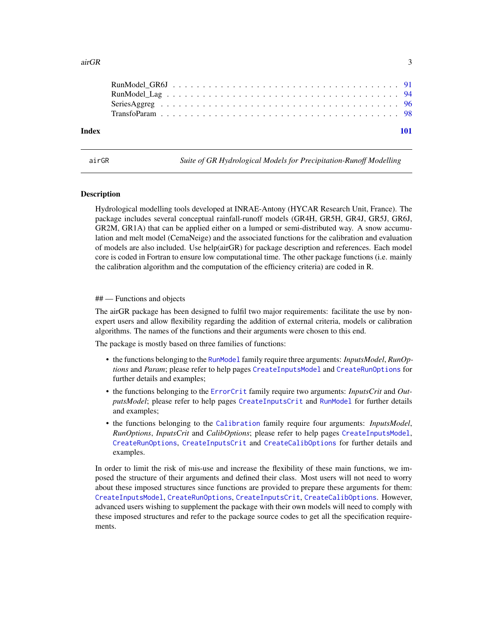<span id="page-2-0"></span>

| Index |  |  |  |  |  |  |  |  |  |  |  |  |  |  |  |  |  |  |
|-------|--|--|--|--|--|--|--|--|--|--|--|--|--|--|--|--|--|--|
|       |  |  |  |  |  |  |  |  |  |  |  |  |  |  |  |  |  |  |
|       |  |  |  |  |  |  |  |  |  |  |  |  |  |  |  |  |  |  |
|       |  |  |  |  |  |  |  |  |  |  |  |  |  |  |  |  |  |  |
|       |  |  |  |  |  |  |  |  |  |  |  |  |  |  |  |  |  |  |

airGR *Suite of GR Hydrological Models for Precipitation-Runoff Modelling*

#### **Description**

Hydrological modelling tools developed at INRAE-Antony (HYCAR Research Unit, France). The package includes several conceptual rainfall-runoff models (GR4H, GR5H, GR4J, GR5J, GR6J, GR2M, GR1A) that can be applied either on a lumped or semi-distributed way. A snow accumulation and melt model (CemaNeige) and the associated functions for the calibration and evaluation of models are also included. Use help(airGR) for package description and references. Each model core is coded in Fortran to ensure low computational time. The other package functions (i.e. mainly the calibration algorithm and the computation of the efficiency criteria) are coded in R.

#### ## — Functions and objects

The airGR package has been designed to fulfil two major requirements: facilitate the use by nonexpert users and allow flexibility regarding the addition of external criteria, models or calibration algorithms. The names of the functions and their arguments were chosen to this end.

The package is mostly based on three families of functions:

- the functions belonging to the [RunModel](#page-53-1) family require three arguments: *InputsModel*, *RunOptions* and *Param*; please refer to help pages [CreateInputsModel](#page-25-1) and [CreateRunOptions](#page-28-1) for further details and examples;
- the functions belonging to the [ErrorCrit](#page-34-1) family require two arguments: *InputsCrit* and *OutputsModel*; please refer to help pages [CreateInputsCrit](#page-19-1) and [RunModel](#page-53-1) for further details and examples;
- the functions belonging to the [Calibration](#page-6-1) family require four arguments: *InputsModel*, *RunOptions*, *InputsCrit* and *CalibOptions*; please refer to help pages [CreateInputsModel](#page-25-1), [CreateRunOptions](#page-28-1), [CreateInputsCrit](#page-19-1) and [CreateCalibOptions](#page-11-1) for further details and examples.

In order to limit the risk of mis-use and increase the flexibility of these main functions, we imposed the structure of their arguments and defined their class. Most users will not need to worry about these imposed structures since functions are provided to prepare these arguments for them: [CreateInputsModel](#page-25-1), [CreateRunOptions](#page-28-1), [CreateInputsCrit](#page-19-1), [CreateCalibOptions](#page-11-1). However, advanced users wishing to supplement the package with their own models will need to comply with these imposed structures and refer to the package source codes to get all the specification requirements.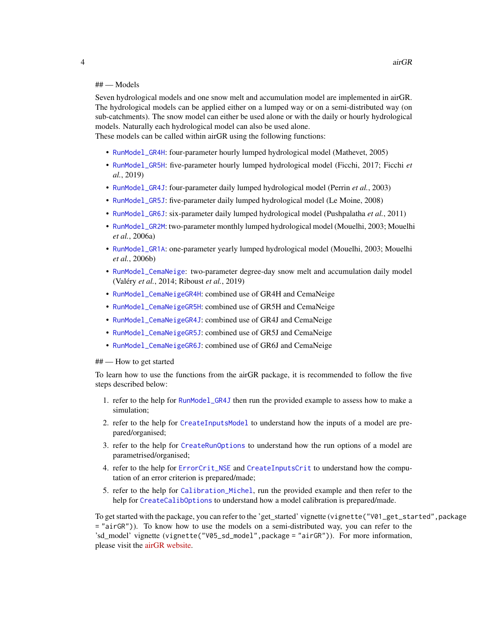# ## — Models

Seven hydrological models and one snow melt and accumulation model are implemented in airGR. The hydrological models can be applied either on a lumped way or on a semi-distributed way (on sub-catchments). The snow model can either be used alone or with the daily or hourly hydrological models. Naturally each hydrological model can also be used alone.

These models can be called within airGR using the following functions:

- [RunModel\\_GR4H](#page-79-1): four-parameter hourly lumped hydrological model (Mathevet, 2005)
- [RunModel\\_GR5H](#page-84-1): five-parameter hourly lumped hydrological model (Ficchi, 2017; Ficchi *et al.*, 2019)
- [RunModel\\_GR4J](#page-81-1): four-parameter daily lumped hydrological model (Perrin *et al.*, 2003)
- [RunModel\\_GR5J](#page-87-1): five-parameter daily lumped hydrological model (Le Moine, 2008)
- [RunModel\\_GR6J](#page-90-1): six-parameter daily lumped hydrological model (Pushpalatha *et al.*, 2011)
- [RunModel\\_GR2M](#page-76-1): two-parameter monthly lumped hydrological model (Mouelhi, 2003; Mouelhi *et al.*, 2006a)
- [RunModel\\_GR1A](#page-74-1): one-parameter yearly lumped hydrological model (Mouelhi, 2003; Mouelhi *et al.*, 2006b)
- [RunModel\\_CemaNeige](#page-54-1): two-parameter degree-day snow melt and accumulation daily model (Valéry *et al.*, 2014; Riboust *et al.*, 2019)
- [RunModel\\_CemaNeigeGR4H](#page-57-1): combined use of GR4H and CemaNeige
- [RunModel\\_CemaNeigeGR5H](#page-64-1): combined use of GR5H and CemaNeige
- [RunModel\\_CemaNeigeGR4J](#page-60-1): combined use of GR4J and CemaNeige
- [RunModel\\_CemaNeigeGR5J](#page-67-1): combined use of GR5J and CemaNeige
- [RunModel\\_CemaNeigeGR6J](#page-70-1): combined use of GR6J and CemaNeige

## — How to get started

To learn how to use the functions from the airGR package, it is recommended to follow the five steps described below:

- 1. refer to the help for [RunModel\\_GR4J](#page-81-1) then run the provided example to assess how to make a simulation;
- 2. refer to the help for [CreateInputsModel](#page-25-1) to understand how the inputs of a model are prepared/organised;
- 3. refer to the help for [CreateRunOptions](#page-28-1) to understand how the run options of a model are parametrised/organised;
- 4. refer to the help for [ErrorCrit\\_NSE](#page-40-1) and [CreateInputsCrit](#page-19-1) to understand how the computation of an error criterion is prepared/made;
- 5. refer to the help for [Calibration\\_Michel](#page-8-1), run the provided example and then refer to the help for [CreateCalibOptions](#page-11-1) to understand how a model calibration is prepared/made.

To get started with the package, you can refer to the 'get\_started' vignette (vignette("V01\_get\_started",package = "airGR")). To know how to use the models on a semi-distributed way, you can refer to the 'sd\_model' vignette (vignette("V05\_sd\_model",package = "airGR")). For more information, please visit the [airGR website.](https://hydrogr.github.io/airGR/)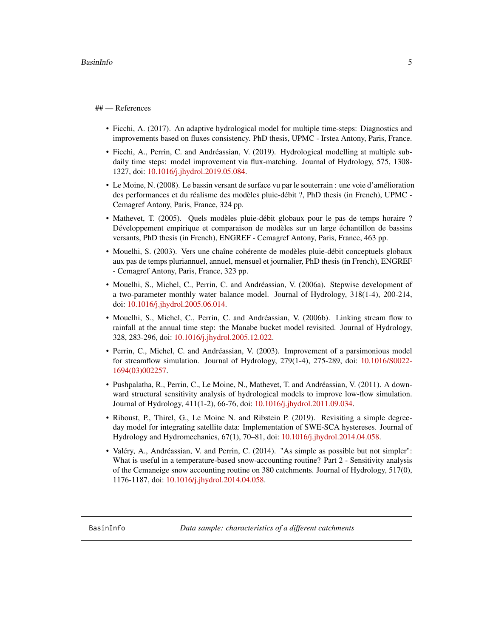#### <span id="page-4-0"></span>## — References

- Ficchi, A. (2017). An adaptive hydrological model for multiple time-steps: Diagnostics and improvements based on fluxes consistency. PhD thesis, UPMC - Irstea Antony, Paris, France.
- Ficchi, A., Perrin, C. and Andréassian, V. (2019). Hydrological modelling at multiple subdaily time steps: model improvement via flux-matching. Journal of Hydrology, 575, 1308- 1327, doi: [10.1016/j.jhydrol.2019.05.084.](https://doi.org/10.1016/j.jhydrol.2019.05.084)
- Le Moine, N. (2008). Le bassin versant de surface vu par le souterrain : une voie d'amélioration des performances et du réalisme des modèles pluie-débit ?, PhD thesis (in French), UPMC - Cemagref Antony, Paris, France, 324 pp.
- Mathevet, T. (2005). Quels modèles pluie-débit globaux pour le pas de temps horaire ? Développement empirique et comparaison de modèles sur un large échantillon de bassins versants, PhD thesis (in French), ENGREF - Cemagref Antony, Paris, France, 463 pp.
- Mouelhi, S. (2003). Vers une chaîne cohérente de modèles pluie-débit conceptuels globaux aux pas de temps pluriannuel, annuel, mensuel et journalier, PhD thesis (in French), ENGREF - Cemagref Antony, Paris, France, 323 pp.
- Mouelhi, S., Michel, C., Perrin, C. and Andréassian, V. (2006a). Stepwise development of a two-parameter monthly water balance model. Journal of Hydrology, 318(1-4), 200-214, doi: [10.1016/j.jhydrol.2005.06.014.](https://doi.org/10.1016/j.jhydrol.2005.06.014)
- Mouelhi, S., Michel, C., Perrin, C. and Andréassian, V. (2006b). Linking stream flow to rainfall at the annual time step: the Manabe bucket model revisited. Journal of Hydrology, 328, 283-296, doi: [10.1016/j.jhydrol.2005.12.022.](https://doi.org/10.1016/j.jhydrol.2005.12.022)
- Perrin, C., Michel, C. and Andréassian, V. (2003). Improvement of a parsimonious model for streamflow simulation. Journal of Hydrology, 279(1-4), 275-289, doi: [10.1016/S0022-](https://doi.org/10.1016/S0022-1694(03)00225-7) [1694\(03\)002257.](https://doi.org/10.1016/S0022-1694(03)00225-7)
- Pushpalatha, R., Perrin, C., Le Moine, N., Mathevet, T. and Andréassian, V. (2011). A downward structural sensitivity analysis of hydrological models to improve low-flow simulation. Journal of Hydrology, 411(1-2), 66-76, doi: [10.1016/j.jhydrol.2011.09.034.](https://doi.org/10.1016/j.jhydrol.2011.09.034)
- Riboust, P., Thirel, G., Le Moine N. and Ribstein P. (2019). Revisiting a simple degreeday model for integrating satellite data: Implementation of SWE-SCA hystereses. Journal of Hydrology and Hydromechanics, 67(1), 70–81, doi: [10.1016/j.jhydrol.2014.04.058.](https://doi.org/10.1016/j.jhydrol.2014.04.058)
- Valéry, A., Andréassian, V. and Perrin, C. (2014). "As simple as possible but not simpler": What is useful in a temperature-based snow-accounting routine? Part 2 - Sensitivity analysis of the Cemaneige snow accounting routine on 380 catchments. Journal of Hydrology, 517(0), 1176-1187, doi: [10.1016/j.jhydrol.2014.04.058.](https://doi.org/10.1016/j.jhydrol.2014.04.058)

<span id="page-4-1"></span>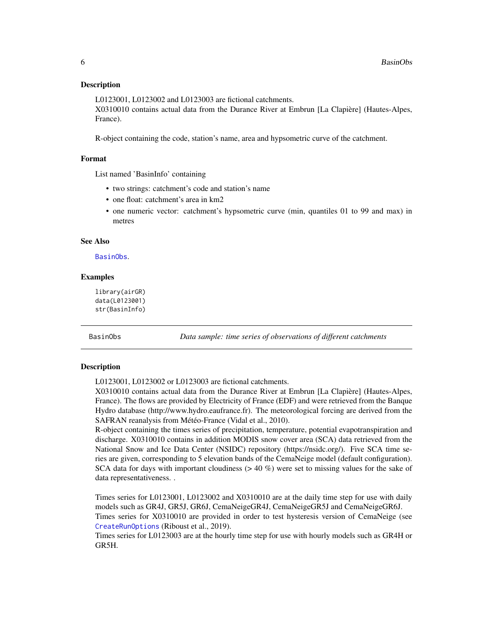#### <span id="page-5-0"></span>Description

L0123001, L0123002 and L0123003 are fictional catchments. X0310010 contains actual data from the Durance River at Embrun [La Clapière] (Hautes-Alpes, France).

R-object containing the code, station's name, area and hypsometric curve of the catchment.

# Format

List named 'BasinInfo' containing

- two strings: catchment's code and station's name
- one float: catchment's area in km2
- one numeric vector: catchment's hypsometric curve (min, quantiles 01 to 99 and max) in metres

#### See Also

[BasinObs](#page-5-1).

#### Examples

```
library(airGR)
data(L0123001)
str(BasinInfo)
```
<span id="page-5-1"></span>BasinObs *Data sample: time series of observations of different catchments*

#### Description

L0123001, L0123002 or L0123003 are fictional catchments.

X0310010 contains actual data from the Durance River at Embrun [La Clapière] (Hautes-Alpes, France). The flows are provided by Electricity of France (EDF) and were retrieved from the Banque Hydro database (http://www.hydro.eaufrance.fr). The meteorological forcing are derived from the SAFRAN reanalysis from Météo-France (Vidal et al., 2010).

R-object containing the times series of precipitation, temperature, potential evapotranspiration and discharge. X0310010 contains in addition MODIS snow cover area (SCA) data retrieved from the National Snow and Ice Data Center (NSIDC) repository (https://nsidc.org/). Five SCA time series are given, corresponding to 5 elevation bands of the CemaNeige model (default configuration). SCA data for days with important cloudiness  $(> 40 \%)$  were set to missing values for the sake of data representativeness. .

Times series for L0123001, L0123002 and X0310010 are at the daily time step for use with daily models such as GR4J, GR5J, GR6J, CemaNeigeGR4J, CemaNeigeGR5J and CemaNeigeGR6J. Times series for X0310010 are provided in order to test hysteresis version of CemaNeige (see [CreateRunOptions](#page-28-1) (Riboust et al., 2019).

Times series for L0123003 are at the hourly time step for use with hourly models such as GR4H or GR5H.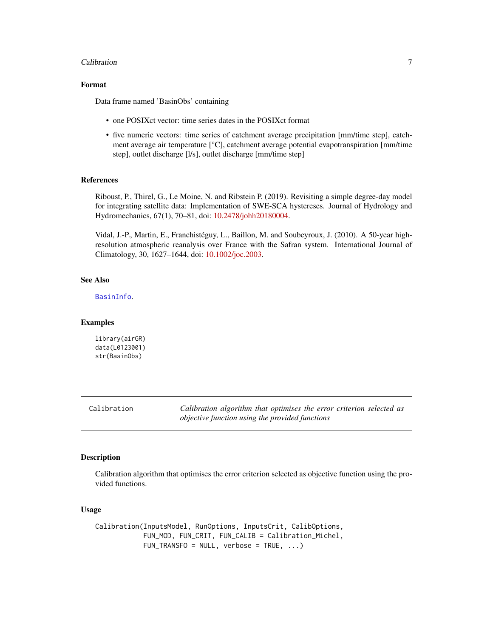#### <span id="page-6-0"></span>**Calibration** 7

# Format

Data frame named 'BasinObs' containing

- one POSIXct vector: time series dates in the POSIXct format
- five numeric vectors: time series of catchment average precipitation [mm/time step], catchment average air temperature [°C], catchment average potential evapotranspiration [mm/time step], outlet discharge [l/s], outlet discharge [mm/time step]

#### References

Riboust, P., Thirel, G., Le Moine, N. and Ribstein P. (2019). Revisiting a simple degree-day model for integrating satellite data: Implementation of SWE-SCA hystereses. Journal of Hydrology and Hydromechanics, 67(1), 70–81, doi: [10.2478/johh20180004.](https://doi.org/10.2478/johh-2018-0004)

Vidal, J.-P., Martin, E., Franchistéguy, L., Baillon, M. and Soubeyroux, J. (2010). A 50-year highresolution atmospheric reanalysis over France with the Safran system. International Journal of Climatology, 30, 1627–1644, doi: [10.1002/joc.2003.](https://doi.org/10.1002/joc.2003)

# See Also

[BasinInfo](#page-4-1).

#### Examples

library(airGR) data(L0123001) str(BasinObs)

<span id="page-6-1"></span>Calibration *Calibration algorithm that optimises the error criterion selected as objective function using the provided functions*

#### Description

Calibration algorithm that optimises the error criterion selected as objective function using the provided functions.

#### Usage

Calibration(InputsModel, RunOptions, InputsCrit, CalibOptions, FUN\_MOD, FUN\_CRIT, FUN\_CALIB = Calibration\_Michel, FUN\_TRANSFO = NULL, verbose = TRUE, ...)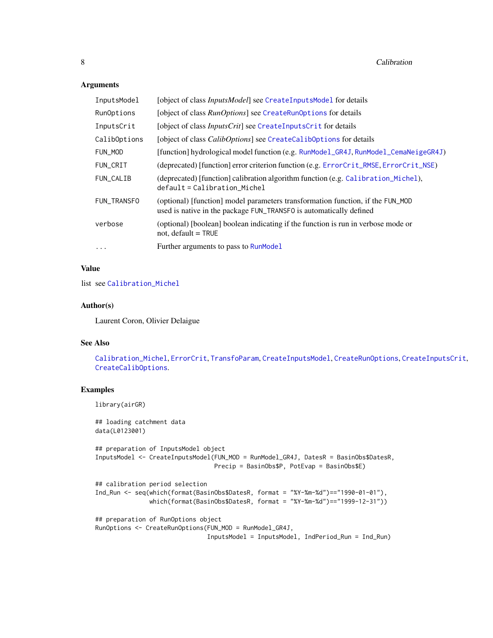### Arguments

| InputsModel  | [object of class <i>InputsModel</i> ] see CreateInputsModel for details                                                                              |
|--------------|------------------------------------------------------------------------------------------------------------------------------------------------------|
| RunOptions   | [object of class <i>RunOptions</i> ] see CreateRunOptions for details                                                                                |
| InputsCrit   | [object of class <i>InputsCrit</i> ] see CreateInputsCrit for details                                                                                |
| CalibOptions | [object of class <i>CalibOptions</i> ] see CreateCalibOptions for details                                                                            |
| FUN_MOD      | [function] hydrological model function (e.g. RunModel_GR4J, RunModel_CemaNeigeGR4J)                                                                  |
| FUN_CRIT     | (deprecated) [function] error criterion function (e.g. ErrorCrit_RMSE, ErrorCrit_NSE)                                                                |
| FUN_CALIB    | (deprecated) [function] calibration algorithm function (e.g. Calibration_Michel),<br>$default = California_$                                         |
| FUN_TRANSFO  | (optional) [function] model parameters transformation function, if the FUN_MOD<br>used is native in the package FUN_TRANSFO is automatically defined |
| verbose      | (optional) [boolean] boolean indicating if the function is run in verbose mode or<br>not, default $=$ TRUE                                           |
| $\cdots$     | Further arguments to pass to RunModel                                                                                                                |

# Value

list see [Calibration\\_Michel](#page-8-1)

#### Author(s)

Laurent Coron, Olivier Delaigue

# See Also

[Calibration\\_Michel](#page-8-1), [ErrorCrit](#page-34-1), [TransfoParam](#page-97-1), [CreateInputsModel](#page-25-1), [CreateRunOptions](#page-28-1), [CreateInputsCrit](#page-19-1), [CreateCalibOptions](#page-11-1).

# Examples

library(airGR)

```
## loading catchment data
data(L0123001)
## preparation of InputsModel object
InputsModel <- CreateInputsModel(FUN_MOD = RunModel_GR4J, DatesR = BasinObs$DatesR,
                                Precip = BasinObs$P, PotEvap = BasinObs$E)
## calibration period selection
Ind_Run <- seq(which(format(BasinObs$DatesR, format = "%Y-%m-%d")=="1990-01-01"),
              which(format(BasinObs$DatesR, format = "%Y-%m-%d")=="1999-12-31"))
## preparation of RunOptions object
RunOptions <- CreateRunOptions(FUN_MOD = RunModel_GR4J,
                               InputsModel = InputsModel, IndPeriod_Run = Ind_Run)
```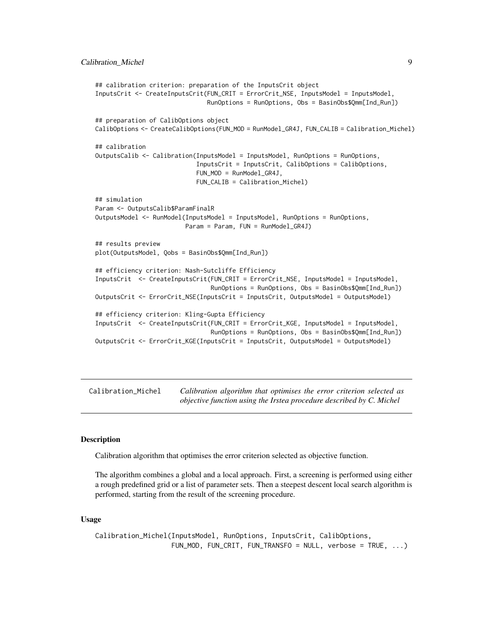```
## calibration criterion: preparation of the InputsCrit object
InputsCrit <- CreateInputsCrit(FUN_CRIT = ErrorCrit_NSE, InputsModel = InputsModel,
                               RunOptions = RunOptions, Obs = BasinObs$Qmm[Ind_Run])
## preparation of CalibOptions object
CalibOptions <- CreateCalibOptions(FUN_MOD = RunModel_GR4J, FUN_CALIB = Calibration_Michel)
## calibration
OutputsCalib <- Calibration(InputsModel = InputsModel, RunOptions = RunOptions,
                            InputsCrit = InputsCrit, CalibOptions = CalibOptions,
                            FUN_MOD = RunModel_GR4J,
                            FUN_CALIB = Calibration_Michel)
## simulation
Param <- OutputsCalib$ParamFinalR
OutputsModel <- RunModel(InputsModel = InputsModel, RunOptions = RunOptions,
                         Param = Param, FUN = RunModel_GR4J)
## results preview
plot(OutputsModel, Qobs = BasinObs$Qmm[Ind_Run])
## efficiency criterion: Nash-Sutcliffe Efficiency
InputsCrit <- CreateInputsCrit(FUN_CRIT = ErrorCrit_NSE, InputsModel = InputsModel,
                                RunOptions = RunOptions, Obs = BasinObs$Qmm[Ind_Run])
OutputsCrit <- ErrorCrit_NSE(InputsCrit = InputsCrit, OutputsModel = OutputsModel)
## efficiency criterion: Kling-Gupta Efficiency
InputsCrit <- CreateInputsCrit(FUN_CRIT = ErrorCrit_KGE, InputsModel = InputsModel,
                                RunOptions = RunOptions, Obs = BasinObs$Qmm[Ind_Run])
OutputsCrit <- ErrorCrit_KGE(InputsCrit = InputsCrit, OutputsModel = OutputsModel)
```
<span id="page-8-1"></span>Calibration\_Michel *Calibration algorithm that optimises the error criterion selected as objective function using the Irstea procedure described by C. Michel*

#### Description

Calibration algorithm that optimises the error criterion selected as objective function.

The algorithm combines a global and a local approach. First, a screening is performed using either a rough predefined grid or a list of parameter sets. Then a steepest descent local search algorithm is performed, starting from the result of the screening procedure.

#### Usage

```
Calibration_Michel(InputsModel, RunOptions, InputsCrit, CalibOptions,
                  FUN_MOD, FUN_CRIT, FUN_TRANSFO = NULL, verbose = TRUE, ...)
```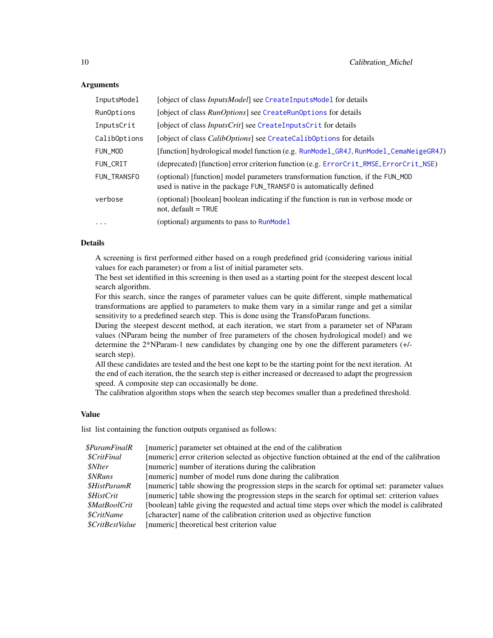# **Arguments**

| InputsModel  | [object of class InputsModel] see CreateInputsModel for details                                                                                      |
|--------------|------------------------------------------------------------------------------------------------------------------------------------------------------|
| RunOptions   | [object of class <i>RunOptions</i> ] see CreateRunOptions for details                                                                                |
| InputsCrit   | [object of class <i>InputsCrit</i> ] see CreateInputsCrit for details                                                                                |
| CalibOptions | [object of class <i>CalibOptions</i> ] see CreateCalibOptions for details                                                                            |
| FUN_MOD      | [function] hydrological model function (e.g. RunModel_GR4J, RunModel_CemaNeigeGR4J)                                                                  |
| FUN_CRIT     | (deprecated) [function] error criterion function (e.g. ErrorCrit_RMSE, ErrorCrit_NSE)                                                                |
| FUN TRANSFO  | (optional) [function] model parameters transformation function, if the FUN_MOD<br>used is native in the package FUN_TRANSFO is automatically defined |
| verbose      | (optional) [boolean] boolean indicating if the function is run in verbose mode or<br>not, default $=$ TRUE                                           |
| $\ddotsc$    | (optional) arguments to pass to RunModel                                                                                                             |

# Details

A screening is first performed either based on a rough predefined grid (considering various initial values for each parameter) or from a list of initial parameter sets.

The best set identified in this screening is then used as a starting point for the steepest descent local search algorithm.

For this search, since the ranges of parameter values can be quite different, simple mathematical transformations are applied to parameters to make them vary in a similar range and get a similar sensitivity to a predefined search step. This is done using the TransfoParam functions.

During the steepest descent method, at each iteration, we start from a parameter set of NParam values (NParam being the number of free parameters of the chosen hydrological model) and we determine the 2\*NParam-1 new candidates by changing one by one the different parameters (+/ search step).

All these candidates are tested and the best one kept to be the starting point for the next iteration. At the end of each iteration, the the search step is either increased or decreased to adapt the progression speed. A composite step can occasionally be done.

The calibration algorithm stops when the search step becomes smaller than a predefined threshold.

#### Value

list list containing the function outputs organised as follows:

| [numeric] parameter set obtained at the end of the calibration                                  |
|-------------------------------------------------------------------------------------------------|
| [numeric] error criterion selected as objective function obtained at the end of the calibration |
| [numeric] number of iterations during the calibration                                           |
| [numeric] number of model runs done during the calibration                                      |
| [numeric] table showing the progression steps in the search for optimal set: parameter values   |
| [numeric] table showing the progression steps in the search for optimal set: criterion values   |
| [boolean] table giving the requested and actual time steps over which the model is calibrated   |
| [character] name of the calibration criterion used as objective function                        |
| [numeric] theoretical best criterion value                                                      |
|                                                                                                 |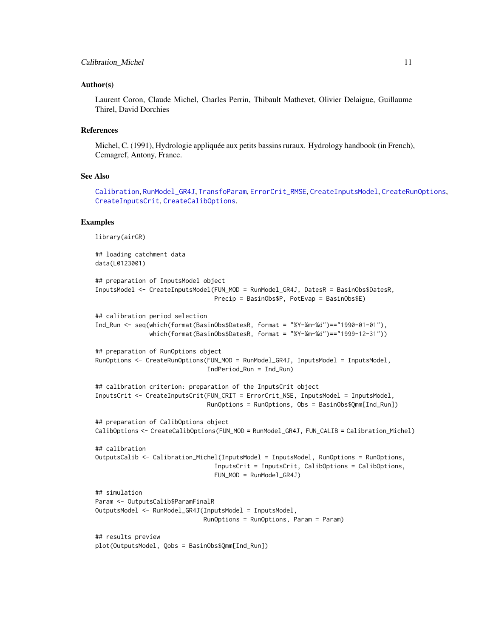#### Author(s)

Laurent Coron, Claude Michel, Charles Perrin, Thibault Mathevet, Olivier Delaigue, Guillaume Thirel, David Dorchies

#### References

Michel, C. (1991), Hydrologie appliquée aux petits bassins ruraux. Hydrology handbook (in French), Cemagref, Antony, France.

#### See Also

[Calibration](#page-6-1), [RunModel\\_GR4J](#page-81-1), [TransfoParam](#page-97-1), [ErrorCrit\\_RMSE](#page-42-1), [CreateInputsModel](#page-25-1), [CreateRunOptions](#page-28-1), [CreateInputsCrit](#page-19-1), [CreateCalibOptions](#page-11-1).

#### Examples

```
library(airGR)
## loading catchment data
data(L0123001)
## preparation of InputsModel object
InputsModel <- CreateInputsModel(FUN_MOD = RunModel_GR4J, DatesR = BasinObs$DatesR,
                                 Precip = BasinObs$P, PotEvap = BasinObs$E)
## calibration period selection
Ind_Run <- seq(which(format(BasinObs$DatesR, format = "%Y-%m-%d")=="1990-01-01"),
               which(format(BasinObs$DatesR, format = "%Y-%m-%d")=="1999-12-31"))
## preparation of RunOptions object
RunOptions <- CreateRunOptions(FUN_MOD = RunModel_GR4J, InputsModel = InputsModel,
                               IndPeriod_Run = Ind_Run)
## calibration criterion: preparation of the InputsCrit object
InputsCrit <- CreateInputsCrit(FUN_CRIT = ErrorCrit_NSE, InputsModel = InputsModel,
                               RunOptions = RunOptions, Obs = BasinObs$Qmm[Ind_Run])
## preparation of CalibOptions object
CalibOptions <- CreateCalibOptions(FUN_MOD = RunModel_GR4J, FUN_CALIB = Calibration_Michel)
## calibration
OutputsCalib <- Calibration_Michel(InputsModel = InputsModel, RunOptions = RunOptions,
                                 InputsCrit = InputsCrit, CalibOptions = CalibOptions,
                                 FUN_MOD = RunModel_GR4J)
## simulation
Param <- OutputsCalib$ParamFinalR
OutputsModel <- RunModel_GR4J(InputsModel = InputsModel,
                              RunOptions = RunOptions, Param = Param)
## results preview
plot(OutputsModel, Qobs = BasinObs$Qmm[Ind_Run])
```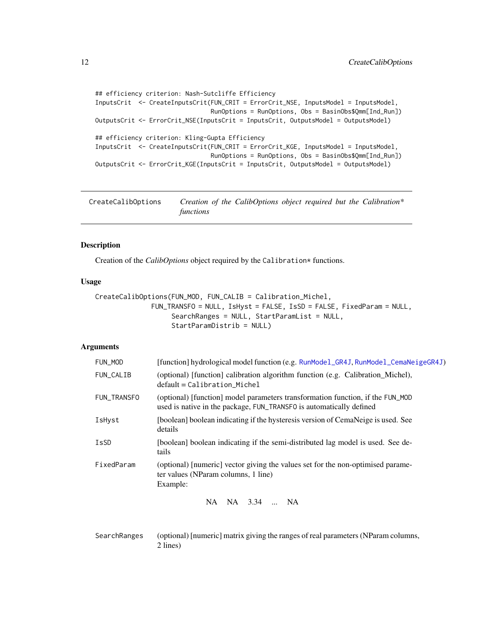```
## efficiency criterion: Nash-Sutcliffe Efficiency
InputsCrit <- CreateInputsCrit(FUN_CRIT = ErrorCrit_NSE, InputsModel = InputsModel,
                               RunOptions = RunOptions, Obs = BasinObs$Qmm[Ind_Run])
OutputsCrit <- ErrorCrit_NSE(InputsCrit = InputsCrit, OutputsModel = OutputsModel)
## efficiency criterion: Kling-Gupta Efficiency
InputsCrit <- CreateInputsCrit(FUN_CRIT = ErrorCrit_KGE, InputsModel = InputsModel,
                               RunOptions = RunOptions, Obs = BasinObs$Qmm[Ind_Run])
OutputsCrit <- ErrorCrit_KGE(InputsCrit = InputsCrit, OutputsModel = OutputsModel)
```
<span id="page-11-1"></span>

| CreateCalibOptions | Creation of the CalibOptions object required but the Calibration* |  |  |  |
|--------------------|-------------------------------------------------------------------|--|--|--|
|                    | functions                                                         |  |  |  |

# Description

Creation of the *CalibOptions* object required by the Calibration\* functions.

#### Usage

```
CreateCalibOptions(FUN_MOD, FUN_CALIB = Calibration_Michel,
              FUN_TRANSFO = NULL, IsHyst = FALSE, IsSD = FALSE, FixedParam = NULL,
                   SearchRanges = NULL, StartParamList = NULL,
                   StartParamDistrib = NULL)
```
# Arguments

| FUN_MOD     | [function] hydrological model function (e.g. RunModel_GR4J, RunModel_CemaNeigeGR4J)                                                                   |
|-------------|-------------------------------------------------------------------------------------------------------------------------------------------------------|
| FUN_CALIB   | (optional) [function] calibration algorithm function (e.g. Calibration_Michel),<br>$default = California$                                             |
| FUN_TRANSFO | (optional) [function] model parameters transformation function, if the FUN_MOD<br>used is native in the package, FUN_TRANSFO is automatically defined |
| IsHyst      | [boolean] boolean indicating if the hysteresis version of CemaNeige is used. See<br>details                                                           |
| IsSD        | [boolean] boolean indicating if the semi-distributed lag model is used. See de-<br>tails                                                              |
| FixedParam  | (optional) [numeric] vector giving the values set for the non-optimised parame-<br>ter values (NParam columns, 1 line)<br>Example:                    |
|             | NA 3.34  NA<br>NA.                                                                                                                                    |

SearchRanges (optional) [numeric] matrix giving the ranges of real parameters (NParam columns, 2 lines)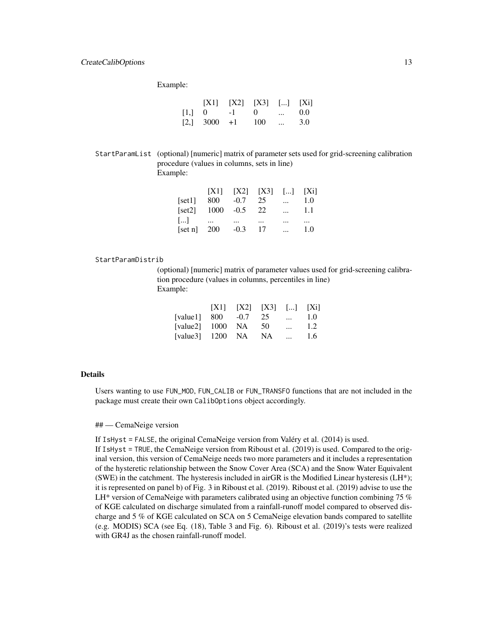# CreateCalibOptions 13

Example:

|                        | $[X1]$ $[X2]$ $[X3]$ $[]$ $[Xi]$ |               |         |
|------------------------|----------------------------------|---------------|---------|
| $[1, 0 \t -1 \t 0 \t $ |                                  |               | $0.0^-$ |
| $[2, 3000 +1 100$      |                                  | $\sim$ $\sim$ | 3.0     |

StartParamList (optional) [numeric] matrix of parameter sets used for grid-screening calibration procedure (values in columns, sets in line) Example:

|                       |               |          | $[X1]$ $[X2]$ $[X3]$ $[]$ $[Xi]$ |          |          |
|-----------------------|---------------|----------|----------------------------------|----------|----------|
| [set1]                | 800           | $-0.7$   | 25                               | $\cdots$ | 1.0      |
| [set2]                | $1000 - 0.5$  |          | - 22                             | $\cdots$ | 1.1      |
| $\left[\ldots\right]$ | $\cdots$      | $\cdots$ | $\cdots$                         | $\cdots$ | $\cdots$ |
|                       | [set n] $200$ | $-0.3$   | -17                              |          | 1.0      |

#### StartParamDistrib

(optional) [numeric] matrix of parameter values used for grid-screening calibration procedure (values in columns, percentiles in line) Example:

|                     | X1 | [X2] [X3] [] [Xi] |              |     |
|---------------------|----|-------------------|--------------|-----|
| [value1] $800 -0.7$ |    | 25                | $\mathbf{r}$ | 1.0 |
| [value2] 1000 NA    |    | 50                | $\cdots$     | 1.2 |
| [value3] $1200$ NA  |    | - NA              | $\cdots$     | 1.6 |

#### Details

Users wanting to use FUN\_MOD, FUN\_CALIB or FUN\_TRANSFO functions that are not included in the package must create their own CalibOptions object accordingly.

## — CemaNeige version

If IsHyst = FALSE, the original CemaNeige version from Valéry et al. (2014) is used.

If IsHyst = TRUE, the CemaNeige version from Riboust et al. (2019) is used. Compared to the original version, this version of CemaNeige needs two more parameters and it includes a representation of the hysteretic relationship between the Snow Cover Area (SCA) and the Snow Water Equivalent (SWE) in the catchment. The hysteresis included in airGR is the Modified Linear hysteresis ( $LH^*$ ); it is represented on panel b) of Fig. 3 in Riboust et al. (2019). Riboust et al. (2019) advise to use the LH\* version of CemaNeige with parameters calibrated using an objective function combining 75  $\%$ of KGE calculated on discharge simulated from a rainfall-runoff model compared to observed discharge and 5 % of KGE calculated on SCA on 5 CemaNeige elevation bands compared to satellite (e.g. MODIS) SCA (see Eq. (18), Table 3 and Fig. 6). Riboust et al. (2019)'s tests were realized with GR4J as the chosen rainfall-runoff model.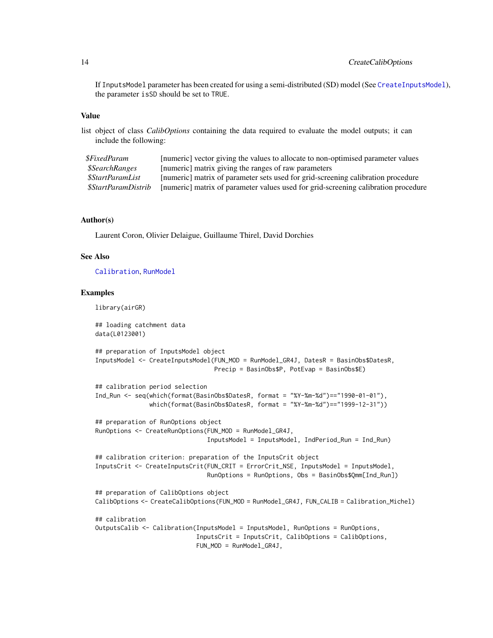If InputsModel parameter has been created for using a semi-distributed (SD) model (See [CreateInputsModel](#page-25-1)), the parameter isSD should be set to TRUE.

#### Value

list object of class *CalibOptions* containing the data required to evaluate the model outputs; it can include the following:

| <i><b>\$FixedParam</b></i>   | [numeric] vector giving the values to allocate to non-optimised parameter values   |
|------------------------------|------------------------------------------------------------------------------------|
| <i><b>\$SearchRanges</b></i> | [numeric] matrix giving the ranges of raw parameters                               |
| \$StartParamList             | [numeric] matrix of parameter sets used for grid-screening calibration procedure   |
| \$StartParamDistrib          | [numeric] matrix of parameter values used for grid-screening calibration procedure |

# Author(s)

Laurent Coron, Olivier Delaigue, Guillaume Thirel, David Dorchies

#### See Also

[Calibration](#page-6-1), [RunModel](#page-53-1)

#### Examples

library(airGR)

## loading catchment data data(L0123001)

```
## preparation of InputsModel object
InputsModel <- CreateInputsModel(FUN_MOD = RunModel_GR4J, DatesR = BasinObs$DatesR,
                                Precip = BasinObs$P, PotEvap = BasinObs$E)
```

```
## calibration period selection
Ind_Run <- seq(which(format(BasinObs$DatesR, format = "%Y-%m-%d")=="1990-01-01"),
               which(format(BasinObs$DatesR, format = "%Y-%m-%d")=="1999-12-31"))
## preparation of RunOptions object
RunOptions <- CreateRunOptions(FUN_MOD = RunModel_GR4J,
```

```
InputsModel = InputsModel, IndPeriod_Run = Ind_Run)
```

```
## calibration criterion: preparation of the InputsCrit object
InputsCrit <- CreateInputsCrit(FUN_CRIT = ErrorCrit_NSE, InputsModel = InputsModel,
                               RunOptions = RunOptions, Obs = BasinObs$Qmm[Ind_Run])
```

```
## preparation of CalibOptions object
CalibOptions <- CreateCalibOptions(FUN_MOD = RunModel_GR4J, FUN_CALIB = Calibration_Michel)
```
## calibration OutputsCalib <- Calibration(InputsModel = InputsModel, RunOptions = RunOptions, InputsCrit = InputsCrit, CalibOptions = CalibOptions, FUN\_MOD = RunModel\_GR4J,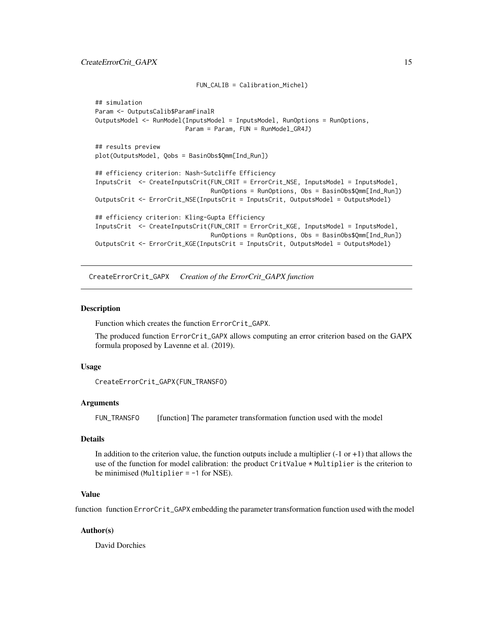```
## simulation
Param <- OutputsCalib$ParamFinalR
OutputsModel <- RunModel(InputsModel = InputsModel, RunOptions = RunOptions,
                        Param = Param, FUN = RunModel_GR4J)
## results preview
plot(OutputsModel, Qobs = BasinObs$Qmm[Ind_Run])
## efficiency criterion: Nash-Sutcliffe Efficiency
InputsCrit <- CreateInputsCrit(FUN_CRIT = ErrorCrit_NSE, InputsModel = InputsModel,
                                RunOptions = RunOptions, Obs = BasinObs$Qmm[Ind_Run])
OutputsCrit <- ErrorCrit_NSE(InputsCrit = InputsCrit, OutputsModel = OutputsModel)
## efficiency criterion: Kling-Gupta Efficiency
InputsCrit <- CreateInputsCrit(FUN_CRIT = ErrorCrit_KGE, InputsModel = InputsModel,
                                RunOptions = RunOptions, Obs = BasinObs$Qmm[Ind_Run])
OutputsCrit <- ErrorCrit_KGE(InputsCrit = InputsCrit, OutputsModel = OutputsModel)
```
FUN\_CALIB = Calibration\_Michel)

<span id="page-14-1"></span>CreateErrorCrit\_GAPX *Creation of the ErrorCrit\_GAPX function*

#### Description

Function which creates the function ErrorCrit\_GAPX.

The produced function ErrorCrit\_GAPX allows computing an error criterion based on the GAPX formula proposed by Lavenne et al. (2019).

#### Usage

```
CreateErrorCrit_GAPX(FUN_TRANSFO)
```
#### Arguments

FUN\_TRANSFO [function] The parameter transformation function used with the model

### Details

In addition to the criterion value, the function outputs include a multiplier  $(-1 \text{ or } +1)$  that allows the use of the function for model calibration: the product CritValue \* Multiplier is the criterion to be minimised (Multiplier = -1 for NSE).

#### Value

function function ErrorCrit\_GAPX embedding the parameter transformation function used with the model

#### Author(s)

David Dorchies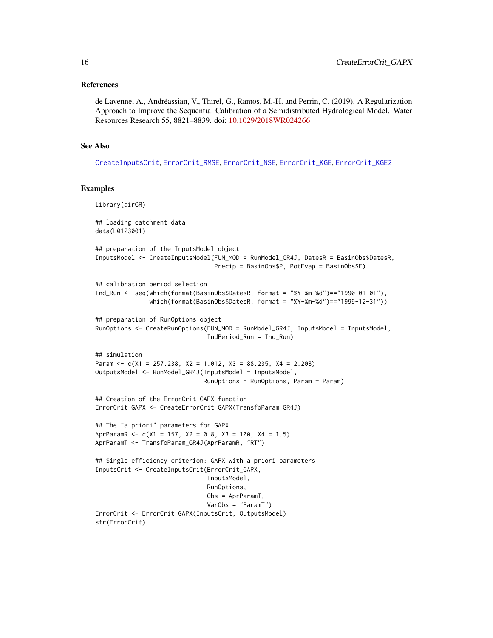#### References

de Lavenne, A., Andréassian, V., Thirel, G., Ramos, M.-H. and Perrin, C. (2019). A Regularization Approach to Improve the Sequential Calibration of a Semidistributed Hydrological Model. Water Resources Research 55, 8821–8839. doi: [10.1029/2018WR024266](https://doi.org/10.1029/2018WR024266)

#### See Also

[CreateInputsCrit](#page-19-1), [ErrorCrit\\_RMSE](#page-42-1), [ErrorCrit\\_NSE](#page-40-1), [ErrorCrit\\_KGE](#page-36-1), [ErrorCrit\\_KGE2](#page-38-1)

#### Examples

```
library(airGR)
## loading catchment data
data(L0123001)
## preparation of the InputsModel object
InputsModel <- CreateInputsModel(FUN_MOD = RunModel_GR4J, DatesR = BasinObs$DatesR,
                                 Precip = BasinObs$P, PotEvap = BasinObs$E)
## calibration period selection
Ind_Run <- seq(which(format(BasinObs$DatesR, format = "%Y-%m-%d")=="1990-01-01"),
               which(format(BasinObs$DatesR, format = "%Y-%m-%d")=="1999-12-31"))
## preparation of RunOptions object
RunOptions <- CreateRunOptions(FUN_MOD = RunModel_GR4J, InputsModel = InputsModel,
                               IndPeriod_Run = Ind_Run)
## simulation
Param <- c(X1 = 257.238, X2 = 1.012, X3 = 88.235, X4 = 2.208)
OutputsModel <- RunModel_GR4J(InputsModel = InputsModel,
                              RunOptions = RunOptions, Param = Param)
## Creation of the ErrorCrit GAPX function
ErrorCrit_GAPX <- CreateErrorCrit_GAPX(TransfoParam_GR4J)
## The "a priori" parameters for GAPX
AprParamR <- c(X1 = 157, X2 = 0.8, X3 = 100, X4 = 1.5)AprParamT <- TransfoParam_GR4J(AprParamR, "RT")
## Single efficiency criterion: GAPX with a priori parameters
InputsCrit <- CreateInputsCrit(ErrorCrit_GAPX,
                               InputsModel,
                               RunOptions,
                               Obs = AprParamT,
                               VarObs = "ParamT")
ErrorCrit <- ErrorCrit_GAPX(InputsCrit, OutputsModel)
str(ErrorCrit)
```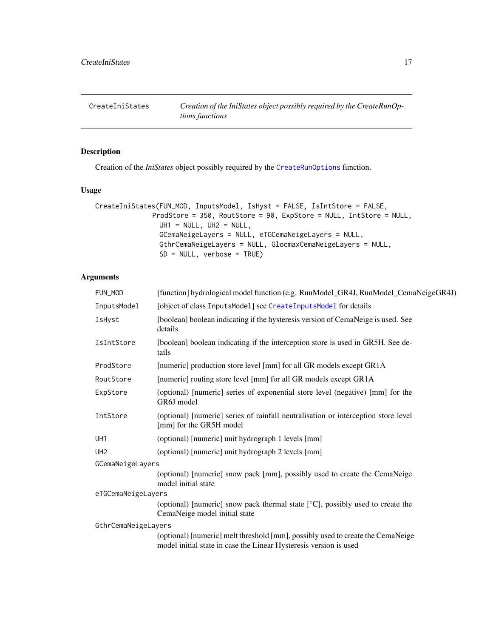<span id="page-16-1"></span><span id="page-16-0"></span>CreateIniStates *Creation of the IniStates object possibly required by the CreateRunOptions functions*

# Description

Creation of the *IniStates* object possibly required by the [CreateRunOptions](#page-28-1) function.

# Usage

```
CreateIniStates(FUN_MOD, InputsModel, IsHyst = FALSE, IsIntStore = FALSE,
              ProdStore = 350, RoutStore = 90, ExpStore = NULL, IntStore = NULL,
                UH1 = NULL, UH2 = NULL,
                GCemaNeigeLayers = NULL, eTGCemaNeigeLayers = NULL,
                GthrCemaNeigeLayers = NULL, GlocmaxCemaNeigeLayers = NULL,
                SD = NULL, verbose = TRUE)
```
# Arguments

| FUN MOD             | [function] hydrological model function (e.g. RunModel_GR4J, RunModel_CemaNeigeGR4J)                                                                  |
|---------------------|------------------------------------------------------------------------------------------------------------------------------------------------------|
| InputsModel         | [object of class InputsModel] see CreateInputsModel for details                                                                                      |
| IsHyst              | [boolean] boolean indicating if the hysteresis version of CemaNeige is used. See<br>details                                                          |
| IsIntStore          | [boolean] boolean indicating if the interception store is used in GR5H. See de-<br>tails                                                             |
| ProdStore           | [numeric] production store level [mm] for all GR models except GR1A                                                                                  |
| RoutStore           | [numeric] routing store level [mm] for all GR models except GR1A                                                                                     |
| ExpStore            | (optional) [numeric] series of exponential store level (negative) [mm] for the<br>GR6J model                                                         |
| IntStore            | (optional) [numeric] series of rainfall neutralisation or interception store level<br>[mm] for the GR5H model                                        |
| UH1                 | (optional) [numeric] unit hydrograph 1 levels [mm]                                                                                                   |
| UH <sub>2</sub>     | (optional) [numeric] unit hydrograph 2 levels [mm]                                                                                                   |
| GCemaNeigeLayers    |                                                                                                                                                      |
|                     | (optional) [numeric] snow pack [mm], possibly used to create the CemaNeige<br>model initial state                                                    |
| eTGCemaNeigeLayers  |                                                                                                                                                      |
|                     | (optional) [numeric] snow pack thermal state [°C], possibly used to create the<br>CemaNeige model initial state                                      |
| GthrCemaNeigeLayers |                                                                                                                                                      |
|                     | (optional) [numeric] melt threshold [mm], possibly used to create the CemaNeige<br>model initial state in case the Linear Hysteresis version is used |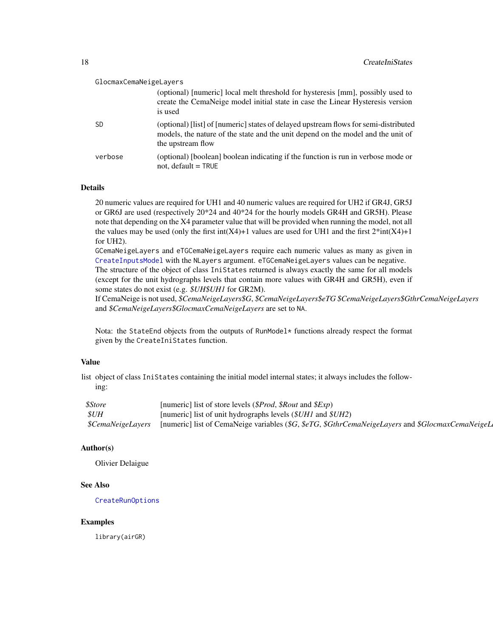| GlocmaxCemaNeigeLayers |                                                                                                                                                                                               |
|------------------------|-----------------------------------------------------------------------------------------------------------------------------------------------------------------------------------------------|
|                        | (optional) [numeric] local melt threshold for hysteresis [mm], possibly used to<br>create the CemaNeige model initial state in case the Linear Hysteresis version<br>is used                  |
| <b>SD</b>              | (optional) [list] of [numeric] states of delayed upstream flows for semi-distributed<br>models, the nature of the state and the unit depend on the model and the unit of<br>the upstream flow |
| verbose                | (optional) [boolean] boolean indicating if the function is run in verbose mode or<br>not, $default = TRUE$                                                                                    |

# Details

20 numeric values are required for UH1 and 40 numeric values are required for UH2 if GR4J, GR5J or GR6J are used (respectively 20\*24 and 40\*24 for the hourly models GR4H and GR5H). Please note that depending on the X4 parameter value that will be provided when running the model, not all the values may be used (only the first int(X4)+1 values are used for UH1 and the first  $2^*$ int(X4)+1 for UH2).

GCemaNeigeLayers and eTGCemaNeigeLayers require each numeric values as many as given in [CreateInputsModel](#page-25-1) with the NLayers argument. eTGCemaNeigeLayers values can be negative. The structure of the object of class IniStates returned is always exactly the same for all models (except for the unit hydrographs levels that contain more values with GR4H and GR5H), even if some states do not exist (e.g. *\$UH\$UH1* for GR2M).

If CemaNeige is not used, *\$CemaNeigeLayers\$G*, *\$CemaNeigeLayers\$eTG \$CemaNeigeLayers\$GthrCemaNeigeLayers* and *\$CemaNeigeLayers\$GlocmaxCemaNeigeLayers* are set to NA.

Nota: the StateEnd objects from the outputs of RunModel\* functions already respect the format given by the CreateIniStates function.

# Value

list object of class IniStates containing the initial model internal states; it always includes the following:

| <i><b>\$Store</b></i>   | [numeric] list of store levels (\$Prod, \$Rout and \$Exp)                                        |
|-------------------------|--------------------------------------------------------------------------------------------------|
| $\mathcal{S}UH$         | [numeric] list of unit hydrographs levels $(\text{$UH1$}$ and $\text{$SUH2$})$                   |
| <i>SCemaNeigeLavers</i> | [numeric] list of CemaNeige variables (\$G, \$eTG, \$GthrCemaNeigeLayers and \$GlocmaxCemaNeigeL |

#### Author(s)

Olivier Delaigue

#### See Also

[CreateRunOptions](#page-28-1)

#### Examples

library(airGR)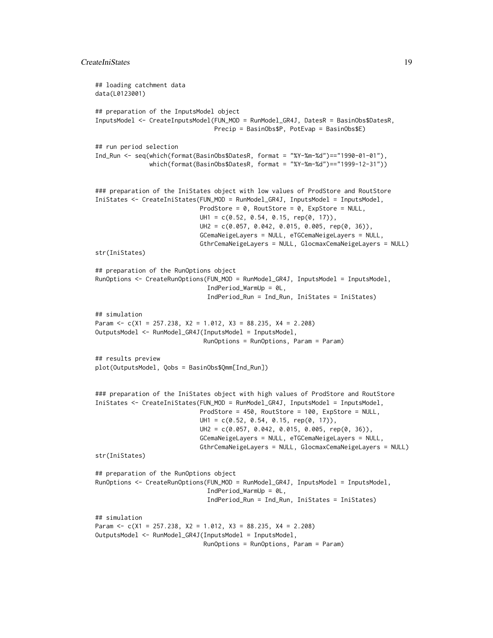```
## loading catchment data
data(L0123001)
## preparation of the InputsModel object
InputsModel <- CreateInputsModel(FUN_MOD = RunModel_GR4J, DatesR = BasinObs$DatesR,
                                Precip = BasinObs$P, PotEvap = BasinObs$E)
## run period selection
Ind_Run <- seq(which(format(BasinObs$DatesR, format = "%Y-%m-%d")=="1990-01-01"),
               which(format(BasinObs$DatesR, format = "%Y-%m-%d")=="1999-12-31"))
### preparation of the IniStates object with low values of ProdStore and RoutStore
IniStates <- CreateIniStates(FUN_MOD = RunModel_GR4J, InputsModel = InputsModel,
                             ProdStore = 0, RoutStore = 0, ExpStore = NULL,
                             UH1 = c(0.52, 0.54, 0.15, rep(0, 17)),
                             UH2 = c(0.057, 0.042, 0.015, 0.005, rep(0, 36)),
                             GCemaNeigeLayers = NULL, eTGCemaNeigeLayers = NULL,
                             GthrCemaNeigeLayers = NULL, GlocmaxCemaNeigeLayers = NULL)
str(IniStates)
## preparation of the RunOptions object
RunOptions <- CreateRunOptions(FUN_MOD = RunModel_GR4J, InputsModel = InputsModel,
                               IndPeriod_WarmUp = 0L,
                               IndPeriod_Run = Ind_Run, IniStates = IniStates)
## simulation
Param <- c(X1 = 257.238, X2 = 1.012, X3 = 88.235, X4 = 2.208)
OutputsModel <- RunModel_GR4J(InputsModel = InputsModel,
                              RunOptions = RunOptions, Param = Param)
## results preview
plot(OutputsModel, Qobs = BasinObs$Qmm[Ind_Run])
### preparation of the IniStates object with high values of ProdStore and RoutStore
IniStates <- CreateIniStates(FUN_MOD = RunModel_GR4J, InputsModel = InputsModel,
                             ProdStore = 450, RoutStore = 100, ExpStore = NULL,
                             UH1 = c(0.52, 0.54, 0.15, rep(0, 17)),
                             UH2 = c(0.057, 0.042, 0.015, 0.005, rep(0, 36)),
                             GCemaNeigeLayers = NULL, eTGCemaNeigeLayers = NULL,
                             GthrCemaNeigeLayers = NULL, GlocmaxCemaNeigeLayers = NULL)
str(IniStates)
## preparation of the RunOptions object
RunOptions <- CreateRunOptions(FUN_MOD = RunModel_GR4J, InputsModel = InputsModel,
                               IndPeriod_WarmUp = 0L,
                               IndPeriod_Run = Ind_Run, IniStates = IniStates)
## simulation
Param <- c(X1 = 257.238, X2 = 1.012, X3 = 88.235, X4 = 2.208)
OutputsModel <- RunModel_GR4J(InputsModel = InputsModel,
                              RunOptions = RunOptions, Param = Param)
```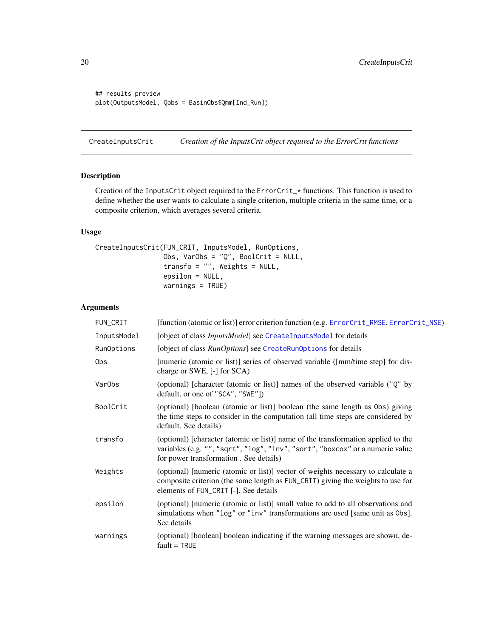```
## results preview
plot(OutputsModel, Qobs = BasinObs$Qmm[Ind_Run])
```
<span id="page-19-1"></span>CreateInputsCrit *Creation of the InputsCrit object required to the ErrorCrit functions*

# Description

Creation of the InputsCrit object required to the ErrorCrit\_\* functions. This function is used to define whether the user wants to calculate a single criterion, multiple criteria in the same time, or a composite criterion, which averages several criteria.

# Usage

```
CreateInputsCrit(FUN_CRIT, InputsModel, RunOptions,
                 Obs, VarObs = "Q", BoolCrit = NULL,
                 transfo = ", Weights = NULL,
                 epsilon = NULL,
                 warnings = TRUE)
```
# Arguments

| FUN_CRIT           | [function (atomic or list)] error criterion function (e.g. ErrorCrit_RMSE, ErrorCrit_NSE)                                                                                                                    |
|--------------------|--------------------------------------------------------------------------------------------------------------------------------------------------------------------------------------------------------------|
| InputsModel        | [object of class <i>InputsModel</i> ] see CreateInputsModel for details                                                                                                                                      |
| RunOptions         | [object of class <i>RunOptions</i> ] see CreateRunOptions for details                                                                                                                                        |
| 0bs                | [numeric (atomic or list)] series of observed variable ([mm/time step] for dis-<br>charge or SWE, [-] for SCA)                                                                                               |
| Var <sub>Obs</sub> | (optional) [character (atomic or list)] names of the observed variable ("Q" by<br>default, or one of "SCA", "SWE"])                                                                                          |
| BoolCrit           | (optional) [boolean (atomic or list)] boolean (the same length as Obs) giving<br>the time steps to consider in the computation (all time steps are considered by<br>default. See details)                    |
| transfo            | (optional) [character (atomic or list)] name of the transformation applied to the<br>variables (e.g. "", "sqrt", "log", "inv", "sort", "boxcox" or a numeric value<br>for power transformation. See details) |
| Weights            | (optional) [numeric (atomic or list)] vector of weights necessary to calculate a<br>composite criterion (the same length as FUN_CRIT) giving the weights to use for<br>elements of FUN_CRIT [-]. See details |
| epsilon            | (optional) [numeric (atomic or list)] small value to add to all observations and<br>simulations when "log" or "inv" transformations are used [same unit as 0bs].<br>See details                              |
| warnings           | (optional) [boolean] boolean indicating if the warning messages are shown, de-<br>$fault = TRUE$                                                                                                             |

<span id="page-19-0"></span>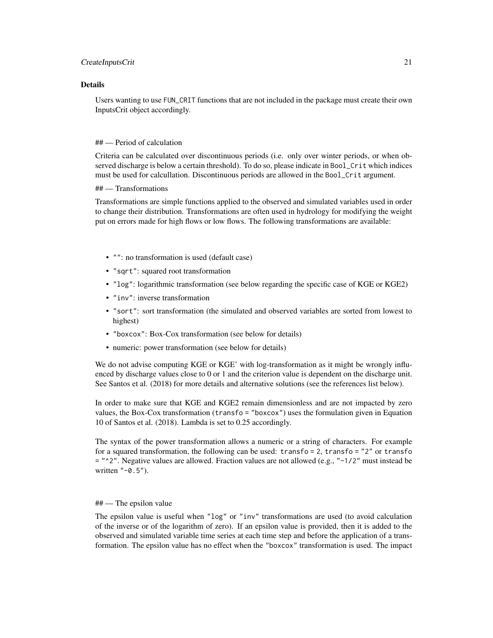#### CreateInputsCrit 21

#### Details

Users wanting to use FUN\_CRIT functions that are not included in the package must create their own InputsCrit object accordingly.

#### ## — Period of calculation

Criteria can be calculated over discontinuous periods (i.e. only over winter periods, or when observed discharge is below a certain threshold). To do so, please indicate in Bool\_Crit which indices must be used for calcullation. Discontinuous periods are allowed in the Bool\_Crit argument.

## — Transformations

Transformations are simple functions applied to the observed and simulated variables used in order to change their distribution. Transformations are often used in hydrology for modifying the weight put on errors made for high flows or low flows. The following transformations are available:

- "": no transformation is used (default case)
- "sqrt": squared root transformation
- "log": logarithmic transformation (see below regarding the specific case of KGE or KGE2)
- "inv": inverse transformation
- "sort": sort transformation (the simulated and observed variables are sorted from lowest to highest)
- "boxcox": Box-Cox transformation (see below for details)
- numeric: power transformation (see below for details)

We do not advise computing KGE or KGE' with log-transformation as it might be wrongly influenced by discharge values close to 0 or 1 and the criterion value is dependent on the discharge unit. See Santos et al. (2018) for more details and alternative solutions (see the references list below).

In order to make sure that KGE and KGE2 remain dimensionless and are not impacted by zero values, the Box-Cox transformation (transfo = "boxcox") uses the formulation given in Equation 10 of Santos et al. (2018). Lambda is set to 0.25 accordingly.

The syntax of the power transformation allows a numeric or a string of characters. For example for a squared transformation, the following can be used: transfo = 2, transfo = "2" or transfo  $=$  " $^{\circ}$ 2". Negative values are allowed. Fraction values are not allowed (e.g., " $-1/2$ " must instead be written "-0.5").

#### ## — The epsilon value

The epsilon value is useful when "log" or "inv" transformations are used (to avoid calculation of the inverse or of the logarithm of zero). If an epsilon value is provided, then it is added to the observed and simulated variable time series at each time step and before the application of a transformation. The epsilon value has no effect when the "boxcox" transformation is used. The impact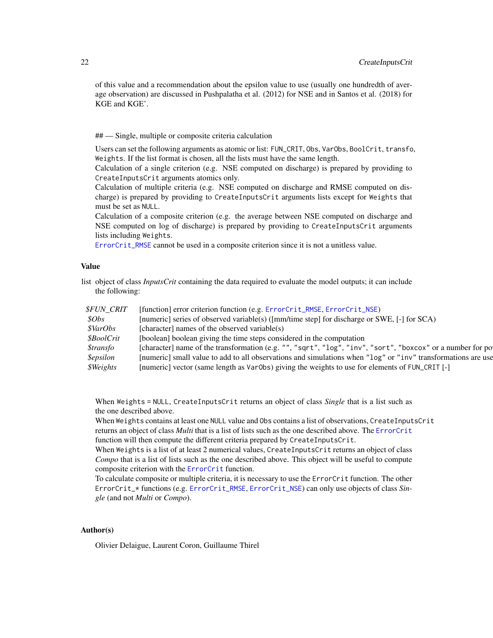of this value and a recommendation about the epsilon value to use (usually one hundredth of average observation) are discussed in Pushpalatha et al. (2012) for NSE and in Santos et al. (2018) for KGE and KGE'.

## — Single, multiple or composite criteria calculation

Users can set the following arguments as atomic or list: FUN\_CRIT, Obs, VarObs, BoolCrit, transfo, Weights. If the list format is chosen, all the lists must have the same length.

Calculation of a single criterion (e.g. NSE computed on discharge) is prepared by providing to CreateInputsCrit arguments atomics only.

Calculation of multiple criteria (e.g. NSE computed on discharge and RMSE computed on discharge) is prepared by providing to CreateInputsCrit arguments lists except for Weights that must be set as NULL.

Calculation of a composite criterion (e.g. the average between NSE computed on discharge and NSE computed on log of discharge) is prepared by providing to CreateInputsCrit arguments lists including Weights.

[ErrorCrit\\_RMSE](#page-42-1) cannot be used in a composite criterion since it is not a unitless value.

#### Value

list object of class *InputsCrit* containing the data required to evaluate the model outputs; it can include the following:

| <b><i>SFUN CRIT</i></b>  | [function] error criterion function (e.g. ErrorCrit_RMSE, ErrorCrit_NSE)                                     |
|--------------------------|--------------------------------------------------------------------------------------------------------------|
| $\mathcal{S}Obs$         | [numeric] series of observed variable(s) ([mm/time step] for discharge or SWE, [-] for SCA)                  |
| <i><b>\$VarObs</b></i>   | [character] names of the observed variable(s)                                                                |
| <i><b>\$BoolCrit</b></i> | [boolean] boolean giving the time steps considered in the computation                                        |
| <i><b>\$transfo</b></i>  | [character] name of the transformation (e.g. "", "sqrt", "log", "inv", "sort", "boxcox" or a number for po   |
| <i>Sepsilon</i>          | [numeric] small value to add to all observations and simulations when "log" or "inv" transformations are use |
| <i><b>\$Weights</b></i>  | [numeric] vector (same length as Var0bs) giving the weights to use for elements of FUN_CRIT [-]              |

When Weights = NULL, CreateInputsCrit returns an object of class *Single* that is a list such as the one described above.

When Weights contains at least one NULL value and Obs contains a list of observations, CreateInputsCrit returns an object of class *Multi* that is a list of lists such as the one described above. The [ErrorCrit](#page-34-1) function will then compute the different criteria prepared by CreateInputsCrit.

When Weights is a list of at least 2 numerical values, CreateInputsCrit returns an object of class *Compo* that is a list of lists such as the one described above. This object will be useful to compute composite criterion with the [ErrorCrit](#page-34-1) function.

To calculate composite or multiple criteria, it is necessary to use the ErrorCrit function. The other ErrorCrit\_\* functions (e.g. [ErrorCrit\\_RMSE](#page-42-1), [ErrorCrit\\_NSE](#page-40-1)) can only use objects of class *Single* (and not *Multi* or *Compo*).

# Author(s)

Olivier Delaigue, Laurent Coron, Guillaume Thirel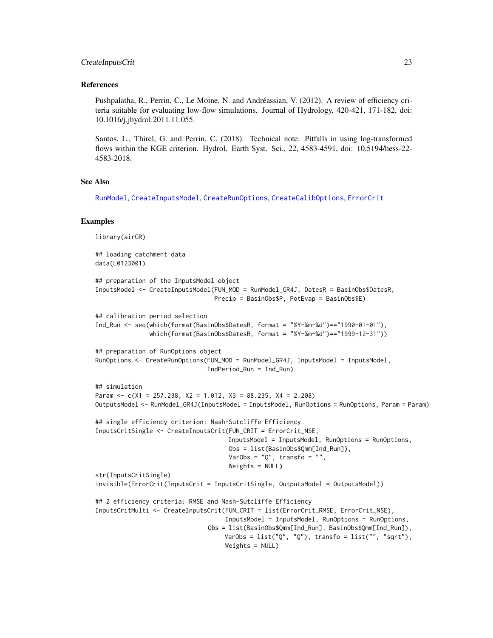#### CreateInputsCrit 23

#### References

Pushpalatha, R., Perrin, C., Le Moine, N. and Andréassian, V. (2012). A review of efficiency criteria suitable for evaluating low-flow simulations. Journal of Hydrology, 420-421, 171-182, doi: 10.1016/j.jhydrol.2011.11.055.

Santos, L., Thirel, G. and Perrin, C. (2018). Technical note: Pitfalls in using log-transformed flows within the KGE criterion. Hydrol. Earth Syst. Sci., 22, 4583-4591, doi: 10.5194/hess-22- 4583-2018.

# See Also

[RunModel](#page-53-1), [CreateInputsModel](#page-25-1), [CreateRunOptions](#page-28-1), [CreateCalibOptions](#page-11-1), [ErrorCrit](#page-34-1)

#### Examples

```
library(airGR)
## loading catchment data
data(L0123001)
## preparation of the InputsModel object
InputsModel <- CreateInputsModel(FUN_MOD = RunModel_GR4J, DatesR = BasinObs$DatesR,
                                 Precip = BasinObs$P, PotEvap = BasinObs$E)
## calibration period selection
Ind_Run <- seq(which(format(BasinObs$DatesR, format = "%Y-%m-%d")=="1990-01-01"),
               which(format(BasinObs$DatesR, format = "%Y-%m-%d")=="1999-12-31"))
## preparation of RunOptions object
RunOptions <- CreateRunOptions(FUN_MOD = RunModel_GR4J, InputsModel = InputsModel,
                               IndPeriod_Run = Ind_Run)
## simulation
Param <- c(X1 = 257.238, X2 = 1.012, X3 = 88.235, X4 = 2.208)
OutputsModel <- RunModel_GR4J(InputsModel = InputsModel, RunOptions = RunOptions, Param = Param)
## single efficiency criterion: Nash-Sutcliffe Efficiency
InputsCritSingle <- CreateInputsCrit(FUN_CRIT = ErrorCrit_NSE,
                                     InputsModel = InputsModel, RunOptions = RunOptions,
                                     Obs = list(BasinObs$Qmm[Ind_Run]),
                                     VarObs = "Q", transfo = "",
                                     Weights = NULL)
str(InputsCritSingle)
invisible(ErrorCrit(InputsCrit = InputsCritSingle, OutputsModel = OutputsModel))
## 2 efficiency criteria: RMSE and Nash-Sutcliffe Efficiency
InputsCritMulti <- CreateInputsCrit(FUN_CRIT = list(ErrorCrit_RMSE, ErrorCrit_NSE),
                                    InputsModel = InputsModel, RunOptions = RunOptions,
                               Obs = list(BasinObs$Qmm[Ind_Run], BasinObs$Qmm[Ind_Run]),
                                    VarObs = list("Q", "Q"), transfo = list("", "sqrt"),
                                    Weights = NULL)
```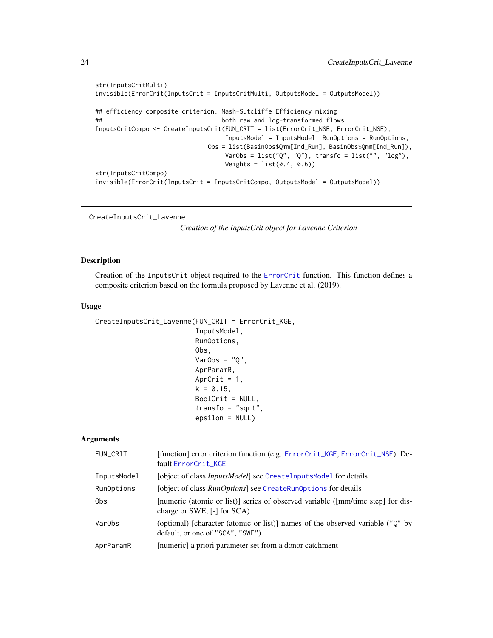```
str(InputsCritMulti)
invisible(ErrorCrit(InputsCrit = InputsCritMulti, OutputsModel = OutputsModel))
## efficiency composite criterion: Nash-Sutcliffe Efficiency mixing
## both raw and log-transformed flows
InputsCritCompo <- CreateInputsCrit(FUN_CRIT = list(ErrorCrit_NSE, ErrorCrit_NSE),
                                  InputsModel = InputsModel, RunOptions = RunOptions,
                             Obs = list(BasinObs$Qmm[Ind_Run], BasinObs$Qmm[Ind_Run]),
                                  VarObs = list("Q", "Q"), transfo = list("", "log"),
                                  Weights = list(0.4, 0.6)str(InputsCritCompo)
invisible(ErrorCrit(InputsCrit = InputsCritCompo, OutputsModel = OutputsModel))
```

```
CreateInputsCrit_Lavenne
```
*Creation of the InputsCrit object for Lavenne Criterion*

# Description

Creation of the InputsCrit object required to the [ErrorCrit](#page-34-1) function. This function defines a composite criterion based on the formula proposed by Lavenne et al. (2019).

#### Usage

```
CreateInputsCrit_Lavenne(FUN_CRIT = ErrorCrit_KGE,
                          InputsModel,
                          RunOptions,
                          Obs,
                          VarObs = "Q",AprParamR,
                          AprCrit = 1,
                          k = 0.15,
                          BoolCrit = NULL,
                          transfo = "sqrt",
                          epsilon = NULL)
```
## Arguments

| FUN_CRIT           | [function] error criterion function (e.g. ErrorCrit_KGE, ErrorCrit_NSE). De-<br>fault ErrorCrit_KGE                                   |
|--------------------|---------------------------------------------------------------------------------------------------------------------------------------|
| InputsModel        | [object of class <i>InputsModel</i> ] see CreateInputsModel for details                                                               |
| RunOptions         | [object of class <i>RunOptions</i> ] see CreateRunOptions for details                                                                 |
| 0bs                | [numeric (atomic or list)] series of observed variable ([mm/time step] for dis-<br>charge or SWE, $[-]$ for SCA)                      |
| Var <sub>Obs</sub> | (optional) [character (atomic or list)] names of the observed variable ( $\degree$ Q $\degree$ by<br>default, or one of "SCA", "SWE") |
| AprParamR          | [numeric] a priori parameter set from a donor catchment                                                                               |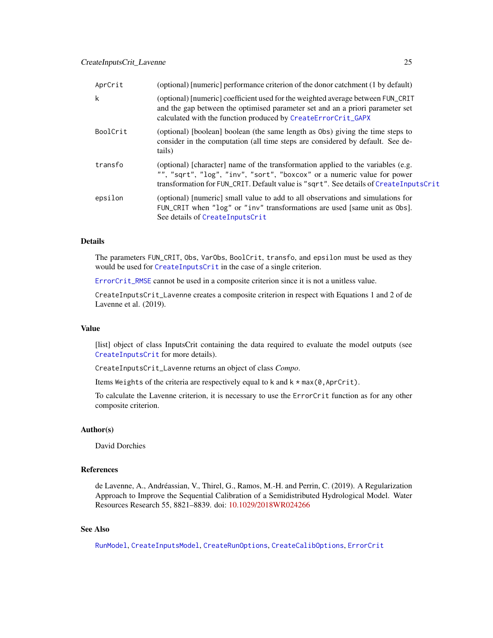# CreateInputsCrit\_Lavenne 25

| AprCrit  | (optional) [numeric] performance criterion of the donor catchment (1 by default)                                                                                                                                                                     |
|----------|------------------------------------------------------------------------------------------------------------------------------------------------------------------------------------------------------------------------------------------------------|
| k        | (optional) [numeric] coefficient used for the weighted average between FUN_CRIT<br>and the gap between the optimised parameter set and an a priori parameter set<br>calculated with the function produced by CreateErrorCrit_GAPX                    |
| BoolCrit | (optional) [boolean] boolean (the same length as Obs) giving the time steps to<br>consider in the computation (all time steps are considered by default. See de-<br>tails)                                                                           |
| transfo  | (optional) [character] name of the transformation applied to the variables (e.g.<br>"", "sqrt", "log", "inv", "sort", "boxcox" or a numeric value for power<br>transformation for FUN_CRIT. Default value is "sqrt". See details of CreateInputsCrit |
| epsilon  | (optional) [numeric] small value to add to all observations and simulations for<br>FUN_CRIT when "log" or "inv" transformations are used [same unit as Obs].<br>See details of CreateInputsCrit                                                      |

# Details

The parameters FUN\_CRIT, Obs, VarObs, BoolCrit, transfo, and epsilon must be used as they would be used for [CreateInputsCrit](#page-19-1) in the case of a single criterion.

[ErrorCrit\\_RMSE](#page-42-1) cannot be used in a composite criterion since it is not a unitless value.

CreateInputsCrit\_Lavenne creates a composite criterion in respect with Equations 1 and 2 of de Lavenne et al. (2019).

# Value

[list] object of class InputsCrit containing the data required to evaluate the model outputs (see [CreateInputsCrit](#page-19-1) for more details).

CreateInputsCrit\_Lavenne returns an object of class *Compo*.

Items Weights of the criteria are respectively equal to  $k$  and  $k * max(0, AprCrit)$ .

To calculate the Lavenne criterion, it is necessary to use the ErrorCrit function as for any other composite criterion.

# Author(s)

David Dorchies

# References

de Lavenne, A., Andréassian, V., Thirel, G., Ramos, M.-H. and Perrin, C. (2019). A Regularization Approach to Improve the Sequential Calibration of a Semidistributed Hydrological Model. Water Resources Research 55, 8821–8839. doi: [10.1029/2018WR024266](https://doi.org/10.1029/2018WR024266)

# See Also

[RunModel](#page-53-1), [CreateInputsModel](#page-25-1), [CreateRunOptions](#page-28-1), [CreateCalibOptions](#page-11-1), [ErrorCrit](#page-34-1)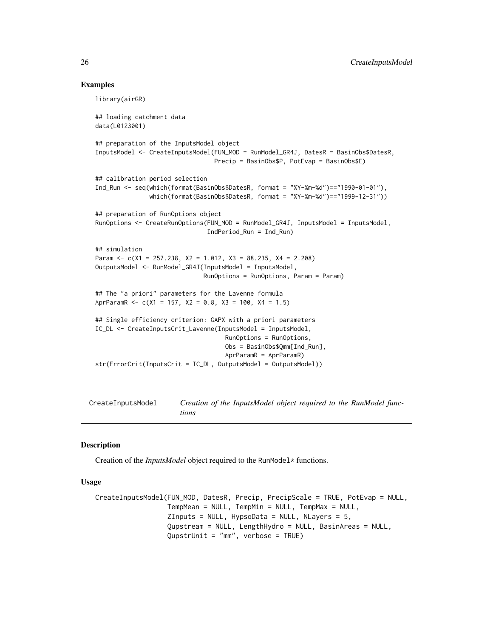#### Examples

```
library(airGR)
## loading catchment data
data(L0123001)
## preparation of the InputsModel object
InputsModel <- CreateInputsModel(FUN_MOD = RunModel_GR4J, DatesR = BasinObs$DatesR,
                                 Precip = BasinObs$P, PotEvap = BasinObs$E)
## calibration period selection
Ind_Run <- seq(which(format(BasinObs$DatesR, format = "%Y-%m-%d")=="1990-01-01"),
               which(format(BasinObs$DatesR, format = "%Y-%m-%d")=="1999-12-31"))
## preparation of RunOptions object
RunOptions <- CreateRunOptions(FUN_MOD = RunModel_GR4J, InputsModel = InputsModel,
                               IndPeriod_Run = Ind_Run)
## simulation
Param <- c(X1 = 257.238, X2 = 1.012, X3 = 88.235, X4 = 2.208)
OutputsModel <- RunModel_GR4J(InputsModel = InputsModel,
                              RunOptions = RunOptions, Param = Param)
## The "a priori" parameters for the Lavenne formula
AprParamR <- c(X1 = 157, X2 = 0.8, X3 = 100, X4 = 1.5)## Single efficiency criterion: GAPX with a priori parameters
IC_DL <- CreateInputsCrit_Lavenne(InputsModel = InputsModel,
                                    RunOptions = RunOptions,
                                    Obs = BasinObs$Qmm[Ind_Run],
                                    AprParamR = AprParamR)
str(ErrorCrit(InputsCrit = IC_DL, OutputsModel = OutputsModel))
```
<span id="page-25-1"></span>CreateInputsModel *Creation of the InputsModel object required to the RunModel functions*

#### Description

Creation of the *InputsModel* object required to the RunModel\* functions.

# Usage

```
CreateInputsModel(FUN_MOD, DatesR, Precip, PrecipScale = TRUE, PotEvap = NULL,
                  TempMean = NULL, TempMin = NULL, TempMax = NULL,
                  ZInputs = NULL, HypsoData = NULL, NLayers = 5,
                  Qupstream = NULL, LengthHydro = NULL, BasinAreas = NULL,
                  QupstrUnit = "mm", verbose = TRUE)
```
<span id="page-25-0"></span>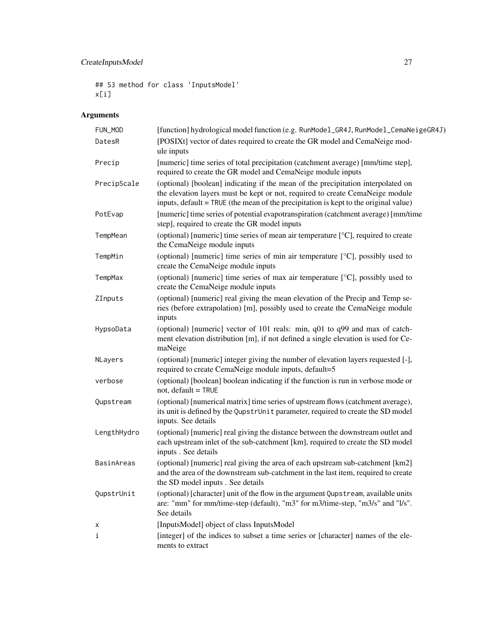# CreateInputsModel 27

```
## S3 method for class 'InputsModel'
x[i]
```
# Arguments

| FUN_MOD     | [function] hydrological model function (e.g. RunModel_GR4J, RunModel_CemaNeigeGR4J)                                                                                                                                                                       |
|-------------|-----------------------------------------------------------------------------------------------------------------------------------------------------------------------------------------------------------------------------------------------------------|
| DatesR      | [POSIXt] vector of dates required to create the GR model and CemaNeige mod-<br>ule inputs                                                                                                                                                                 |
| Precip      | [numeric] time series of total precipitation (catchment average) [mm/time step],<br>required to create the GR model and CemaNeige module inputs                                                                                                           |
| PrecipScale | (optional) [boolean] indicating if the mean of the precipitation interpolated on<br>the elevation layers must be kept or not, required to create CemaNeige module<br>inputs, default = TRUE (the mean of the precipitation is kept to the original value) |
| PotEvap     | [numeric] time series of potential evapotranspiration (catchment average) [mm/time]<br>step], required to create the GR model inputs                                                                                                                      |
| TempMean    | (optional) [numeric] time series of mean air temperature [°C], required to create<br>the CemaNeige module inputs                                                                                                                                          |
| TempMin     | (optional) [numeric] time series of min air temperature [°C], possibly used to<br>create the CemaNeige module inputs                                                                                                                                      |
| TempMax     | (optional) [numeric] time series of max air temperature [°C], possibly used to<br>create the CemaNeige module inputs                                                                                                                                      |
| ZInputs     | (optional) [numeric] real giving the mean elevation of the Precip and Temp se-<br>ries (before extrapolation) [m], possibly used to create the CemaNeige module<br>inputs                                                                                 |
| HypsoData   | (optional) [numeric] vector of 101 reals: min, q01 to q99 and max of catch-<br>ment elevation distribution [m], if not defined a single elevation is used for Ce-<br>maNeige                                                                              |
| NLayers     | (optional) [numeric] integer giving the number of elevation layers requested [-],<br>required to create CemaNeige module inputs, default=5                                                                                                                |
| verbose     | (optional) [boolean] boolean indicating if the function is run in verbose mode or<br>not, default = TRUE                                                                                                                                                  |
| Qupstream   | (optional) [numerical matrix] time series of upstream flows (catchment average),<br>its unit is defined by the QupstrUnit parameter, required to create the SD model<br>inputs. See details                                                               |
| LengthHydro | (optional) [numeric] real giving the distance between the downstream outlet and<br>each upstream inlet of the sub-catchment [km], required to create the SD model<br>inputs . See details                                                                 |
| BasinAreas  | (optional) [numeric] real giving the area of each upstream sub-catchment [km2]<br>and the area of the downstream sub-catchment in the last item, required to create<br>the SD model inputs . See details                                                  |
| QupstrUnit  | (optional) [character] unit of the flow in the argument Qupstream, available units<br>are: "mm" for mm/time-step (default), "m3" for m3/time-step, "m3/s" and "l/s".<br>See details                                                                       |
| х           | [InputsModel] object of class InputsModel                                                                                                                                                                                                                 |
| i           | [integer] of the indices to subset a time series or [character] names of the ele-<br>ments to extract                                                                                                                                                     |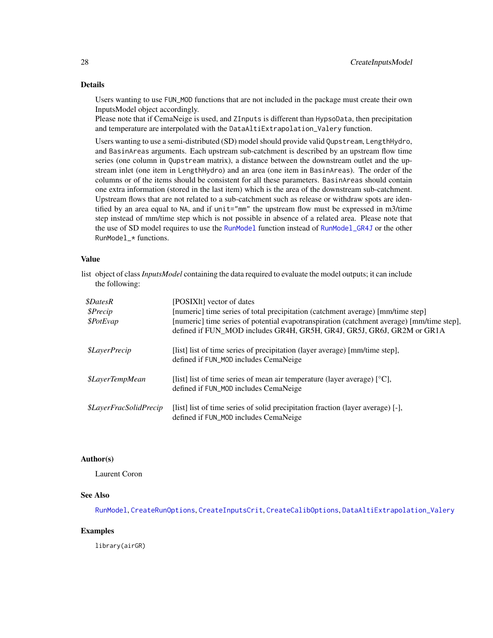# Details

Users wanting to use FUN\_MOD functions that are not included in the package must create their own InputsModel object accordingly.

Please note that if CemaNeige is used, and ZInputs is different than HypsoData, then precipitation and temperature are interpolated with the DataAltiExtrapolation\_Valery function.

Users wanting to use a semi-distributed (SD) model should provide valid Qupstream, LengthHydro, and BasinAreas arguments. Each upstream sub-catchment is described by an upstream flow time series (one column in Qupstream matrix), a distance between the downstream outlet and the upstream inlet (one item in LengthHydro) and an area (one item in BasinAreas). The order of the columns or of the items should be consistent for all these parameters. BasinAreas should contain one extra information (stored in the last item) which is the area of the downstream sub-catchment. Upstream flows that are not related to a sub-catchment such as release or withdraw spots are identified by an area equal to NA, and if unit="mm" the upstream flow must be expressed in m3/time step instead of mm/time step which is not possible in absence of a related area. Please note that the use of SD model requires to use the [RunModel](#page-53-1) function instead of [RunModel\\_GR4J](#page-81-1) or the other RunModel\_\* functions.

### Value

list object of class*InputsModel* containing the data required to evaluate the model outputs; it can include the following:

| <i><b>\$DatesR</b></i><br>\$Precip<br>\$PotEvap | [POSIX]t] vector of dates<br>[numeric] time series of total precipitation (catchment average) [mm/time step]<br>[numeric] time series of potential evapotranspiration (catchment average) [mm/time step],<br>defined if FUN MOD includes GR4H, GR5H, GR4J, GR5J, GR6J, GR2M or GR1A |
|-------------------------------------------------|-------------------------------------------------------------------------------------------------------------------------------------------------------------------------------------------------------------------------------------------------------------------------------------|
| <i><b>\$LayerPrecip</b></i>                     | [list] list of time series of precipitation (layer average) [mm/time step],<br>defined if FUN_MOD includes CemaNeige                                                                                                                                                                |
| <i><b>\$LayerTempMean</b></i>                   | [list] list of time series of mean air temperature (layer average) $[°C]$ ,<br>defined if FUN_MOD includes CemaNeige                                                                                                                                                                |
| <i><b>\$LayerFracSolidPrecip</b></i>            | [list] list of time series of solid precipitation fraction (layer average) [-],<br>defined if FUN_MOD includes CemaNeige                                                                                                                                                            |

## Author(s)

Laurent Coron

#### See Also

[RunModel](#page-53-1), [CreateRunOptions](#page-28-1), [CreateInputsCrit](#page-19-1), [CreateCalibOptions](#page-11-1), [DataAltiExtrapolation\\_Valery](#page-32-1)

#### Examples

library(airGR)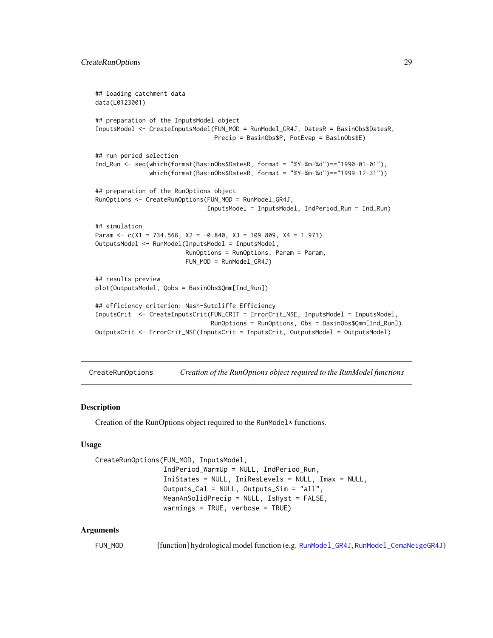```
## loading catchment data
data(L0123001)
## preparation of the InputsModel object
InputsModel <- CreateInputsModel(FUN_MOD = RunModel_GR4J, DatesR = BasinObs$DatesR,
                                 Precip = BasinObs$P, PotEvap = BasinObs$E)
## run period selection
Ind_Run <- seq(which(format(BasinObs$DatesR, format = "%Y-%m-%d")=="1990-01-01"),
               which(format(BasinObs$DatesR, format = "%Y-%m-%d")=="1999-12-31"))
## preparation of the RunOptions object
RunOptions <- CreateRunOptions(FUN_MOD = RunModel_GR4J,
                               InputsModel = InputsModel, IndPeriod_Run = Ind_Run)
## simulation
Param \leq c(X1 = 734.568, X2 = -0.840, X3 = 109.809, X4 = 1.971)
OutputsModel <- RunModel(InputsModel = InputsModel,
                         RunOptions = RunOptions, Param = Param,
                         FUN_MOD = RunModel_GR4J)
## results preview
plot(OutputsModel, Qobs = BasinObs$Qmm[Ind_Run])
## efficiency criterion: Nash-Sutcliffe Efficiency
InputsCrit <- CreateInputsCrit(FUN_CRIT = ErrorCrit_NSE, InputsModel = InputsModel,
                                RunOptions = RunOptions, Obs = BasinObs$Qmm[Ind_Run])
OutputsCrit <- ErrorCrit_NSE(InputsCrit = InputsCrit, OutputsModel = OutputsModel)
```
<span id="page-28-1"></span>CreateRunOptions *Creation of the RunOptions object required to the RunModel functions*

#### **Description**

Creation of the RunOptions object required to the RunModel\* functions.

#### Usage

```
CreateRunOptions(FUN_MOD, InputsModel,
                 IndPeriod_WarmUp = NULL, IndPeriod_Run,
                 IniStates = NULL, IniResLevels = NULL, Imax = NULL,
                 Outputs_Cal = NULL, Outputs_Sim = "all",
                 MeanAnSolidPrecip = NULL, IsHyst = FALSE,
                 warnings = TRUE, verbose = TRUE)
```
#### Arguments

FUN\_MOD [function] hydrological model function (e.g. [RunModel\\_GR4J](#page-81-1), [RunModel\\_CemaNeigeGR4J](#page-60-1))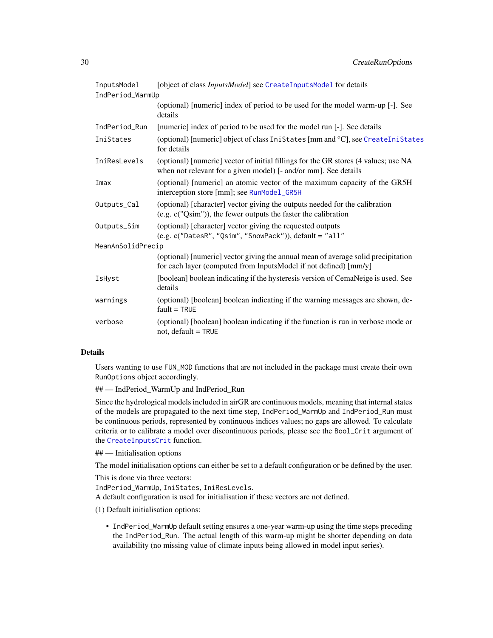| InputsModel       | [object of class InputsModel] see CreateInputsModel for details                                                                                        |  |
|-------------------|--------------------------------------------------------------------------------------------------------------------------------------------------------|--|
| IndPeriod_WarmUp  |                                                                                                                                                        |  |
|                   | (optional) [numeric] index of period to be used for the model warm-up [-]. See<br>details                                                              |  |
| IndPeriod_Run     | [numeric] index of period to be used for the model run [-]. See details                                                                                |  |
| IniStates         | (optional) [numeric] object of class IniStates [mm and °C], see CreateIniStates<br>for details                                                         |  |
| IniResLevels      | (optional) [numeric] vector of initial fillings for the GR stores (4 values; use NA<br>when not relevant for a given model) [- and/or mm]. See details |  |
| Imax              | (optional) [numeric] an atomic vector of the maximum capacity of the GR5H<br>interception store [mm]; see RunModel_GR5H                                |  |
| Outputs_Cal       | (optional) [character] vector giving the outputs needed for the calibration<br>$(e.g. c("Qsim"))$ , the fewer outputs the faster the calibration       |  |
| Outputs_Sim       | (optional) [character] vector giving the requested outputs<br>$(e.g. c("DatesR", "Qsim", "ShowPack"))$ , default = "all"                               |  |
| MeanAnSolidPrecip |                                                                                                                                                        |  |
|                   | (optional) [numeric] vector giving the annual mean of average solid precipitation<br>for each layer (computed from InputsModel if not defined) [mm/y]  |  |
| IsHyst            | [boolean] boolean indicating if the hysteresis version of CemaNeige is used. See<br>details                                                            |  |
| warnings          | (optional) [boolean] boolean indicating if the warning messages are shown, de-<br>$fault = TRUE$                                                       |  |
| verbose           | (optional) [boolean] boolean indicating if the function is run in verbose mode or<br>$not, default = TRUE$                                             |  |

#### Details

Users wanting to use FUN\_MOD functions that are not included in the package must create their own RunOptions object accordingly.

## — IndPeriod\_WarmUp and IndPeriod\_Run

Since the hydrological models included in airGR are continuous models, meaning that internal states of the models are propagated to the next time step, IndPeriod\_WarmUp and IndPeriod\_Run must be continuous periods, represented by continuous indices values; no gaps are allowed. To calculate criteria or to calibrate a model over discontinuous periods, please see the Bool\_Crit argument of the [CreateInputsCrit](#page-19-1) function.

## — Initialisation options

The model initialisation options can either be set to a default configuration or be defined by the user.

This is done via three vectors:

IndPeriod\_WarmUp, IniStates, IniResLevels.

A default configuration is used for initialisation if these vectors are not defined.

(1) Default initialisation options:

• IndPeriod\_WarmUp default setting ensures a one-year warm-up using the time steps preceding the IndPeriod\_Run. The actual length of this warm-up might be shorter depending on data availability (no missing value of climate inputs being allowed in model input series).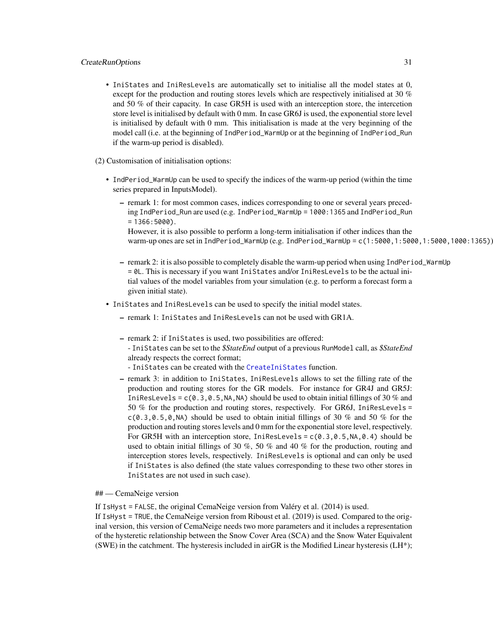#### CreateRunOptions 31

• IniStates and IniResLevels are automatically set to initialise all the model states at 0, except for the production and routing stores levels which are respectively initialised at 30 % and 50 % of their capacity. In case GR5H is used with an interception store, the intercetion store level is initialised by default with 0 mm. In case GR6J is used, the exponential store level is initialised by default with 0 mm. This initialisation is made at the very beginning of the model call (i.e. at the beginning of IndPeriod\_WarmUp or at the beginning of IndPeriod\_Run if the warm-up period is disabled).

#### (2) Customisation of initialisation options:

- IndPeriod\_WarmUp can be used to specify the indices of the warm-up period (within the time series prepared in InputsModel).
	- remark 1: for most common cases, indices corresponding to one or several years preceding IndPeriod\_Run are used (e.g. IndPeriod\_WarmUp = 1000:1365 and IndPeriod\_Run  $= 1366:5000$ .

However, it is also possible to perform a long-term initialisation if other indices than the warm-up ones are set in IndPeriod\_WarmUp (e.g. IndPeriod\_WarmUp = c(1:5000,1:5000,1:5000,1000:1365))

- remark 2: it is also possible to completely disable the warm-up period when using IndPeriod\_WarmUp = 0L. This is necessary if you want IniStates and/or IniResLevels to be the actual initial values of the model variables from your simulation (e.g. to perform a forecast form a given initial state).
- IniStates and IniResLevels can be used to specify the initial model states.
	- remark 1: IniStates and IniResLevels can not be used with GR1A.
	- remark 2: if IniStates is used, two possibilities are offered: - IniStates can be set to the *\$StateEnd* output of a previous RunModel call, as *\$StateEnd* already respects the correct format;
		- IniStates can be created with the [CreateIniStates](#page-16-1) function.
	- remark 3: in addition to IniStates, IniResLevels allows to set the filling rate of the production and routing stores for the GR models. For instance for GR4J and GR5J: IniResLevels =  $c(0.3, 0.5, NA, NA)$  should be used to obtain initial fillings of 30 % and 50 % for the production and routing stores, respectively. For GR6J, IniResLevels =  $c(0.3, 0.5, 0, NA)$  should be used to obtain initial fillings of 30 % and 50 % for the production and routing stores levels and 0 mm for the exponential store level, respectively. For GR5H with an interception store, IniResLevels =  $c(0.3, 0.5, NA, 0.4)$  should be used to obtain initial fillings of 30 %, 50 % and 40 % for the production, routing and interception stores levels, respectively. IniResLevels is optional and can only be used if IniStates is also defined (the state values corresponding to these two other stores in IniStates are not used in such case).

## — CemaNeige version

If IsHyst = FALSE, the original CemaNeige version from Valéry et al. (2014) is used.

If IsHyst = TRUE, the CemaNeige version from Riboust et al. (2019) is used. Compared to the original version, this version of CemaNeige needs two more parameters and it includes a representation of the hysteretic relationship between the Snow Cover Area (SCA) and the Snow Water Equivalent (SWE) in the catchment. The hysteresis included in airGR is the Modified Linear hysteresis ( $LH^*$ );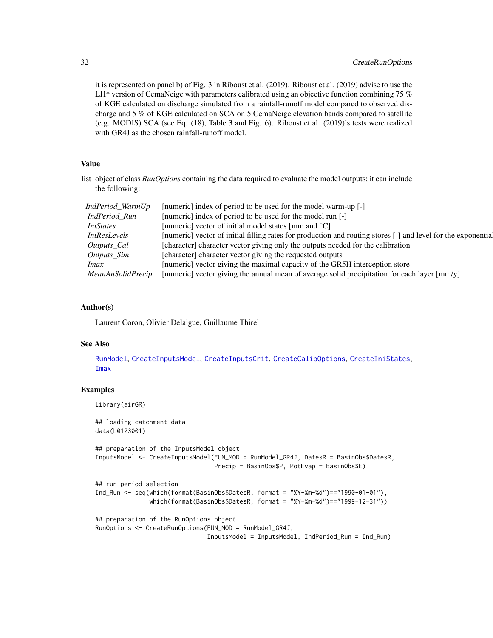# 32 CreateRunOptions

it is represented on panel b) of Fig. 3 in Riboust et al. (2019). Riboust et al. (2019) advise to use the LH $*$  version of CemaNeige with parameters calibrated using an objective function combining 75  $%$ of KGE calculated on discharge simulated from a rainfall-runoff model compared to observed discharge and 5 % of KGE calculated on SCA on 5 CemaNeige elevation bands compared to satellite (e.g. MODIS) SCA (see Eq. (18), Table 3 and Fig. 6). Riboust et al. (2019)'s tests were realized with GR4J as the chosen rainfall-runoff model.

#### Value

list object of class *RunOptions* containing the data required to evaluate the model outputs; it can include the following:

| IndPeriod_WarmUp    | [numeric] index of period to be used for the model warm-up [-]                                                |
|---------------------|---------------------------------------------------------------------------------------------------------------|
| IndPeriod Run       | [numeric] index of period to be used for the model run [-]                                                    |
| <i>IniStates</i>    | [numeric] vector of initial model states [mm and $^{\circ}$ C]                                                |
| <i>IniResLevels</i> | [numeric] vector of initial filling rates for production and routing stores [-] and level for the exponential |
| Outputs Cal         | [character] character vector giving only the outputs needed for the calibration                               |
| <i>Outputs_Sim</i>  | [character] character vector giving the requested outputs                                                     |
| <i>Imax</i>         | [numeric] vector giving the maximal capacity of the GR5H interception store                                   |
| MeanAnSolidPrecip   | [numeric] vector giving the annual mean of average solid precipitation for each layer [mm/y]                  |

#### Author(s)

Laurent Coron, Olivier Delaigue, Guillaume Thirel

#### See Also

[RunModel](#page-53-1), [CreateInputsModel](#page-25-1), [CreateInputsCrit](#page-19-1), [CreateCalibOptions](#page-11-1), [CreateIniStates](#page-16-1), [Imax](#page-44-1)

# Examples

library(airGR)

```
## loading catchment data
data(L0123001)
## preparation of the InputsModel object
InputsModel <- CreateInputsModel(FUN_MOD = RunModel_GR4J, DatesR = BasinObs$DatesR,
                                 Precip = BasinObs$P, PotEvap = BasinObs$E)
## run period selection
Ind_Run <- seq(which(format(BasinObs$DatesR, format = "%Y-%m-%d")=="1990-01-01"),
               which(format(BasinObs$DatesR, format = "%Y-%m-%d")=="1999-12-31"))
## preparation of the RunOptions object
```

```
RunOptions <- CreateRunOptions(FUN_MOD = RunModel_GR4J,
                               InputsModel = InputsModel, IndPeriod_Run = Ind_Run)
```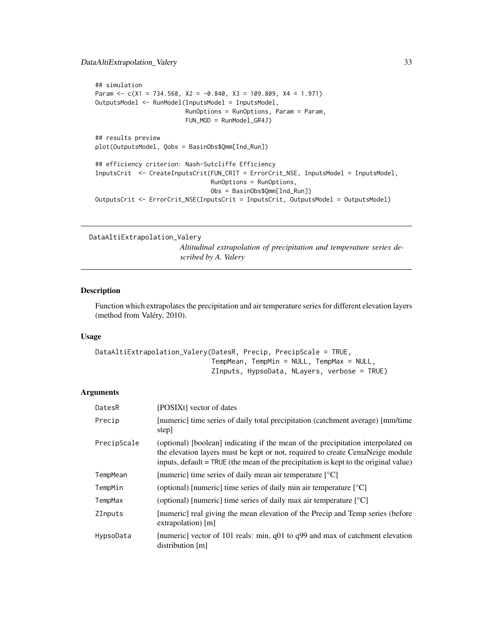# <span id="page-32-0"></span>DataAltiExtrapolation\_Valery 33

```
## simulation
Param \leq c(X1 = 734.568, X2 = -0.840, X3 = 109.809, X4 = 1.971)
OutputsModel <- RunModel(InputsModel = InputsModel,
                         RunOptions = RunOptions, Param = Param,
                         FUN_MOD = RunModel_GR4J)
## results preview
plot(OutputsModel, Qobs = BasinObs$Qmm[Ind_Run])
## efficiency criterion: Nash-Sutcliffe Efficiency
InputsCrit <- CreateInputsCrit(FUN_CRIT = ErrorCrit_NSE, InputsModel = InputsModel,
                                RunOptions = RunOptions,
                                Obs = BasinObs$Qmm[Ind_Run])
OutputsCrit <- ErrorCrit_NSE(InputsCrit = InputsCrit, OutputsModel = OutputsModel)
```

```
DataAltiExtrapolation_Valery
```
*Altitudinal extrapolation of precipitation and temperature series described by A. Valery*

#### Description

Function which extrapolates the precipitation and air temperature series for different elevation layers (method from Valéry, 2010).

#### Usage

```
DataAltiExtrapolation_Valery(DatesR, Precip, PrecipScale = TRUE,
                             TempMean, TempMin = NULL, TempMax = NULL,
                             ZInputs, HypsoData, NLayers, verbose = TRUE)
```
# Arguments

| DatesR         | [POSIXt] vector of dates                                                                                                                                                                                                                                  |
|----------------|-----------------------------------------------------------------------------------------------------------------------------------------------------------------------------------------------------------------------------------------------------------|
| Precip         | [numeric] time series of daily total precipitation (catchment average) [mm/time]<br>step]                                                                                                                                                                 |
| PrecipScale    | (optional) [boolean] indicating if the mean of the precipitation interpolated on<br>the elevation layers must be kept or not, required to create CemaNeige module<br>inputs, default = TRUE (the mean of the precipitation is kept to the original value) |
| TempMean       | [numeric] time series of daily mean air temperature $[°C]$                                                                                                                                                                                                |
| TempMin        | (optional) [numeric] time series of daily min air temperature $\lceil {^{\circ}C} \rceil$                                                                                                                                                                 |
| TempMax        | (optional) [numeric] time series of daily max air temperature $\lceil {^{\circ}C} \rceil$                                                                                                                                                                 |
| <b>ZInputs</b> | [numeric] real giving the mean elevation of the Precip and Temp series (before<br>$extrapolation)$ [m]                                                                                                                                                    |
| HypsoData      | [numeric] vector of 101 reals: min, $q01$ to $q99$ and max of catchment elevation<br>distribution [m]                                                                                                                                                     |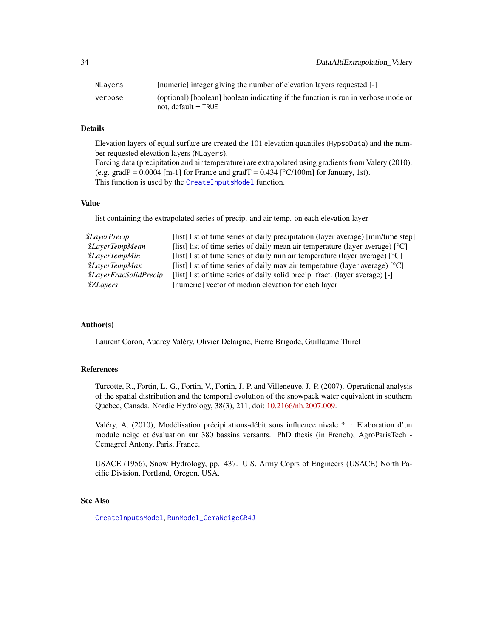| NLavers | [numeric] integer giving the number of elevation layers requested [-]             |
|---------|-----------------------------------------------------------------------------------|
| verbose | (optional) [boolean] boolean indicating if the function is run in verbose mode or |
|         | not. default $=$ TRUE                                                             |

# Details

Elevation layers of equal surface are created the 101 elevation quantiles (HypsoData) and the number requested elevation layers (NLayers).

Forcing data (precipitation and air temperature) are extrapolated using gradients from Valery (2010). (e.g. gradP =  $0.0004$  [m-1] for France and gradT =  $0.434$  [°C/100m] for January, 1st). This function is used by the [CreateInputsModel](#page-25-1) function.

# Value

list containing the extrapolated series of precip. and air temp. on each elevation layer

| \$LayerPrecip                                                                                                                       | [list] list of time series of daily precipitation (layer average) [mm/time step]                     |  |
|-------------------------------------------------------------------------------------------------------------------------------------|------------------------------------------------------------------------------------------------------|--|
| <i><b>\$LaverTempMean</b></i>                                                                                                       | [list] list of time series of daily mean air temperature (layer average) $\lceil {^{\circ}C} \rceil$ |  |
| [list] list of time series of daily min air temperature (layer average) $\lceil {^{\circ}C} \rceil$<br><i><b>\$LaverTempMin</b></i> |                                                                                                      |  |
| <i><b>\$LaverTempMax</b></i>                                                                                                        | [list] list of time series of daily max air temperature (layer average) $[°C]$                       |  |
| <i><b>\$LaverFracSolidPrecip</b></i>                                                                                                | [list] list of time series of daily solid precip. fract. (layer average) [-]                         |  |
| [numeric] vector of median elevation for each layer<br><i><b>\$ZLayers</b></i>                                                      |                                                                                                      |  |

#### Author(s)

Laurent Coron, Audrey Valéry, Olivier Delaigue, Pierre Brigode, Guillaume Thirel

#### References

Turcotte, R., Fortin, L.-G., Fortin, V., Fortin, J.-P. and Villeneuve, J.-P. (2007). Operational analysis of the spatial distribution and the temporal evolution of the snowpack water equivalent in southern Quebec, Canada. Nordic Hydrology, 38(3), 211, doi: [10.2166/nh.2007.009.](https://doi.org/10.2166/nh.2007.009)

Valéry, A. (2010), Modélisation précipitations-débit sous influence nivale ? : Elaboration d'un module neige et évaluation sur 380 bassins versants. PhD thesis (in French), AgroParisTech - Cemagref Antony, Paris, France.

USACE (1956), Snow Hydrology, pp. 437. U.S. Army Coprs of Engineers (USACE) North Pacific Division, Portland, Oregon, USA.

# See Also

[CreateInputsModel](#page-25-1), [RunModel\\_CemaNeigeGR4J](#page-60-1)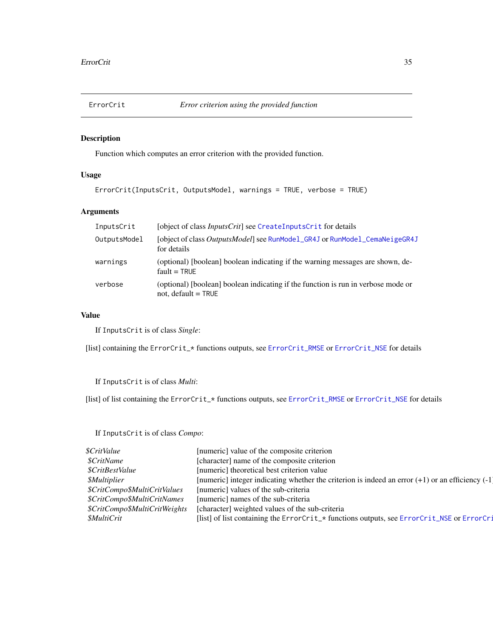<span id="page-34-1"></span><span id="page-34-0"></span>

# Description

Function which computes an error criterion with the provided function.

# Usage

```
ErrorCrit(InputsCrit, OutputsModel, warnings = TRUE, verbose = TRUE)
```
# Arguments

| InputsCrit   | [object of class <i>InputsCrit</i> ] see CreateInputsCrit for details                                      |
|--------------|------------------------------------------------------------------------------------------------------------|
| OutputsModel | [object of class OutputsModel] see RunModel_GR4J or RunModel_CemaNeigeGR4J<br>for details                  |
| warnings     | (optional) [boolean] boolean indicating if the warning messages are shown, de-<br>$fault = TRUF$           |
| verbose      | (optional) [boolean] boolean indicating if the function is run in verbose mode or<br>not, $default = TRUE$ |

# Value

If InputsCrit is of class *Single*:

[list] containing the ErrorCrit\_\* functions outputs, see [ErrorCrit\\_RMSE](#page-42-1) or [ErrorCrit\\_NSE](#page-40-1) for details

If InputsCrit is of class *Multi*:

[list] of list containing the ErrorCrit\_\* functions outputs, see [ErrorCrit\\_RMSE](#page-42-1) or [ErrorCrit\\_NSE](#page-40-1) for details

If InputsCrit is of class *Compo*:

| <i>\$CritValue</i>            | [numeric] value of the composite criterion                                                           |
|-------------------------------|------------------------------------------------------------------------------------------------------|
| <i><b>\$CritName</b></i>      | [character] name of the composite criterion                                                          |
| \$CritBestValue               | [numeric] theoretical best criterion value                                                           |
| <i><b>\$Multiplier</b></i>    | [numeric] integer indicating whether the criterion is indeed an error $(+1)$ or an efficiency $(-1)$ |
| \$CritCompo\$MultiCritValues  | [numeric] values of the sub-criteria                                                                 |
| \$CritCompo\$MultiCritNames   | [numeric] names of the sub-criteria                                                                  |
| \$CritCompo\$MultiCritWeights | [character] weighted values of the sub-criteria                                                      |
| <i><b>\$MultiCrit</b></i>     | [list] of list containing the ErrorCrit_* functions outputs, see ErrorCrit_NSE or ErrorCri           |
|                               |                                                                                                      |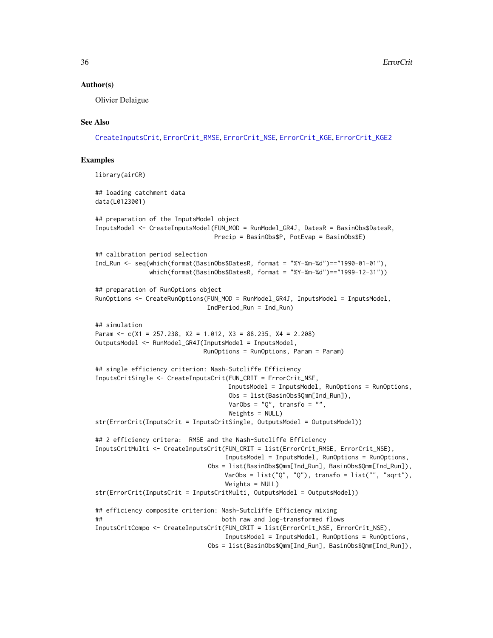#### Author(s)

Olivier Delaigue

#### See Also

[CreateInputsCrit](#page-19-1), [ErrorCrit\\_RMSE](#page-42-1), [ErrorCrit\\_NSE](#page-40-1), [ErrorCrit\\_KGE](#page-36-1), [ErrorCrit\\_KGE2](#page-38-1)

#### Examples

```
library(airGR)
## loading catchment data
data(L0123001)
## preparation of the InputsModel object
InputsModel <- CreateInputsModel(FUN_MOD = RunModel_GR4J, DatesR = BasinObs$DatesR,
                                Precip = BasinObs$P, PotEvap = BasinObs$E)
## calibration period selection
Ind_Run <- seq(which(format(BasinObs$DatesR, format = "%Y-%m-%d")=="1990-01-01"),
               which(format(BasinObs$DatesR, format = "%Y-%m-%d")=="1999-12-31"))
## preparation of RunOptions object
RunOptions <- CreateRunOptions(FUN_MOD = RunModel_GR4J, InputsModel = InputsModel,
                              IndPeriod_Run = Ind_Run)
## simulation
Param \leq c(X1 = 257.238, X2 = 1.012, X3 = 88.235, X4 = 2.208)
OutputsModel <- RunModel_GR4J(InputsModel = InputsModel,
                             RunOptions = RunOptions, Param = Param)
## single efficiency criterion: Nash-Sutcliffe Efficiency
InputsCritSingle <- CreateInputsCrit(FUN_CRIT = ErrorCrit_NSE,
                                    InputsModel = InputsModel, RunOptions = RunOptions,
                                    Obs = list(BasinObs$Qmm[Ind_Run]),
                                    VarObs = "Q", transfo = "",
                                    Weights = NULL)
str(ErrorCrit(InputsCrit = InputsCritSingle, OutputsModel = OutputsModel))
## 2 efficiency critera: RMSE and the Nash-Sutcliffe Efficiency
InputsCritMulti <- CreateInputsCrit(FUN_CRIT = list(ErrorCrit_RMSE, ErrorCrit_NSE),
                                   InputsModel = InputsModel, RunOptions = RunOptions,
                               Obs = list(BasinObs$Qmm[Ind_Run], BasinObs$Qmm[Ind_Run]),
                                   VarObs = list("Q", "Q"), transfo = list("", "sqrt"),
                                   Weights = NULL)
str(ErrorCrit(InputsCrit = InputsCritMulti, OutputsModel = OutputsModel))
## efficiency composite criterion: Nash-Sutcliffe Efficiency mixing
## both raw and log-transformed flows
InputsCritCompo <- CreateInputsCrit(FUN_CRIT = list(ErrorCrit_NSE, ErrorCrit_NSE),
                                   InputsModel = InputsModel, RunOptions = RunOptions,
                               Obs = list(BasinObs$Qmm[Ind_Run], BasinObs$Qmm[Ind_Run]),
```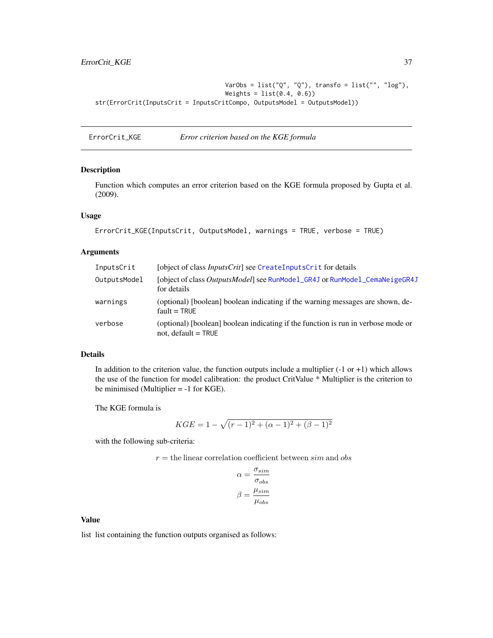```
VarObs = list("Q", "Q"), transfo = list("", "log"),
                                   Weights = list(0.4, 0.6)str(ErrorCrit(InputsCrit = InputsCritCompo, OutputsModel = OutputsModel))
```
<span id="page-36-0"></span>ErrorCrit\_KGE *Error criterion based on the KGE formula*

#### Description

Function which computes an error criterion based on the KGE formula proposed by Gupta et al. (2009).

### Usage

```
ErrorCrit_KGE(InputsCrit, OutputsModel, warnings = TRUE, verbose = TRUE)
```
## Arguments

| InputsCrit   | [object of class <i>InputsCrit</i> ] see CreateInputsCrit for details                                      |
|--------------|------------------------------------------------------------------------------------------------------------|
| OutputsModel | [object of class <i>OutputsModel</i> ] see RunModel_GR4J or RunModel_CemaNeigeGR4J<br>for details          |
| warnings     | (optional) [boolean] boolean indicating if the warning messages are shown, de-<br>$fault = TRUF$           |
| verbose      | (optional) [boolean] boolean indicating if the function is run in verbose mode or<br>not, default $=$ TRUE |

### Details

In addition to the criterion value, the function outputs include a multiplier  $(-1 \text{ or } +1)$  which allows the use of the function for model calibration: the product CritValue \* Multiplier is the criterion to be minimised (Multiplier = -1 for KGE).

The KGE formula is

$$
KGE = 1 - \sqrt{(r-1)^2 + (\alpha - 1)^2 + (\beta - 1)^2}
$$

with the following sub-criteria:

 $r =$  the linear correlation coefficient between  $sim$  and  $obs$ 

$$
\alpha = \frac{\sigma_{sim}}{\sigma_{obs}}
$$

$$
\beta = \frac{\mu_{sim}}{\mu_{obs}}
$$

#### Value

list list containing the function outputs organised as follows: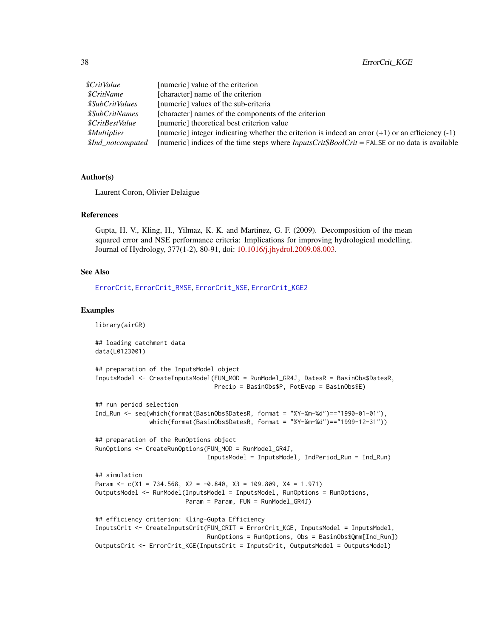| \$CritValue                   | [numeric] value of the criterion                                                                      |
|-------------------------------|-------------------------------------------------------------------------------------------------------|
| <i>SCritName</i>              | [character] name of the criterion                                                                     |
| <i><b>\$SubCritValues</b></i> | [numeric] values of the sub-criteria                                                                  |
| <i><b>\$SubCritNames</b></i>  | [character] names of the components of the criterion                                                  |
| <i>SCritBestValue</i>         | [numeric] theoretical best criterion value                                                            |
| <i><b>SMultiplier</b></i>     | [numeric] integer indicating whether the criterion is indeed an error $(+1)$ or an efficiency $(-1)$  |
| \$Ind_notcomputed             | [numeric] indices of the time steps where $InputStream$ $InputStream$ = FALSE or no data is available |

## Author(s)

Laurent Coron, Olivier Delaigue

#### References

Gupta, H. V., Kling, H., Yilmaz, K. K. and Martinez, G. F. (2009). Decomposition of the mean squared error and NSE performance criteria: Implications for improving hydrological modelling. Journal of Hydrology, 377(1-2), 80-91, doi: [10.1016/j.jhydrol.2009.08.003.](https://doi.org/10.1016/j.jhydrol.2009.08.003)

#### See Also

[ErrorCrit](#page-34-0), [ErrorCrit\\_RMSE](#page-42-0), [ErrorCrit\\_NSE](#page-40-0), [ErrorCrit\\_KGE2](#page-38-0)

```
library(airGR)
## loading catchment data
data(L0123001)
## preparation of the InputsModel object
InputsModel <- CreateInputsModel(FUN_MOD = RunModel_GR4J, DatesR = BasinObs$DatesR,
                                 Precip = BasinObs$P, PotEvap = BasinObs$E)
## run period selection
Ind_Run <- seq(which(format(BasinObs$DatesR, format = "%Y-%m-%d")=="1990-01-01"),
               which(format(BasinObs$DatesR, format = "%Y-%m-%d")=="1999-12-31"))
## preparation of the RunOptions object
RunOptions <- CreateRunOptions(FUN_MOD = RunModel_GR4J,
                               InputsModel = InputsModel, IndPeriod_Run = Ind_Run)
## simulation
Param \leq c(X1 = 734.568, X2 = -0.840, X3 = 109.809, X4 = 1.971)
OutputsModel <- RunModel(InputsModel = InputsModel, RunOptions = RunOptions,
                        Param = Param, FUN = RunModel_GR4J)
## efficiency criterion: Kling-Gupta Efficiency
InputsCrit <- CreateInputsCrit(FUN_CRIT = ErrorCrit_KGE, InputsModel = InputsModel,
                               RunOptions = RunOptions, Obs = BasinObs$Qmm[Ind_Run])
OutputsCrit <- ErrorCrit_KGE(InputsCrit = InputsCrit, OutputsModel = OutputsModel)
```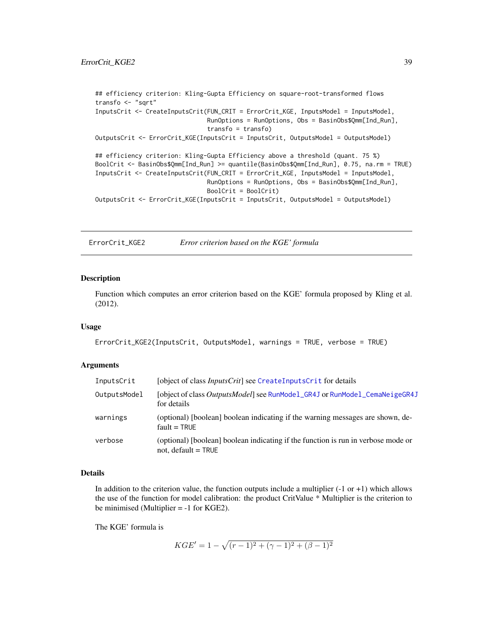```
## efficiency criterion: Kling-Gupta Efficiency on square-root-transformed flows
transfo <- "sqrt"
InputsCrit <- CreateInputsCrit(FUN_CRIT = ErrorCrit_KGE, InputsModel = InputsModel,
                               RunOptions = RunOptions, Obs = BasinObs$Qmm[Ind_Run],
                               transfo = transfo)
OutputsCrit <- ErrorCrit_KGE(InputsCrit = InputsCrit, OutputsModel = OutputsModel)
## efficiency criterion: Kling-Gupta Efficiency above a threshold (quant. 75 %)
BoolCrit <- BasinObs$Qmm[Ind_Run] >= quantile(BasinObs$Qmm[Ind_Run], 0.75, na.rm = TRUE)
InputsCrit <- CreateInputsCrit(FUN_CRIT = ErrorCrit_KGE, InputsModel = InputsModel,
                               RunOptions = RunOptions, Obs = BasinObs$Qmm[Ind_Run],
                               BoolCrit = BoolCrit)
OutputsCrit <- ErrorCrit_KGE(InputsCrit = InputsCrit, OutputsModel = OutputsModel)
```
<span id="page-38-0"></span>ErrorCrit\_KGE2 *Error criterion based on the KGE' formula*

#### Description

Function which computes an error criterion based on the KGE' formula proposed by Kling et al. (2012).

#### Usage

```
ErrorCrit_KGE2(InputsCrit, OutputsModel, warnings = TRUE, verbose = TRUE)
```
### Arguments

| InputsCrit   | [object of class <i>InputsCrit</i> ] see CreateInputsCrit for details                                      |
|--------------|------------------------------------------------------------------------------------------------------------|
| OutputsModel | [object of class <i>OutputsModel</i> ] see RunModel_GR4J or RunModel_CemaNeigeGR4J<br>for details          |
| warnings     | (optional) [boolean] boolean indicating if the warning messages are shown, de-<br>$fault = TRUE$           |
| verbose      | (optional) [boolean] boolean indicating if the function is run in verbose mode or<br>not, default $=$ TRUE |

#### Details

In addition to the criterion value, the function outputs include a multiplier  $(-1 \text{ or } +1)$  which allows the use of the function for model calibration: the product CritValue \* Multiplier is the criterion to be minimised (Multiplier = -1 for KGE2).

The KGE' formula is

$$
KGE' = 1 - \sqrt{(r-1)^2 + (\gamma - 1)^2 + (\beta - 1)^2}
$$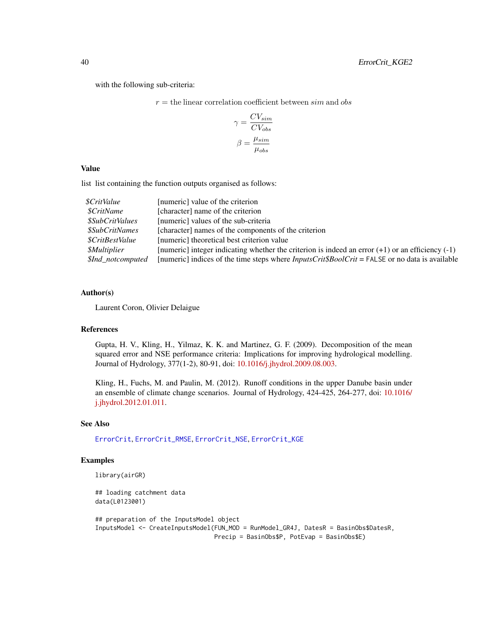with the following sub-criteria:

 $r =$  the linear correlation coefficient between  $sim$  and  $obs$ 

$$
\gamma = \frac{CV_{sim}}{CV_{obs}}
$$

$$
\beta = \frac{\mu_{sim}}{\mu_{obs}}
$$

## Value

list list containing the function outputs organised as follows:

| <i><b>\$CritValue</b></i>    | [numeric] value of the criterion                                                                          |
|------------------------------|-----------------------------------------------------------------------------------------------------------|
| <i>SCritName</i>             | [character] name of the criterion                                                                         |
| \$SubCritValues              | [numeric] values of the sub-criteria                                                                      |
| <i><b>\$SubCritNames</b></i> | [character] names of the components of the criterion                                                      |
| <i>SCritBestValue</i>        | [numeric] theoretical best criterion value                                                                |
| <i><b>SMultiplier</b></i>    | [numeric] integer indicating whether the criterion is indeed an error $(+1)$ or an efficiency $(-1)$      |
| \$Ind_notcomputed            | [numeric] indices of the time steps where $InputStreamListCrit\$BoolCrit = FALSE$ or no data is available |

### Author(s)

Laurent Coron, Olivier Delaigue

#### References

Gupta, H. V., Kling, H., Yilmaz, K. K. and Martinez, G. F. (2009). Decomposition of the mean squared error and NSE performance criteria: Implications for improving hydrological modelling. Journal of Hydrology, 377(1-2), 80-91, doi: [10.1016/j.jhydrol.2009.08.003.](https://doi.org/10.1016/j.jhydrol.2009.08.003)

Kling, H., Fuchs, M. and Paulin, M. (2012). Runoff conditions in the upper Danube basin under an ensemble of climate change scenarios. Journal of Hydrology, 424-425, 264-277, doi: [10.1016/](https://doi.org/10.1016/j.jhydrol.2012.01.011) [j.jhydrol.2012.01.011.](https://doi.org/10.1016/j.jhydrol.2012.01.011)

# See Also

[ErrorCrit](#page-34-0), [ErrorCrit\\_RMSE](#page-42-0), [ErrorCrit\\_NSE](#page-40-0), [ErrorCrit\\_KGE](#page-36-0)

### Examples

library(airGR)

## loading catchment data data(L0123001)

```
## preparation of the InputsModel object
InputsModel <- CreateInputsModel(FUN_MOD = RunModel_GR4J, DatesR = BasinObs$DatesR,
                                Precip = BasinObs$P, PotEvap = BasinObs$E)
```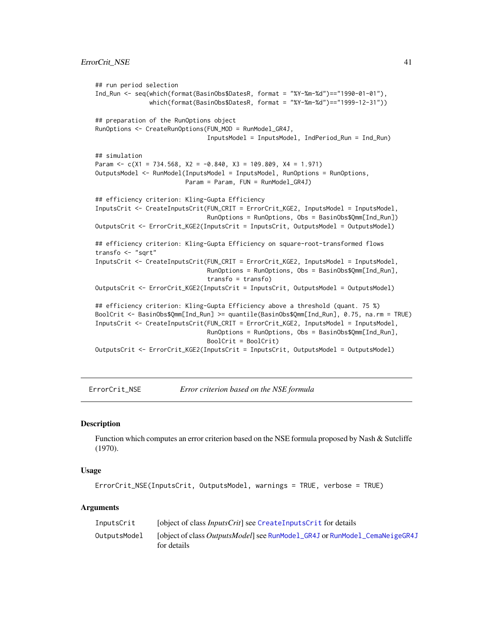```
## run period selection
Ind_Run <- seq(which(format(BasinObs$DatesR, format = "%Y-%m-%d")=="1990-01-01"),
               which(format(BasinObs$DatesR, format = "%Y-%m-%d")=="1999-12-31"))
## preparation of the RunOptions object
RunOptions <- CreateRunOptions(FUN_MOD = RunModel_GR4J,
                               InputsModel = InputsModel, IndPeriod_Run = Ind_Run)
## simulation
Param \leq c(X1 = 734.568, X2 = -0.840, X3 = 109.809, X4 = 1.971)
OutputsModel <- RunModel(InputsModel = InputsModel, RunOptions = RunOptions,
                         Param = Param, FUN = RunModel_GR4J)
## efficiency criterion: Kling-Gupta Efficiency
InputsCrit <- CreateInputsCrit(FUN_CRIT = ErrorCrit_KGE2, InputsModel = InputsModel,
                               RunOptions = RunOptions, Obs = BasinObs$Qmm[Ind_Run])
OutputsCrit <- ErrorCrit_KGE2(InputsCrit = InputsCrit, OutputsModel = OutputsModel)
## efficiency criterion: Kling-Gupta Efficiency on square-root-transformed flows
transfo <- "sqrt"
InputsCrit <- CreateInputsCrit(FUN_CRIT = ErrorCrit_KGE2, InputsModel = InputsModel,
                               RunOptions = RunOptions, Obs = BasinObs$Qmm[Ind_Run],
                               transfo = transfo)
OutputsCrit <- ErrorCrit_KGE2(InputsCrit = InputsCrit, OutputsModel = OutputsModel)
## efficiency criterion: Kling-Gupta Efficiency above a threshold (quant. 75 %)
BoolCrit <- BasinObs$Qmm[Ind_Run] >= quantile(BasinObs$Qmm[Ind_Run], 0.75, na.rm = TRUE)
InputsCrit <- CreateInputsCrit(FUN_CRIT = ErrorCrit_KGE2, InputsModel = InputsModel,
                               RunOptions = RunOptions, Obs = BasinObs$Qmm[Ind_Run],
                               BoolCrit = BoolCrit)
OutputsCrit <- ErrorCrit_KGE2(InputsCrit = InputsCrit, OutputsModel = OutputsModel)
```
<span id="page-40-0"></span>ErrorCrit\_NSE *Error criterion based on the NSE formula*

### **Description**

Function which computes an error criterion based on the NSE formula proposed by Nash & Sutcliffe (1970).

#### Usage

```
ErrorCrit_NSE(InputsCrit, OutputsModel, warnings = TRUE, verbose = TRUE)
```
#### Arguments

| InputsCrit   | [object of class <i>InputsCrit</i> ] see CreateInputsCrit for details                             |
|--------------|---------------------------------------------------------------------------------------------------|
| OutputsModel | [object of class <i>OutputsModel</i> ] see RunModel_GR4J or RunModel_CemaNeigeGR4J<br>for details |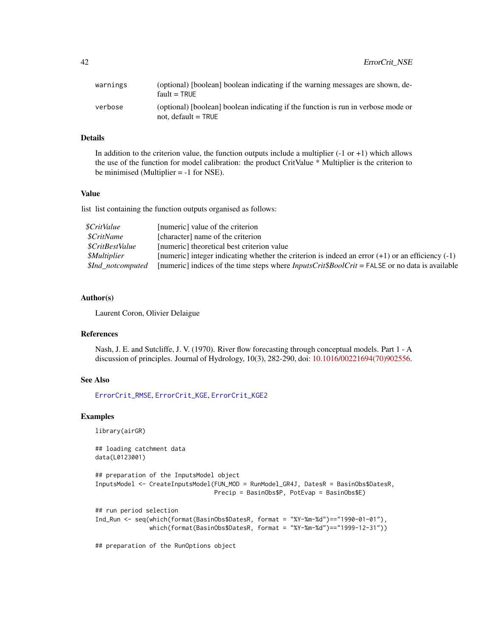| warnings | (optional) [boolean] boolean indicating if the warning messages are shown, de-<br>$fault = TRUE$           |
|----------|------------------------------------------------------------------------------------------------------------|
| verbose  | (optional) [boolean] boolean indicating if the function is run in verbose mode or<br>not, default $=$ TRUE |

### Details

In addition to the criterion value, the function outputs include a multiplier  $(-1 \text{ or } +1)$  which allows the use of the function for model calibration: the product CritValue \* Multiplier is the criterion to be minimised (Multiplier = -1 for NSE).

#### Value

list list containing the function outputs organised as follows:

| \$CritValue               | [numeric] value of the criterion                                                                      |
|---------------------------|-------------------------------------------------------------------------------------------------------|
| <i>SCritName</i>          | [character] name of the criterion                                                                     |
| <i>SCritBestValue</i>     | [numeric] theoretical best criterion value                                                            |
| <i><b>SMultiplier</b></i> | [numeric] integer indicating whether the criterion is indeed an error $(+1)$ or an efficiency $(-1)$  |
| <i>SInd notcomputed</i>   | [numeric] indices of the time steps where <i>InputsCrit\$BoolCrit</i> = FALSE or no data is available |

### Author(s)

Laurent Coron, Olivier Delaigue

#### References

Nash, J. E. and Sutcliffe, J. V. (1970). River flow forecasting through conceptual models. Part 1 - A discussion of principles. Journal of Hydrology, 10(3), 282-290, doi: [10.1016/00221694\(70\)902556.](https://doi.org/10.1016/0022-1694(70)90255-6)

## See Also

[ErrorCrit\\_RMSE](#page-42-0), [ErrorCrit\\_KGE](#page-36-0), [ErrorCrit\\_KGE2](#page-38-0)

#### Examples

library(airGR)

## loading catchment data data(L0123001) ## preparation of the InputsModel object

InputsModel <- CreateInputsModel(FUN\_MOD = RunModel\_GR4J, DatesR = BasinObs\$DatesR, Precip = BasinObs\$P, PotEvap = BasinObs\$E)

```
## run period selection
```

```
Ind_Run <- seq(which(format(BasinObs$DatesR, format = "%Y-%m-%d")=="1990-01-01"),
               which(format(BasinObs$DatesR, format = "%Y-%m-%d")=="1999-12-31"))
```
## preparation of the RunOptions object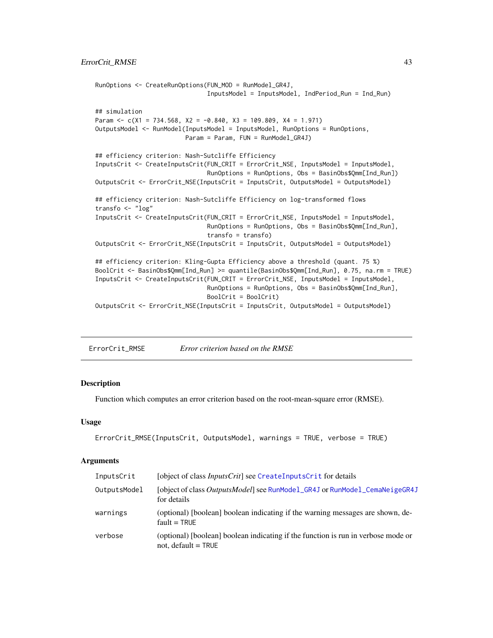```
RunOptions <- CreateRunOptions(FUN_MOD = RunModel_GR4J,
                               InputsModel = InputsModel, IndPeriod_Run = Ind_Run)
## simulation
Param \leq c(X1 = 734.568, X2 = -0.840, X3 = 109.809, X4 = 1.971)
OutputsModel <- RunModel(InputsModel = InputsModel, RunOptions = RunOptions,
                        Param = Param, FUN = RunModel_GR4J)
## efficiency criterion: Nash-Sutcliffe Efficiency
InputsCrit <- CreateInputsCrit(FUN_CRIT = ErrorCrit_NSE, InputsModel = InputsModel,
                               RunOptions = RunOptions, Obs = BasinObs$Qmm[Ind_Run])
OutputsCrit <- ErrorCrit_NSE(InputsCrit = InputsCrit, OutputsModel = OutputsModel)
## efficiency criterion: Nash-Sutcliffe Efficiency on log-transformed flows
transfo <- "log"
InputsCrit <- CreateInputsCrit(FUN_CRIT = ErrorCrit_NSE, InputsModel = InputsModel,
                               RunOptions = RunOptions, Obs = BasinObs$Qmm[Ind_Run],
                               transfo = transfo)
OutputsCrit <- ErrorCrit_NSE(InputsCrit = InputsCrit, OutputsModel = OutputsModel)
## efficiency criterion: Kling-Gupta Efficiency above a threshold (quant. 75 %)
BoolCrit <- BasinObs$Qmm[Ind_Run] >= quantile(BasinObs$Qmm[Ind_Run], 0.75, na.rm = TRUE)
InputsCrit <- CreateInputsCrit(FUN_CRIT = ErrorCrit_NSE, InputsModel = InputsModel,
                               RunOptions = RunOptions, Obs = BasinObs$Qmm[Ind_Run],
                               BoolCrit = BoolCrit)
OutputsCrit <- ErrorCrit_NSE(InputsCrit = InputsCrit, OutputsModel = OutputsModel)
```
<span id="page-42-0"></span>ErrorCrit\_RMSE *Error criterion based on the RMSE*

### **Description**

Function which computes an error criterion based on the root-mean-square error (RMSE).

#### Usage

```
ErrorCrit_RMSE(InputsCrit, OutputsModel, warnings = TRUE, verbose = TRUE)
```
#### Arguments

| InputsCrit   | [object of class <i>InputsCrit</i> ] see CreateInputsCrit for details                                      |
|--------------|------------------------------------------------------------------------------------------------------------|
| OutputsModel | [object of class <i>OutputsModel</i> ] see RunModel_GR4J or RunModel_CemaNeigeGR4J<br>for details          |
| warnings     | (optional) [boolean] boolean indicating if the warning messages are shown, de-<br>$fault = TRUE$           |
| verbose      | (optional) [boolean] boolean indicating if the function is run in verbose mode or<br>not, default $=$ TRUE |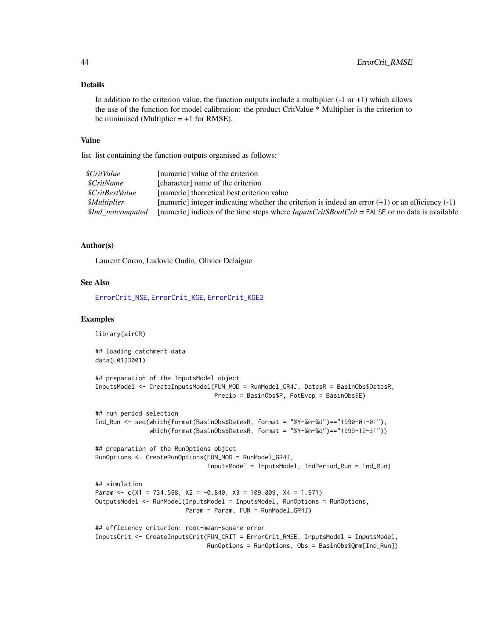#### Details

In addition to the criterion value, the function outputs include a multiplier  $(-1 \text{ or } +1)$  which allows the use of the function for model calibration: the product CritValue \* Multiplier is the criterion to be minimised (Multiplier  $= +1$  for RMSE).

#### Value

list list containing the function outputs organised as follows:

| <i><b>\$CritValue</b></i> | [numeric] value of the criterion                                                                     |
|---------------------------|------------------------------------------------------------------------------------------------------|
| <i>SCritName</i>          | [character] name of the criterion                                                                    |
| <i>SCritBestValue</i>     | [numeric] theoretical best criterion value                                                           |
| <i><b>SMultiplier</b></i> | [numeric] integer indicating whether the criterion is indeed an error $(+1)$ or an efficiency $(-1)$ |
| <i>SInd notcomputed</i>   | [numeric] indices of the time steps where <i>InputsCritSBoolCrit</i> = FALSE or no data is available |

## Author(s)

Laurent Coron, Ludovic Oudin, Olivier Delaigue

### See Also

[ErrorCrit\\_NSE](#page-40-0), [ErrorCrit\\_KGE](#page-36-0), [ErrorCrit\\_KGE2](#page-38-0)

```
library(airGR)
## loading catchment data
data(L0123001)
## preparation of the InputsModel object
InputsModel <- CreateInputsModel(FUN_MOD = RunModel_GR4J, DatesR = BasinObs$DatesR,
                                 Precip = BasinObs$P, PotEvap = BasinObs$E)
## run period selection
Ind_Run <- seq(which(format(BasinObs$DatesR, format = "%Y-%m-%d")=="1990-01-01"),
               which(format(BasinObs$DatesR, format = "%Y-%m-%d")=="1999-12-31"))
## preparation of the RunOptions object
RunOptions <- CreateRunOptions(FUN_MOD = RunModel_GR4J,
                               InputsModel = InputsModel, IndPeriod_Run = Ind_Run)
## simulation
Param \leq c(X1 = 734.568, X2 = -0.840, X3 = 109.809, X4 = 1.971)
OutputsModel <- RunModel(InputsModel = InputsModel, RunOptions = RunOptions,
                        Param = Param, FUN = RunModel_GR4J)
## efficiency criterion: root-mean-square error
InputsCrit <- CreateInputsCrit(FUN_CRIT = ErrorCrit_RMSE, InputsModel = InputsModel,
                               RunOptions = RunOptions, Obs = BasinObs$Qmm[Ind_Run])
```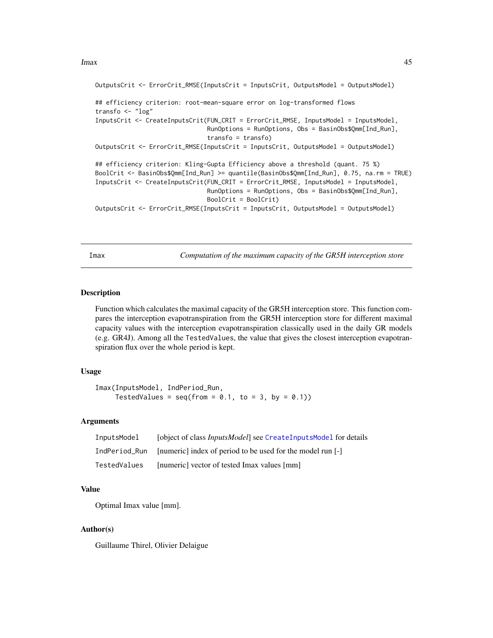```
OutputsCrit <- ErrorCrit_RMSE(InputsCrit = InputsCrit, OutputsModel = OutputsModel)
## efficiency criterion: root-mean-square error on log-transformed flows
transfo <- "log"
InputsCrit <- CreateInputsCrit(FUN_CRIT = ErrorCrit_RMSE, InputsModel = InputsModel,
                               RunOptions = RunOptions, Obs = BasinObs$Qmm[Ind_Run],
                               transfo = transfo)
OutputsCrit <- ErrorCrit_RMSE(InputsCrit = InputsCrit, OutputsModel = OutputsModel)
## efficiency criterion: Kling-Gupta Efficiency above a threshold (quant. 75 %)
BoolCrit <- BasinObs$Qmm[Ind_Run] >= quantile(BasinObs$Qmm[Ind_Run], 0.75, na.rm = TRUE)
InputsCrit <- CreateInputsCrit(FUN_CRIT = ErrorCrit_RMSE, InputsModel = InputsModel,
                               RunOptions = RunOptions, Obs = BasinObs$Qmm[Ind_Run],
                               BoolCrit = BoolCrit)
OutputsCrit <- ErrorCrit_RMSE(InputsCrit = InputsCrit, OutputsModel = OutputsModel)
```
<span id="page-44-0"></span>Imax *Computation of the maximum capacity of the GR5H interception store*

#### Description

Function which calculates the maximal capacity of the GR5H interception store. This function compares the interception evapotranspiration from the GR5H interception store for different maximal capacity values with the interception evapotranspiration classically used in the daily GR models (e.g. GR4J). Among all the TestedValues, the value that gives the closest interception evapotranspiration flux over the whole period is kept.

### Usage

```
Imax(InputsModel, IndPeriod_Run,
    TestedValues = seq(from = 0.1, to = 3, by = 0.1)
```
### Arguments

| InputsModel   | [object of class <i>InputsModel</i> ] see CreateInputsModel for details |
|---------------|-------------------------------------------------------------------------|
| IndPeriod Run | [numeric] index of period to be used for the model run [-]              |
| TestedValues  | [numeric] vector of tested Imax values [mm]                             |

## Value

Optimal Imax value [mm].

## Author(s)

Guillaume Thirel, Olivier Delaigue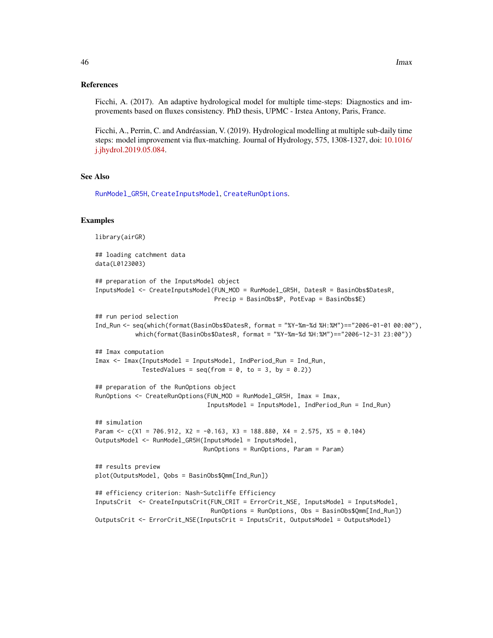Ficchi, A. (2017). An adaptive hydrological model for multiple time-steps: Diagnostics and improvements based on fluxes consistency. PhD thesis, UPMC - Irstea Antony, Paris, France.

Ficchi, A., Perrin, C. and Andréassian, V. (2019). Hydrological modelling at multiple sub-daily time steps: model improvement via flux-matching. Journal of Hydrology, 575, 1308-1327, doi: [10.1016/](https://doi.org/10.1016/j.jhydrol.2019.05.084) [j.jhydrol.2019.05.084.](https://doi.org/10.1016/j.jhydrol.2019.05.084)

## See Also

[RunModel\\_GR5H](#page-84-0), [CreateInputsModel](#page-25-0), [CreateRunOptions](#page-28-0).

```
library(airGR)
## loading catchment data
data(L0123003)
## preparation of the InputsModel object
InputsModel <- CreateInputsModel(FUN_MOD = RunModel_GR5H, DatesR = BasinObs$DatesR,
                                 Precip = BasinObs$P, PotEvap = BasinObs$E)
## run period selection
Ind_Run <- seq(which(format(BasinObs$DatesR, format = "%Y-%m-%d %H:%M")=="2006-01-01 00:00"),
           which(format(BasinObs$DatesR, format = "%Y-%m-%d %H:%M")=="2006-12-31 23:00"))
## Imax computation
Imax <- Imax(InputsModel = InputsModel, IndPeriod_Run = Ind_Run,
             TestedValues = seq(from = 0, to = 3, by = 0.2)## preparation of the RunOptions object
RunOptions <- CreateRunOptions(FUN_MOD = RunModel_GR5H, Imax = Imax,
                               InputsModel = InputsModel, IndPeriod_Run = Ind_Run)
## simulation
Param <- c(X1 = 706.912, X2 = -0.163, X3 = 188.880, X4 = 2.575, X5 = 0.104)
OutputsModel <- RunModel_GR5H(InputsModel = InputsModel,
                              RunOptions = RunOptions, Param = Param)
## results preview
plot(OutputsModel, Qobs = BasinObs$Qmm[Ind_Run])
## efficiency criterion: Nash-Sutcliffe Efficiency
InputsCrit <- CreateInputsCrit(FUN_CRIT = ErrorCrit_NSE, InputsModel = InputsModel,
                                RunOptions = RunOptions, Obs = BasinObs$Qmm[Ind_Run])
OutputsCrit <- ErrorCrit_NSE(InputsCrit = InputsCrit, OutputsModel = OutputsModel)
```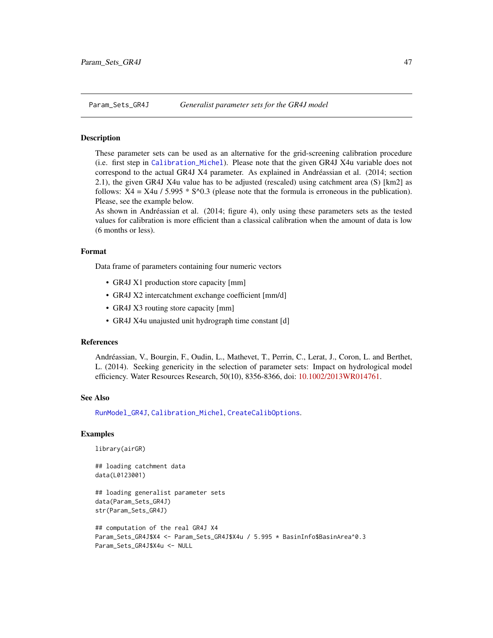### Description

These parameter sets can be used as an alternative for the grid-screening calibration procedure (i.e. first step in [Calibration\\_Michel](#page-8-0)). Please note that the given GR4J X4u variable does not correspond to the actual GR4J X4 parameter. As explained in Andréassian et al. (2014; section 2.1), the given GR4J X4u value has to be adjusted (rescaled) using catchment area (S) [km2] as follows:  $X4 = X4u / 5.995 * S^0/0.3$  (please note that the formula is erroneous in the publication). Please, see the example below.

As shown in Andréassian et al. (2014; figure 4), only using these parameters sets as the tested values for calibration is more efficient than a classical calibration when the amount of data is low (6 months or less).

## Format

Data frame of parameters containing four numeric vectors

- GR4J X1 production store capacity [mm]
- GR4J X2 intercatchment exchange coefficient [mm/d]
- GR4J X3 routing store capacity [mm]
- GR4J X4u unajusted unit hydrograph time constant [d]

#### References

Andréassian, V., Bourgin, F., Oudin, L., Mathevet, T., Perrin, C., Lerat, J., Coron, L. and Berthet, L. (2014). Seeking genericity in the selection of parameter sets: Impact on hydrological model efficiency. Water Resources Research, 50(10), 8356-8366, doi: [10.1002/2013WR014761.](https://doi.org/10.1002/2013WR014761)

### See Also

[RunModel\\_GR4J](#page-81-0), [Calibration\\_Michel](#page-8-0), [CreateCalibOptions](#page-11-0).

```
library(airGR)
```

```
## loading catchment data
data(L0123001)
```

```
## loading generalist parameter sets
data(Param_Sets_GR4J)
str(Param_Sets_GR4J)
```

```
## computation of the real GR4J X4
Param_Sets_GR4J$X4 <- Param_Sets_GR4J$X4u / 5.995 * BasinInfo$BasinArea^0.3
Param_Sets_GR4J$X4u <- NULL
```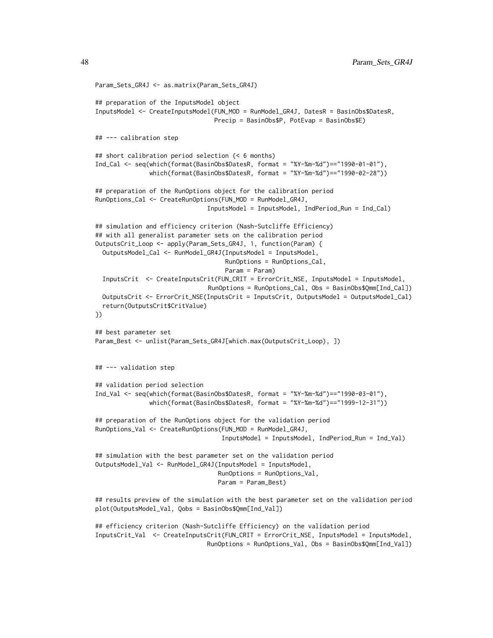```
Param_Sets_GR4J <- as.matrix(Param_Sets_GR4J)
## preparation of the InputsModel object
InputsModel <- CreateInputsModel(FUN_MOD = RunModel_GR4J, DatesR = BasinObs$DatesR,
                                Precip = BasinObs$P, PotEvap = BasinObs$E)
## --- calibration step
## short calibration period selection (< 6 months)
Ind_Cal <- seq(which(format(BasinObs$DatesR, format = "%Y-%m-%d")=="1990-01-01"),
               which(format(BasinObs$DatesR, format = "%Y-%m-%d")=="1990-02-28"))
## preparation of the RunOptions object for the calibration period
RunOptions_Cal <- CreateRunOptions(FUN_MOD = RunModel_GR4J,
                               InputsModel = InputsModel, IndPeriod_Run = Ind_Cal)
## simulation and efficiency criterion (Nash-Sutcliffe Efficiency)
## with all generalist parameter sets on the calibration period
OutputsCrit_Loop <- apply(Param_Sets_GR4J, 1, function(Param) {
 OutputsModel_Cal <- RunModel_GR4J(InputsModel = InputsModel,
                                    RunOptions = RunOptions_Cal,
                                    Param = Param)
 InputsCrit <- CreateInputsCrit(FUN_CRIT = ErrorCrit_NSE, InputsModel = InputsModel,
                               RunOptions = RunOptions_Cal, Obs = BasinObs$Qmm[Ind_Cal])
 OutputsCrit <- ErrorCrit_NSE(InputsCrit = InputsCrit, OutputsModel = OutputsModel_Cal)
  return(OutputsCrit$CritValue)
})
## best parameter set
Param_Best <- unlist(Param_Sets_GR4J[which.max(OutputsCrit_Loop), ])
## --- validation step
## validation period selection
Ind_Val <- seq(which(format(BasinObs$DatesR, format = "%Y-%m-%d")=="1990-03-01"),
               which(format(BasinObs$DatesR, format = "%Y-%m-%d")=="1999-12-31"))
## preparation of the RunOptions object for the validation period
RunOptions_Val <- CreateRunOptions(FUN_MOD = RunModel_GR4J,
                                   InputsModel = InputsModel, IndPeriod_Run = Ind_Val)
## simulation with the best parameter set on the validation period
OutputsModel_Val <- RunModel_GR4J(InputsModel = InputsModel,
                                  RunOptions = RunOptions_Val,
                                  Param = Param_Best)
## results preview of the simulation with the best parameter set on the validation period
plot(OutputsModel_Val, Qobs = BasinObs$Qmm[Ind_Val])
```
## efficiency criterion (Nash-Sutcliffe Efficiency) on the validation period InputsCrit\_Val <- CreateInputsCrit(FUN\_CRIT = ErrorCrit\_NSE, InputsModel = InputsModel, RunOptions = RunOptions\_Val, Obs = BasinObs\$Qmm[Ind\_Val])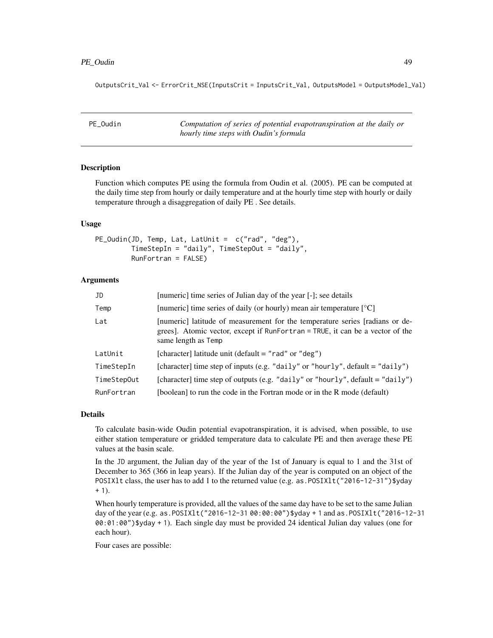#### PE\_Oudin 49

OutputsCrit\_Val <- ErrorCrit\_NSE(InputsCrit = InputsCrit\_Val, OutputsModel = OutputsModel\_Val)

| PE Oudin | Computation of series of potential evapotranspiration at the daily or |
|----------|-----------------------------------------------------------------------|
|          | hourly time steps with Oudin's formula                                |

### Description

Function which computes PE using the formula from Oudin et al. (2005). PE can be computed at the daily time step from hourly or daily temperature and at the hourly time step with hourly or daily temperature through a disaggregation of daily PE . See details.

### Usage

PE\_Oudin(JD, Temp, Lat, LatUnit = c("rad", "deg"), TimeStepIn = "daily", TimeStepOut = "daily", RunFortran = FALSE)

## Arguments

| JD          | [numeric] time series of Julian day of the year [-]; see details                                                                                                                     |
|-------------|--------------------------------------------------------------------------------------------------------------------------------------------------------------------------------------|
| Temp        | [numeric] time series of daily (or hourly) mean air temperature $[°C]$                                                                                                               |
| Lat         | [numeric] latitude of measurement for the temperature series [radians or de-<br>grees]. Atomic vector, except if RunFortran = TRUE, it can be a vector of the<br>same length as Temp |
| LatUnit     | [character] latitude unit (default = "rad" or "deg")                                                                                                                                 |
| TimeStepIn  | [character] time step of inputs (e.g. "daily" or "hourly", default = "daily")                                                                                                        |
| TimeStepOut | [character] time step of outputs (e.g. "daily" or "hourly", default = "daily")                                                                                                       |
| RunFortran  | [boolean] to run the code in the Fortran mode or in the R mode (default)                                                                                                             |

#### Details

To calculate basin-wide Oudin potential evapotranspiration, it is advised, when possible, to use either station temperature or gridded temperature data to calculate PE and then average these PE values at the basin scale.

In the JD argument, the Julian day of the year of the 1st of January is equal to 1 and the 31st of December to 365 (366 in leap years). If the Julian day of the year is computed on an object of the POSIX1t class, the user has to add 1 to the returned value (e.g. as . POSIX1t ("2016-12-31") \$yday  $+ 1$ ).

When hourly temperature is provided, all the values of the same day have to be set to the same Julian day of the year (e.g. as.POSIXlt("2016-12-31 00:00:00")\$yday + 1 and as.POSIXlt("2016-12-31 00:01:00")\$yday + 1). Each single day must be provided 24 identical Julian day values (one for each hour).

Four cases are possible: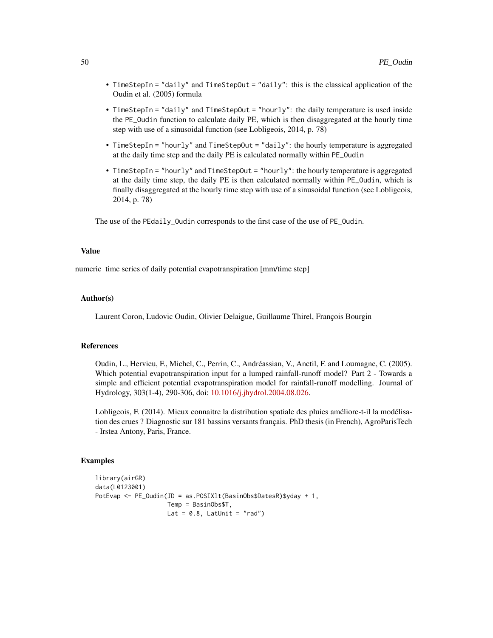- TimeStepIn = "daily" and TimeStepOut = "daily": this is the classical application of the Oudin et al. (2005) formula
- TimeStepIn = "daily" and TimeStepOut = "hourly": the daily temperature is used inside the PE\_Oudin function to calculate daily PE, which is then disaggregated at the hourly time step with use of a sinusoidal function (see Lobligeois, 2014, p. 78)
- TimeStepIn = "hourly" and TimeStepOut = "daily": the hourly temperature is aggregated at the daily time step and the daily PE is calculated normally within PE\_Oudin
- TimeStepIn = "hourly" and TimeStepOut = "hourly": the hourly temperature is aggregated at the daily time step, the daily PE is then calculated normally within PE\_Oudin, which is finally disaggregated at the hourly time step with use of a sinusoidal function (see Lobligeois, 2014, p. 78)

The use of the PEdaily\_Oudin corresponds to the first case of the use of PE\_Oudin.

#### Value

numeric time series of daily potential evapotranspiration [mm/time step]

#### Author(s)

Laurent Coron, Ludovic Oudin, Olivier Delaigue, Guillaume Thirel, François Bourgin

#### References

Oudin, L., Hervieu, F., Michel, C., Perrin, C., Andréassian, V., Anctil, F. and Loumagne, C. (2005). Which potential evapotranspiration input for a lumped rainfall-runoff model? Part 2 - Towards a simple and efficient potential evapotranspiration model for rainfall-runoff modelling. Journal of Hydrology, 303(1-4), 290-306, doi: [10.1016/j.jhydrol.2004.08.026.](https://doi.org/10.1016/j.jhydrol.2004.08.026)

Lobligeois, F. (2014). Mieux connaitre la distribution spatiale des pluies améliore-t-il la modélisation des crues ? Diagnostic sur 181 bassins versants français. PhD thesis (in French), AgroParisTech - Irstea Antony, Paris, France.

```
library(airGR)
data(L0123001)
PotEvap <- PE_Oudin(JD = as.POSIXlt(BasinObs$DatesR)$yday + 1,
                    Temp = BasinObs$T,
                    Lat = 0.8, LatUnit = "rad")
```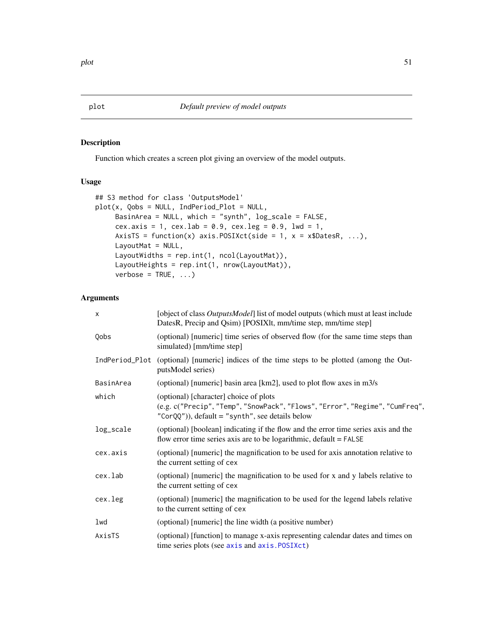## Description

Function which creates a screen plot giving an overview of the model outputs.

# Usage

```
## S3 method for class 'OutputsModel'
plot(x, Qobs = NULL, IndPeriod_Plot = NULL,
     BasinArea = NULL, which = "synth", log_scale = FALSE,
     cex.axis = 1, cex.lab = 0.9, cex.leg = 0.9, lwd = 1,
     AxisTS = function(x) axis.POSIXct(side = 1, x = x$DatesR, ...),
     LayoutMat = NULL,
     LayoutWidths = rep.int(1, ncol(LayoutMat)),
     LayoutHeights = rep.int(1, nrow(LayoutMat)),
     verbose = TRUE, ...)
```
## Arguments

| $\times$  | [object of class <i>OutputsModel</i> ] list of model outputs (which must at least include<br>DatesR, Precip and Qsim) [POSIXIt, mm/time step, mm/time step]                  |
|-----------|------------------------------------------------------------------------------------------------------------------------------------------------------------------------------|
| Qobs      | (optional) [numeric] time series of observed flow (for the same time steps than<br>simulated) [mm/time step]                                                                 |
|           | IndPeriod_Plot (optional) [numeric] indices of the time steps to be plotted (among the Out-<br>putsModel series)                                                             |
| BasinArea | (optional) [numeric] basin area [km2], used to plot flow axes in m3/s                                                                                                        |
| which     | (optional) [character] choice of plots<br>(e.g. c("Precip", "Temp", "SnowPack", "Flows", "Error", "Regime", "CumFreq",<br>$"CorQQ'$ )), default = "synth", see details below |
| log_scale | (optional) [boolean] indicating if the flow and the error time series axis and the<br>flow error time series axis are to be logarithmic, default $=$ FALSE                   |
| cex.axis  | (optional) [numeric] the magnification to be used for axis annotation relative to<br>the current setting of cex                                                              |
| cex.lab   | (optional) [numeric] the magnification to be used for x and y labels relative to<br>the current setting of cex                                                               |
| cex.leg   | (optional) [numeric] the magnification to be used for the legend labels relative<br>to the current setting of cex                                                            |
| lwd       | (optional) [numeric] the line width (a positive number)                                                                                                                      |
| AxisTS    | (optional) [function] to manage x-axis representing calendar dates and times on<br>time series plots (see axis and axis. POSIXct)                                            |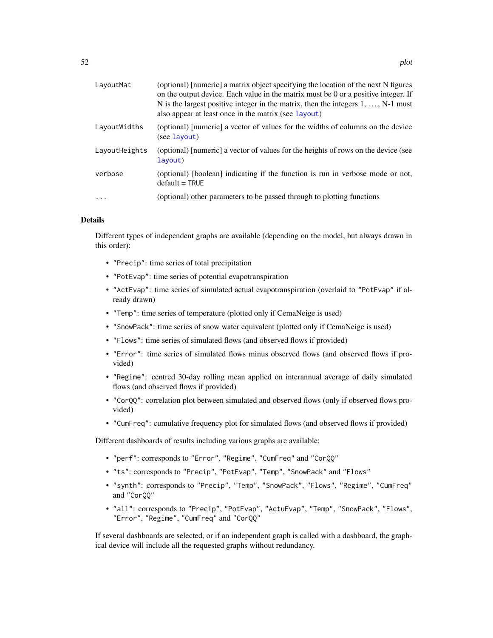| LayoutMat     | (optional) [numeric] a matrix object specifying the location of the next N figures<br>on the output device. Each value in the matrix must be 0 or a positive integer. If<br>N is the largest positive integer in the matrix, then the integers $1, \ldots, N-1$ must<br>also appear at least once in the matrix (see layout) |
|---------------|------------------------------------------------------------------------------------------------------------------------------------------------------------------------------------------------------------------------------------------------------------------------------------------------------------------------------|
| LayoutWidths  | (optional) [numeric] a vector of values for the widths of columns on the device<br>(see layout)                                                                                                                                                                                                                              |
| LayoutHeights | (optional) [numeric] a vector of values for the heights of rows on the device (see<br>layout)                                                                                                                                                                                                                                |
| verbose       | (optional) [boolean] indicating if the function is run in verbose mode or not,<br>$default = TRUE$                                                                                                                                                                                                                           |
| $\cdot$       | (optional) other parameters to be passed through to plotting functions                                                                                                                                                                                                                                                       |

#### Details

Different types of independent graphs are available (depending on the model, but always drawn in this order):

- "Precip": time series of total precipitation
- "PotEvap": time series of potential evapotranspiration
- "ActEvap": time series of simulated actual evapotranspiration (overlaid to "PotEvap" if already drawn)
- "Temp": time series of temperature (plotted only if CemaNeige is used)
- "SnowPack": time series of snow water equivalent (plotted only if CemaNeige is used)
- "Flows": time series of simulated flows (and observed flows if provided)
- "Error": time series of simulated flows minus observed flows (and observed flows if provided)
- "Regime": centred 30-day rolling mean applied on interannual average of daily simulated flows (and observed flows if provided)
- "CorQQ": correlation plot between simulated and observed flows (only if observed flows provided)
- "CumFreq": cumulative frequency plot for simulated flows (and observed flows if provided)

Different dashboards of results including various graphs are available:

- "perf": corresponds to "Error", "Regime", "CumFreq" and "CorQQ"
- "ts": corresponds to "Precip", "PotEvap", "Temp", "SnowPack" and "Flows"
- "synth": corresponds to "Precip", "Temp", "SnowPack", "Flows", "Regime", "CumFreq" and "CorQQ"
- "all": corresponds to "Precip", "PotEvap", "ActuEvap", "Temp", "SnowPack", "Flows", "Error", "Regime", "CumFreq" and "CorQQ"

If several dashboards are selected, or if an independent graph is called with a dashboard, the graphical device will include all the requested graphs without redundancy.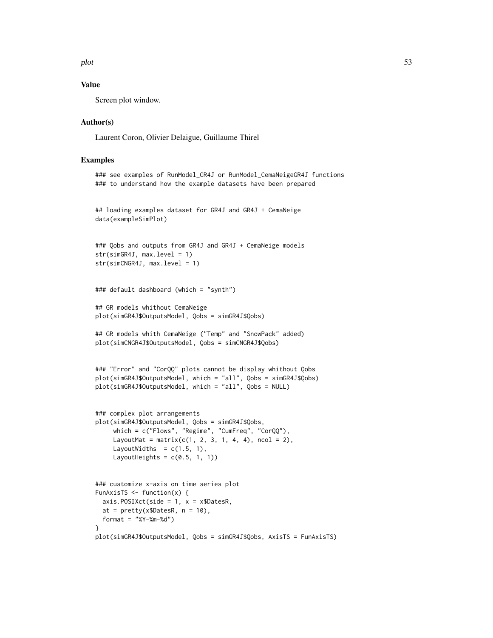plot 53

## Value

Screen plot window.

#### Author(s)

Laurent Coron, Olivier Delaigue, Guillaume Thirel

```
### see examples of RunModel_GR4J or RunModel_CemaNeigeGR4J functions
### to understand how the example datasets have been prepared
```

```
## loading examples dataset for GR4J and GR4J + CemaNeige
data(exampleSimPlot)
```

```
### Qobs and outputs from GR4J and GR4J + CemaNeige models
str(simGR4J, max.level = 1)
str(simCNGR4J, max.level = 1)
```

```
### default dashboard (which = "synth")
```

```
## GR models whithout CemaNeige
plot(simGR4J$OutputsModel, Qobs = simGR4J$Qobs)
```

```
## GR models whith CemaNeige ("Temp" and "SnowPack" added)
plot(simCNGR4J$OutputsModel, Qobs = simCNGR4J$Qobs)
```

```
### "Error" and "CorQQ" plots cannot be display whithout Qobs
plot(simGR4J$OutputsModel, which = "all", Qobs = simGR4J$Qobs)
plot(simGR4J$OutputsModel, which = "all", Qobs = NULL)
```

```
### complex plot arrangements
plot(simGR4J$OutputsModel, Qobs = simGR4J$Qobs,
     which = c("Flows", "Regime", "CumFreq", "CorQQ"),
     LayoutMat = matrix(c(1, 2, 3, 1, 4, 4), ncol = 2),
     LayoutWidths = c(1.5, 1),
    LayoutHeights = c(0.5, 1, 1))
```

```
### customize x-axis on time series plot
FunAxisTS \leq function(x) {
 axis.POSIXct(side = 1, x = x$DatesR,
 at = prety(x$DatesR, n = 10),
 format = "%Y-%m-%d")
}
plot(simGR4J$OutputsModel, Qobs = simGR4J$Qobs, AxisTS = FunAxisTS)
```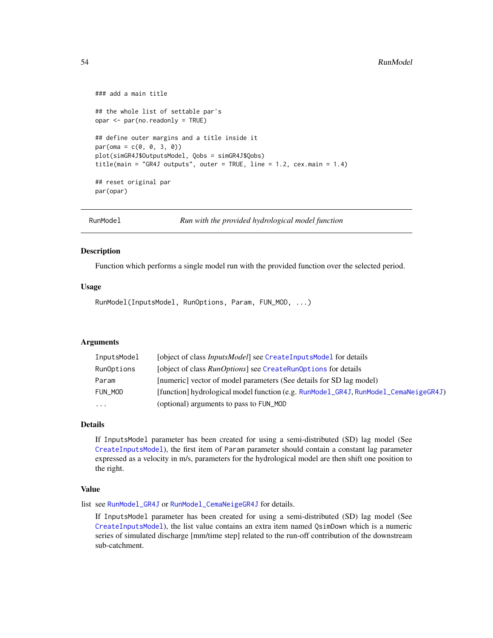```
### add a main title
## the whole list of settable par's
opar <- par(no.readonly = TRUE)
## define outer margins and a title inside it
par(oma = c(0, 0, 3, 0))plot(simGR4J$OutputsModel, Qobs = simGR4J$Qobs)
title(main = "GR4J outputs", outer = TRUE, line = 1.2, cex.main = 1.4)
## reset original par
par(opar)
```
RunModel *Run with the provided hydrological model function*

### **Description**

Function which performs a single model run with the provided function over the selected period.

### Usage

RunModel(InputsModel, RunOptions, Param, FUN\_MOD, ...)

## Arguments

| InputsModel | [object of class <i>InputsModel</i> ] see CreateInputsModel for details             |  |
|-------------|-------------------------------------------------------------------------------------|--|
| RunOptions  | [object of class <i>RunOptions</i> ] see CreateRunOptions for details               |  |
| Param       | [numeric] vector of model parameters (See details for SD lag model)                 |  |
| FUN MOD     | [function] hydrological model function (e.g. RunModel_GR4J, RunModel_CemaNeigeGR4J) |  |
| $\cdots$    | (optional) arguments to pass to FUN_MOD                                             |  |

## Details

If InputsModel parameter has been created for using a semi-distributed (SD) lag model (See [CreateInputsModel](#page-25-0)), the first item of Param parameter should contain a constant lag parameter expressed as a velocity in m/s, parameters for the hydrological model are then shift one position to the right.

#### Value

list see [RunModel\\_GR4J](#page-81-0) or [RunModel\\_CemaNeigeGR4J](#page-60-0) for details.

If InputsModel parameter has been created for using a semi-distributed (SD) lag model (See [CreateInputsModel](#page-25-0)), the list value contains an extra item named QsimDown which is a numeric series of simulated discharge [mm/time step] related to the run-off contribution of the downstream sub-catchment.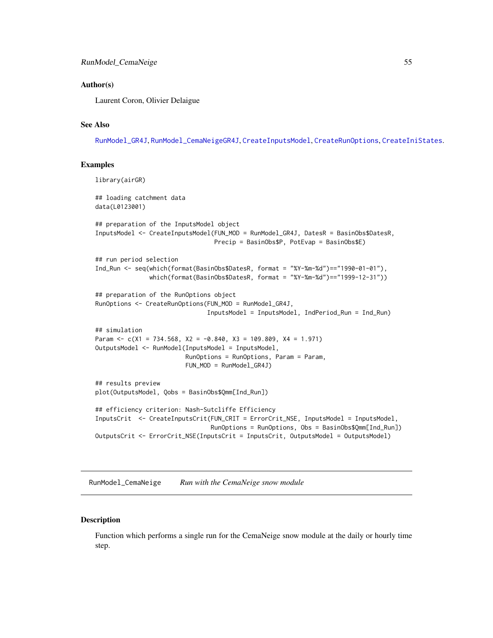### Author(s)

Laurent Coron, Olivier Delaigue

# See Also

[RunModel\\_GR4J](#page-81-0), [RunModel\\_CemaNeigeGR4J](#page-60-0), [CreateInputsModel](#page-25-0), [CreateRunOptions](#page-28-0), [CreateIniStates](#page-16-0).

### Examples

```
library(airGR)
## loading catchment data
data(L0123001)
## preparation of the InputsModel object
InputsModel <- CreateInputsModel(FUN_MOD = RunModel_GR4J, DatesR = BasinObs$DatesR,
                                 Precip = BasinObs$P, PotEvap = BasinObs$E)
## run period selection
Ind_Run <- seq(which(format(BasinObs$DatesR, format = "%Y-%m-%d")=="1990-01-01"),
               which(format(BasinObs$DatesR, format = "%Y-%m-%d")=="1999-12-31"))
## preparation of the RunOptions object
RunOptions <- CreateRunOptions(FUN_MOD = RunModel_GR4J,
                               InputsModel = InputsModel, IndPeriod_Run = Ind_Run)
## simulation
Param \leq c(X1 = 734.568, X2 = -0.840, X3 = 109.809, X4 = 1.971)
OutputsModel <- RunModel(InputsModel = InputsModel,
                         RunOptions = RunOptions, Param = Param,
                         FUN_MOD = RunModel_GR4J)
## results preview
plot(OutputsModel, Qobs = BasinObs$Qmm[Ind_Run])
## efficiency criterion: Nash-Sutcliffe Efficiency
InputsCrit <- CreateInputsCrit(FUN_CRIT = ErrorCrit_NSE, InputsModel = InputsModel,
                                RunOptions = RunOptions, Obs = BasinObs$Qmm[Ind_Run])
OutputsCrit <- ErrorCrit_NSE(InputsCrit = InputsCrit, OutputsModel = OutputsModel)
```
<span id="page-54-0"></span>RunModel\_CemaNeige *Run with the CemaNeige snow module*

### Description

Function which performs a single run for the CemaNeige snow module at the daily or hourly time step.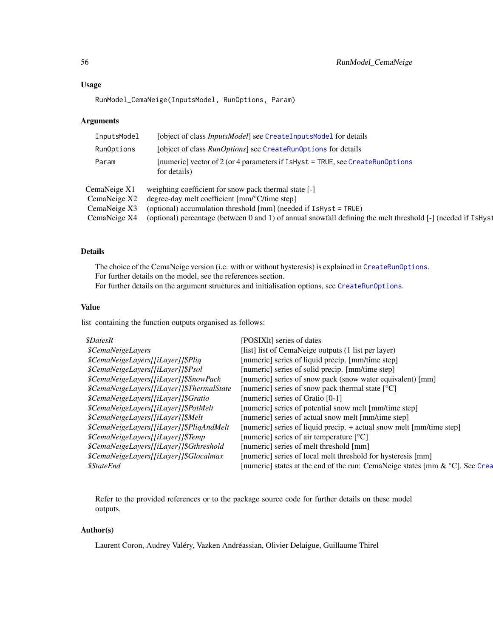### Usage

RunModel\_CemaNeige(InputsModel, RunOptions, Param)

### Arguments

| InputsModel  | [object of class <i>InputsModel</i> ] see CreateInputsModel for details                                      |
|--------------|--------------------------------------------------------------------------------------------------------------|
| RunOptions   | [object of class <i>RunOptions</i> ] see CreateRunOptions for details                                        |
| Param        | [numeric] vector of 2 (or 4 parameters if $I$ sHyst = TRUE, see CreateRunOptions<br>for details)             |
| CemaNeige X1 | weighting coefficient for snow pack thermal state [-]                                                        |
| CemaNeige X2 | degree-day melt coefficient [mm/°C/time step]                                                                |
| CemaNeige X3 | (optional) accumulation threshold $\text{[mm]}$ (needed if IsHyst = TRUE)                                    |
| CemaNeige X4 | (optional) percentage (between 0 and 1) of annual snowfall defining the melt threshold [-] (needed if IsHyst |
|              |                                                                                                              |

## Details

The choice of the CemaNeige version (i.e. with or without hysteresis) is explained in [CreateRunOptions](#page-28-0). For further details on the model, see the references section. For further details on the argument structures and initialisation options, see [CreateRunOptions](#page-28-0).

### Value

list containing the function outputs organised as follows:

| <i><b>\$DatesR</b></i>                    | [POSIX]t] series of dates                                                    |
|-------------------------------------------|------------------------------------------------------------------------------|
| <i><b>\$CemaNeigeLayers</b></i>           | [list] list of CemaNeige outputs (1 list per layer)                          |
| \$CemaNeigeLayers[[iLayer]]\$Pliq         | [numeric] series of liquid precip. [mm/time step]                            |
| \$CemaNeigeLayers[[iLayer]]\$Psol         | [numeric] series of solid precip. [mm/time step]                             |
| \$CemaNeigeLayers[[iLayer]]\$SnowPack     | [numeric] series of snow pack (snow water equivalent) [mm]                   |
| \$CemaNeigeLayers[[iLayer]]\$ThermalState | [numeric] series of snow pack thermal state [°C]                             |
| \$CemaNeigeLayers[[iLayer]]\$Gratio       | [numeric] series of Gratio [0-1]                                             |
| \$CemaNeigeLayers[[iLayer]]\$PotMelt      | [numeric] series of potential snow melt [mm/time step]                       |
| \$CemaNeigeLayers[[iLayer]]\$Melt         | [numeric] series of actual snow melt [mm/time step]                          |
| \$CemaNeigeLayers[[iLayer]]\$PliqAndMelt  | [numeric] series of liquid precip. + actual snow melt [mm/time step]         |
| \$CemaNeigeLayers[[iLayer]]\$Temp         | [numeric] series of air temperature $[°C]$                                   |
| \$CemaNeigeLayers[[iLayer]]\$Gthreshold   | [numeric] series of melt threshold [mm]                                      |
| \$CemaNeigeLayers[[iLayer]]\$Glocalmax    | [numeric] series of local melt threshold for hysteresis [mm]                 |
| <i><b>\$StateEnd</b></i>                  | [numeric] states at the end of the run: CemaNeige states [mm & °C]. See Crea |

Refer to the provided references or to the package source code for further details on these model outputs.

## Author(s)

Laurent Coron, Audrey Valéry, Vazken Andréassian, Olivier Delaigue, Guillaume Thirel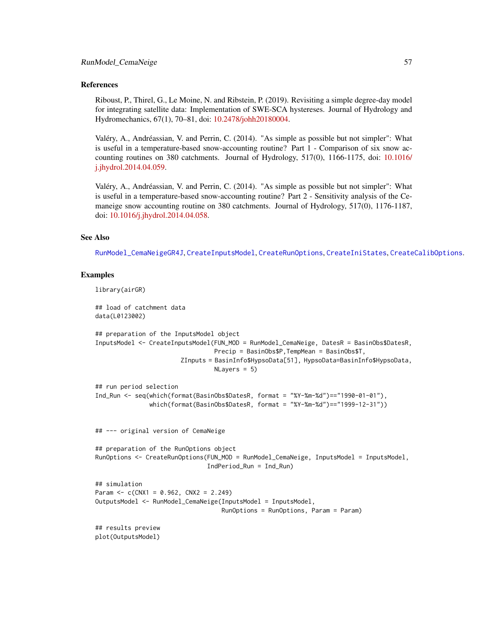### References

Riboust, P., Thirel, G., Le Moine, N. and Ribstein, P. (2019). Revisiting a simple degree-day model for integrating satellite data: Implementation of SWE-SCA hystereses. Journal of Hydrology and Hydromechanics, 67(1), 70–81, doi: [10.2478/johh20180004.](https://doi.org/10.2478/johh-2018-0004)

Valéry, A., Andréassian, V. and Perrin, C. (2014). "As simple as possible but not simpler": What is useful in a temperature-based snow-accounting routine? Part 1 - Comparison of six snow accounting routines on 380 catchments. Journal of Hydrology, 517(0), 1166-1175, doi: [10.1016/](https://doi.org/10.1016/j.jhydrol.2014.04.059) [j.jhydrol.2014.04.059.](https://doi.org/10.1016/j.jhydrol.2014.04.059)

Valéry, A., Andréassian, V. and Perrin, C. (2014). "As simple as possible but not simpler": What is useful in a temperature-based snow-accounting routine? Part 2 - Sensitivity analysis of the Cemaneige snow accounting routine on 380 catchments. Journal of Hydrology, 517(0), 1176-1187, doi: [10.1016/j.jhydrol.2014.04.058.](https://doi.org/10.1016/j.jhydrol.2014.04.058)

#### See Also

[RunModel\\_CemaNeigeGR4J](#page-60-0), [CreateInputsModel](#page-25-0), [CreateRunOptions](#page-28-0), [CreateIniStates](#page-16-0), [CreateCalibOptions](#page-11-0).

```
library(airGR)
## load of catchment data
data(L0123002)
## preparation of the InputsModel object
InputsModel <- CreateInputsModel(FUN_MOD = RunModel_CemaNeige, DatesR = BasinObs$DatesR,
                                 Precip = BasinObs$P,TempMean = BasinObs$T,
                        ZInputs = BasinInfo$HypsoData[51], HypsoData=BasinInfo$HypsoData,
                                 NLayers = 5)
## run period selection
Ind_Run <- seq(which(format(BasinObs$DatesR, format = "%Y-%m-%d")=="1990-01-01"),
               which(format(BasinObs$DatesR, format = "%Y-%m-%d")=="1999-12-31"))
## --- original version of CemaNeige
## preparation of the RunOptions object
RunOptions <- CreateRunOptions(FUN_MOD = RunModel_CemaNeige, InputsModel = InputsModel,
                               IndPeriod_Run = Ind_Run)
## simulation
Param <-c(CNX1 = 0.962, CNX2 = 2.249)OutputsModel <- RunModel_CemaNeige(InputsModel = InputsModel,
                                   RunOptions = RunOptions, Param = Param)
## results preview
plot(OutputsModel)
```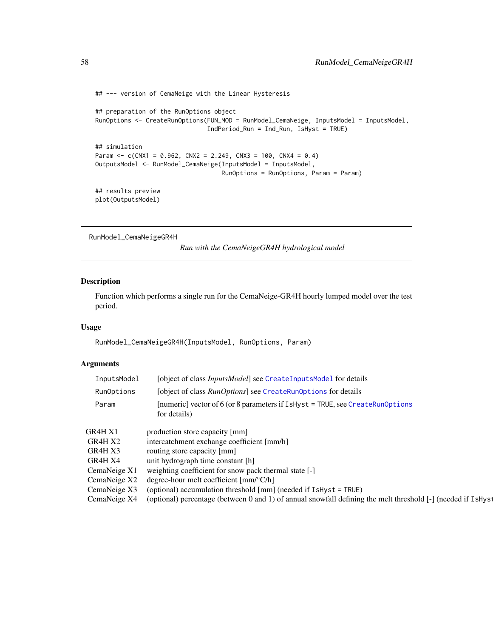```
## --- version of CemaNeige with the Linear Hysteresis
## preparation of the RunOptions object
RunOptions <- CreateRunOptions(FUN_MOD = RunModel_CemaNeige, InputsModel = InputsModel,
                              IndPeriod_Run = Ind_Run, IsHyst = TRUE)
## simulation
Param <- c(CNX1 = 0.962, CNX2 = 2.249, CNX3 = 100, CNX4 = 0.4)OutputsModel <- RunModel_CemaNeige(InputsModel = InputsModel,
                                  RunOptions = RunOptions, Param = Param)
## results preview
plot(OutputsModel)
```
<span id="page-57-0"></span>RunModel\_CemaNeigeGR4H

*Run with the CemaNeigeGR4H hydrological model*

## Description

Function which performs a single run for the CemaNeige-GR4H hourly lumped model over the test period.

#### Usage

RunModel\_CemaNeigeGR4H(InputsModel, RunOptions, Param)

## Arguments

| InputsModel                                                                         | [object of class <i>InputsModel</i> ] see CreateInputsMode1 for details                                     |
|-------------------------------------------------------------------------------------|-------------------------------------------------------------------------------------------------------------|
| [object of class <i>RunOptions</i> ] see CreateRunOptions for details<br>RunOptions |                                                                                                             |
| Param                                                                               | [numeric] vector of 6 (or 8 parameters if $I$ sHyst = TRUE, see CreateRunOptions<br>for details)            |
| GR4H X1                                                                             | production store capacity [mm]                                                                              |
| GR4H X2                                                                             | intercatchment exchange coefficient [mm/h]                                                                  |
| GR4H X3                                                                             | routing store capacity [mm]                                                                                 |
| GR4H X4                                                                             | unit hydrograph time constant [h]                                                                           |
| CemaNeige X1                                                                        | weighting coefficient for snow pack thermal state [-]                                                       |
| CemaNeige X2                                                                        | degree-hour melt coefficient $\lceil \text{mm}/^{\circ}\text{C/h} \rceil$                                   |
| CemaNeige X3                                                                        | (optional) accumulation threshold [mm] (needed if IsHyst = TRUE)                                            |
| CemaNeige X4                                                                        | (optional) percentage (between 0 and 1) of annual snowfall defining the melt threshold [-] (needed if IsHys |
|                                                                                     |                                                                                                             |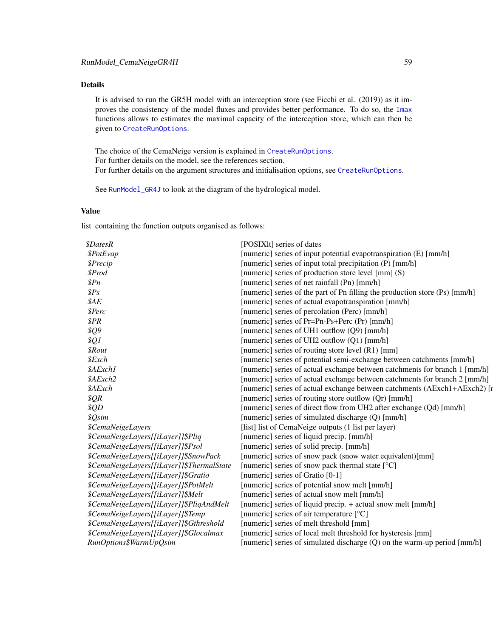# Details

It is advised to run the GR5H model with an interception store (see Ficchi et al. (2019)) as it improves the consistency of the model fluxes and provides better performance. To do so, the [Imax](#page-44-0) functions allows to estimates the maximal capacity of the interception store, which can then be given to [CreateRunOptions](#page-28-0).

The choice of the CemaNeige version is explained in [CreateRunOptions](#page-28-0). For further details on the model, see the references section. For further details on the argument structures and initialisation options, see [CreateRunOptions](#page-28-0).

See [RunModel\\_GR4J](#page-81-0) to look at the diagram of the hydrological model.

## Value

list containing the function outputs organised as follows:

| <i><b>\$DatesR</b></i>                    | [POSIX]t] series of dates                                                   |
|-------------------------------------------|-----------------------------------------------------------------------------|
| \$PotEvap                                 | [numeric] series of input potential evapotranspiration (E) [mm/h]           |
| \$Precip                                  | [numeric] series of input total precipitation (P) [mm/h]                    |
| \$Prod                                    | [numeric] series of production store level [mm] (S)                         |
| \$Pn\$                                    | [numeric] series of net rainfall (Pn) [mm/h]                                |
| $\$Ps$                                    | [numeric] series of the part of Pn filling the production store (Ps) [mm/h] |
| \$AE                                      | [numeric] series of actual evapotranspiration [mm/h]                        |
| \$Perc                                    | [numeric] series of percolation (Perc) [mm/h]                               |
| \$PR\$                                    | [numeric] series of Pr=Pn-Ps+Perc (Pr) [mm/h]                               |
| \$Q9                                      | [numeric] series of UH1 outflow (Q9) [mm/h]                                 |
| \$Q1                                      | [numeric] series of UH2 outflow (Q1) [mm/h]                                 |
| <i><b>\$Rout</b></i>                      | [numeric] series of routing store level (R1) [mm]                           |
| \$Exch                                    | [numeric] series of potential semi-exchange between catchments [mm/h]       |
| \$AExch1                                  | [numeric] series of actual exchange between catchments for branch 1 [mm/h]  |
| \$AExch2                                  | [numeric] series of actual exchange between catchments for branch 2 [mm/h]  |
| \$AExch                                   | [numeric] series of actual exchange between catchments (AExch1+AExch2) [r   |
| \$QR\$                                    | [numeric] series of routing store outflow (Qr) [mm/h]                       |
| \$QD                                      | [numeric] series of direct flow from UH2 after exchange (Qd) [mm/h]         |
| \$Qsim                                    | [numeric] series of simulated discharge (Q) [mm/h]                          |
| <i><b>\$CemaNeigeLayers</b></i>           | [list] list of CemaNeige outputs (1 list per layer)                         |
| \$CemaNeigeLayers[[iLayer]]\$Pliq         | [numeric] series of liquid precip. [mm/h]                                   |
| \$CemaNeigeLayers[[iLayer]]\$Psol         | [numeric] series of solid precip. [mm/h]                                    |
| \$CemaNeigeLayers[[iLayer]]\$SnowPack     | [numeric] series of snow pack (snow water equivalent)[mm]                   |
| \$CemaNeigeLayers[[iLayer]]\$ThermalState | [numeric] series of snow pack thermal state [°C]                            |
| \$CemaNeigeLayers[[iLayer]]\$Gratio       | [numeric] series of Gratio [0-1]                                            |
| \$CemaNeigeLayers[[iLayer]]\$PotMelt      | [numeric] series of potential snow melt [mm/h]                              |
| \$CemaNeigeLayers[[iLayer]]\$Melt         | [numeric] series of actual snow melt [mm/h]                                 |
| \$CemaNeigeLayers[[iLayer]]\$PliqAndMelt  | [numeric] series of liquid precip. + actual snow melt [mm/h]                |
| \$CemaNeigeLayers[[iLayer]]\$Temp         | [numeric] series of air temperature [°C]                                    |
| \$CemaNeigeLayers[[iLayer]]\$Gthreshold   | [numeric] series of melt threshold [mm]                                     |
| \$CemaNeigeLayers[[iLayer]]\$Glocalmax    | [numeric] series of local melt threshold for hysteresis [mm]                |
| RunOptions\$WarmUpQsim                    | [numeric] series of simulated discharge (Q) on the warm-up period [mm/h]    |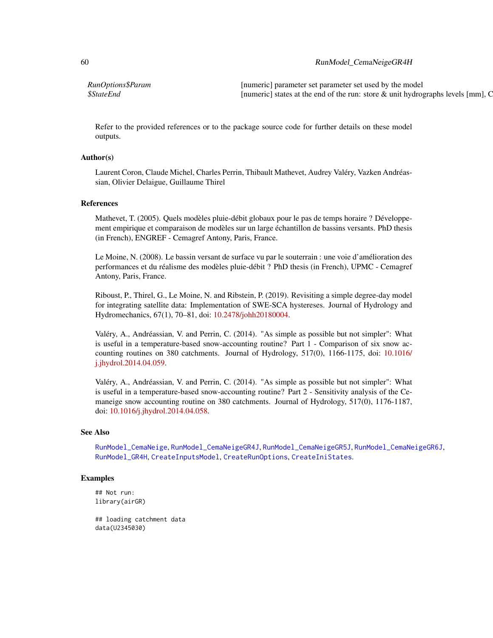## 60 RunModel\_CemaNeigeGR4H

*RunOptions\$Param* [numeric] parameter set parameter set used by the model *\$StateEnd* [numeric] states at the end of the run: store & unit hydrographs levels [mm], C

Refer to the provided references or to the package source code for further details on these model outputs.

## Author(s)

Laurent Coron, Claude Michel, Charles Perrin, Thibault Mathevet, Audrey Valéry, Vazken Andréassian, Olivier Delaigue, Guillaume Thirel

### References

Mathevet, T. (2005). Quels modèles pluie-débit globaux pour le pas de temps horaire ? Développement empirique et comparaison de modèles sur un large échantillon de bassins versants. PhD thesis (in French), ENGREF - Cemagref Antony, Paris, France.

Le Moine, N. (2008). Le bassin versant de surface vu par le souterrain : une voie d'amélioration des performances et du réalisme des modèles pluie-débit ? PhD thesis (in French), UPMC - Cemagref Antony, Paris, France.

Riboust, P., Thirel, G., Le Moine, N. and Ribstein, P. (2019). Revisiting a simple degree-day model for integrating satellite data: Implementation of SWE-SCA hystereses. Journal of Hydrology and Hydromechanics, 67(1), 70–81, doi: [10.2478/johh20180004.](https://doi.org/10.2478/johh-2018-0004)

Valéry, A., Andréassian, V. and Perrin, C. (2014). "As simple as possible but not simpler": What is useful in a temperature-based snow-accounting routine? Part 1 - Comparison of six snow accounting routines on 380 catchments. Journal of Hydrology, 517(0), 1166-1175, doi: [10.1016/](https://doi.org/10.1016/j.jhydrol.2014.04.059) [j.jhydrol.2014.04.059.](https://doi.org/10.1016/j.jhydrol.2014.04.059)

Valéry, A., Andréassian, V. and Perrin, C. (2014). "As simple as possible but not simpler": What is useful in a temperature-based snow-accounting routine? Part 2 - Sensitivity analysis of the Cemaneige snow accounting routine on 380 catchments. Journal of Hydrology, 517(0), 1176-1187, doi: [10.1016/j.jhydrol.2014.04.058.](https://doi.org/10.1016/j.jhydrol.2014.04.058)

#### See Also

[RunModel\\_CemaNeige](#page-54-0), [RunModel\\_CemaNeigeGR4J](#page-60-0), [RunModel\\_CemaNeigeGR5J](#page-67-0), [RunModel\\_CemaNeigeGR6J](#page-70-0), [RunModel\\_GR4H](#page-79-0), [CreateInputsModel](#page-25-0), [CreateRunOptions](#page-28-0), [CreateIniStates](#page-16-0).

## Examples

## Not run: library(airGR)

## loading catchment data data(U2345030)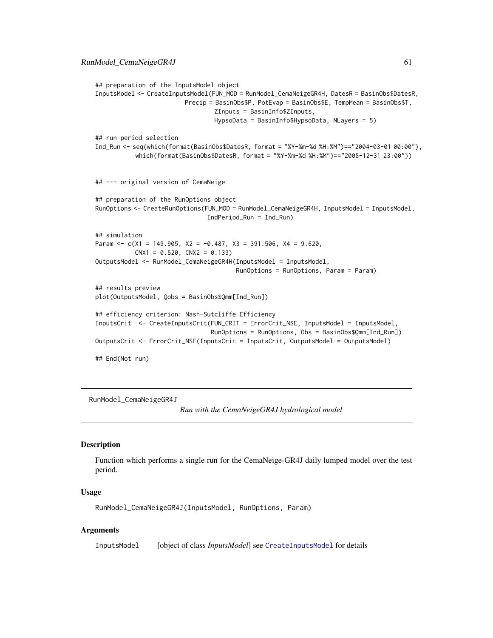```
## preparation of the InputsModel object
InputsModel <- CreateInputsModel(FUN_MOD = RunModel_CemaNeigeGR4H, DatesR = BasinObs$DatesR,
                         Precip = BasinObs$P, PotEvap = BasinObs$E, TempMean = BasinObs$T,
                                 ZInputs = BasinInfo$ZInputs,
                                 HypsoData = BasinInfo$HypsoData, NLayers = 5)
## run period selection
Ind_Run <- seq(which(format(BasinObs$DatesR, format = "%Y-%m-%d %H:%M")=="2004-03-01 00:00"),
           which(format(BasinObs$DatesR, format = "%Y-%m-%d %H:%M")=="2008-12-31 23:00"))
## --- original version of CemaNeige
## preparation of the RunOptions object
RunOptions <- CreateRunOptions(FUN_MOD = RunModel_CemaNeigeGR4H, InputsModel = InputsModel,
                               IndPeriod_Run = Ind_Run)
## simulation
Param <- c(X1 = 149.905, X2 = -0.487, X3 = 391.506, X4 = 9.620,
           CNX1 = 0.520, CNX2 = 0.133OutputsModel <- RunModel_CemaNeigeGR4H(InputsModel = InputsModel,
                                       RunOptions = RunOptions, Param = Param)
## results preview
plot(OutputsModel, Qobs = BasinObs$Qmm[Ind_Run])
## efficiency criterion: Nash-Sutcliffe Efficiency
InputsCrit <- CreateInputsCrit(FUN_CRIT = ErrorCrit_NSE, InputsModel = InputsModel,
                                RunOptions = RunOptions, Obs = BasinObs$Qmm[Ind_Run])
OutputsCrit <- ErrorCrit_NSE(InputsCrit = InputsCrit, OutputsModel = OutputsModel)
## End(Not run)
```
<span id="page-60-0"></span>RunModel\_CemaNeigeGR4J

*Run with the CemaNeigeGR4J hydrological model*

### Description

Function which performs a single run for the CemaNeige-GR4J daily lumped model over the test period.

### Usage

RunModel\_CemaNeigeGR4J(InputsModel, RunOptions, Param)

## Arguments

InputsModel [object of class *InputsModel*] see [CreateInputsModel](#page-25-0) for details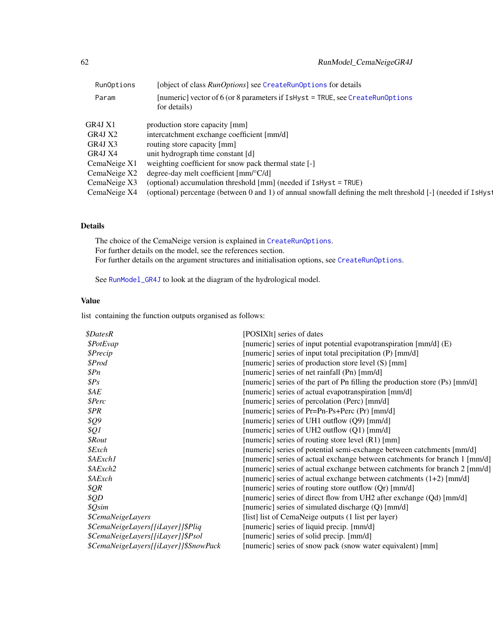| [object of class RunOptions] see CreateRunOptions for details                                                |
|--------------------------------------------------------------------------------------------------------------|
| [numeric] vector of 6 (or 8 parameters if IsHyst = TRUE, see CreateRunOptions<br>for details)                |
| production store capacity [mm]                                                                               |
| intercatchment exchange coefficient [mm/d]                                                                   |
| routing store capacity [mm]                                                                                  |
| unit hydrograph time constant [d]                                                                            |
| weighting coefficient for snow pack thermal state [-]                                                        |
| degree-day melt coefficient $\text{[mm]^{\circ}C/d}$                                                         |
| (optional) accumulation threshold [mm] (needed if IsHyst = TRUE)                                             |
| (optional) percentage (between 0 and 1) of annual snowfall defining the melt threshold [-] (needed if IsHyst |
|                                                                                                              |

# Details

The choice of the CemaNeige version is explained in [CreateRunOptions](#page-28-0). For further details on the model, see the references section. For further details on the argument structures and initialisation options, see [CreateRunOptions](#page-28-0).

See [RunModel\\_GR4J](#page-81-0) to look at the diagram of the hydrological model.

## Value

list containing the function outputs organised as follows:

| <i><b>\$DatesR</b></i>                | [POSIXIt] series of dates                                                   |
|---------------------------------------|-----------------------------------------------------------------------------|
| <i><b>\$PotEvap</b></i>               | [numeric] series of input potential evapotranspiration [mm/d] (E)           |
| \$Precip                              | [numeric] series of input total precipitation (P) [mm/d]                    |
| \$Prod                                | [numeric] series of production store level (S) [mm]                         |
| $\mathcal{S}Pn$                       | [numeric] series of net rainfall (Pn) [mm/d]                                |
| $\$Ps$                                | [numeric] series of the part of Pn filling the production store (Ps) [mm/d] |
| \$AE                                  | [numeric] series of actual evapotranspiration [mm/d]                        |
| \$Perc                                | [numeric] series of percolation (Perc) [mm/d]                               |
| \$PR                                  | [numeric] series of Pr=Pn-Ps+Perc (Pr) [mm/d]                               |
| \$Q9                                  | [numeric] series of UH1 outflow $(Q9)$ [mm/d]                               |
| \$Q1                                  | [numeric] series of UH2 outflow $(Q1)$ [mm/d]                               |
| <i><b>\$Rout</b></i>                  | [numeric] series of routing store level (R1) [mm]                           |
| $$$ <i>Exch</i>                       | [numeric] series of potential semi-exchange between catchments [mm/d]       |
| \$AExch1                              | [numeric] series of actual exchange between catchments for branch 1 [mm/d]  |
| \$AExch2                              | [numeric] series of actual exchange between catchments for branch 2 [mm/d]  |
| \$AExch                               | [numeric] series of actual exchange between catchments $(1+2)$ [mm/d]       |
| \$QR                                  | [numeric] series of routing store outflow (Qr) [mm/d]                       |
| \$QD                                  | [numeric] series of direct flow from UH2 after exchange (Qd) [mm/d]         |
| \$Qsim                                | [numeric] series of simulated discharge (Q) [mm/d]                          |
| <i><b>\$CemaNeigeLayers</b></i>       | [list] list of CemaNeige outputs (1 list per layer)                         |
| \$CemaNeigeLayers[[iLayer]]\$Pliq     | [numeric] series of liquid precip. [mm/d]                                   |
| \$CemaNeigeLayers[[iLayer]]\$Psol     | [numeric] series of solid precip. [mm/d]                                    |
| \$CemaNeigeLayers[[iLayer]]\$SnowPack | [numeric] series of snow pack (snow water equivalent) [mm]                  |
|                                       |                                                                             |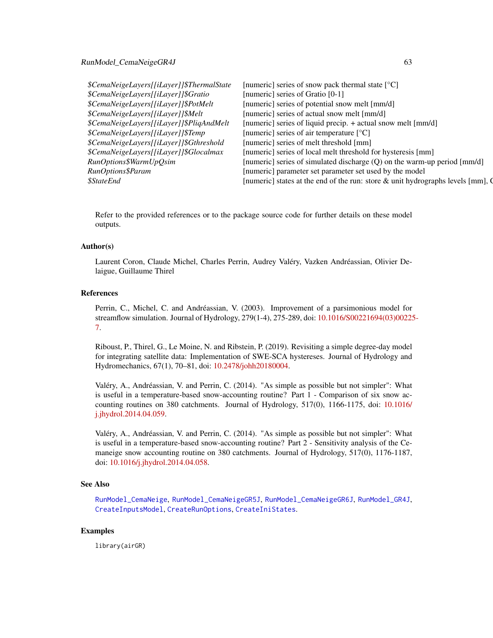#### RunModel\_CemaNeigeGR4J 63

| \$CemaNeigeLayers[[iLayer]]\$ThermalState | [numeric] series of snow pack thermal state $[°C]$                                          |
|-------------------------------------------|---------------------------------------------------------------------------------------------|
| \$CemaNeigeLayers[[iLayer]]\$Gratio       | [numeric] series of Gratio [0-1]                                                            |
| \$CemaNeigeLayers[[iLayer]]\$PotMelt      | [numeric] series of potential snow melt [mm/d]                                              |
| \$CemaNeigeLayers[[iLayer]]\$Melt         | [numeric] series of actual snow melt [mm/d]                                                 |
| \$CemaNeigeLayers[[iLayer]]\$PliqAndMelt  | [numeric] series of liquid precip. + actual snow melt [mm/d]                                |
| \$CemaNeigeLayers[[iLayer]]\$Temp         | [numeric] series of air temperature [°C]                                                    |
| \$CemaNeigeLayers[[iLayer]]\$Gthreshold   | [numeric] series of melt threshold [mm]                                                     |
| \$CemaNeigeLayers[[iLayer]]\$Glocalmax    | [numeric] series of local melt threshold for hysteresis [mm]                                |
| RunOptions\$WarmUpQsim                    | [numeric] series of simulated discharge (Q) on the warm-up period [mm/d]                    |
| RunOptions\$Param                         | [numeric] parameter set parameter set used by the model                                     |
| <i><b>\$StateEnd</b></i>                  | [numeric] states at the end of the run: store $\&$ unit hydrographs levels [mm], $\bigcirc$ |
|                                           |                                                                                             |

Refer to the provided references or to the package source code for further details on these model outputs.

#### Author(s)

Laurent Coron, Claude Michel, Charles Perrin, Audrey Valéry, Vazken Andréassian, Olivier Delaigue, Guillaume Thirel

### References

Perrin, C., Michel, C. and Andréassian, V. (2003). Improvement of a parsimonious model for streamflow simulation. Journal of Hydrology, 279(1-4), 275-289, doi: [10.1016/S00221694\(03\)00225](https://doi.org/10.1016/S0022-1694(03)00225-7)- [7.](https://doi.org/10.1016/S0022-1694(03)00225-7)

Riboust, P., Thirel, G., Le Moine, N. and Ribstein, P. (2019). Revisiting a simple degree-day model for integrating satellite data: Implementation of SWE-SCA hystereses. Journal of Hydrology and Hydromechanics, 67(1), 70–81, doi: [10.2478/johh20180004.](https://doi.org/10.2478/johh-2018-0004)

Valéry, A., Andréassian, V. and Perrin, C. (2014). "As simple as possible but not simpler": What is useful in a temperature-based snow-accounting routine? Part 1 - Comparison of six snow accounting routines on 380 catchments. Journal of Hydrology, 517(0), 1166-1175, doi: [10.1016/](https://doi.org/10.1016/j.jhydrol.2014.04.059) [j.jhydrol.2014.04.059.](https://doi.org/10.1016/j.jhydrol.2014.04.059)

Valéry, A., Andréassian, V. and Perrin, C. (2014). "As simple as possible but not simpler": What is useful in a temperature-based snow-accounting routine? Part 2 - Sensitivity analysis of the Cemaneige snow accounting routine on 380 catchments. Journal of Hydrology, 517(0), 1176-1187, doi: [10.1016/j.jhydrol.2014.04.058.](https://doi.org/10.1016/j.jhydrol.2014.04.058)

#### See Also

[RunModel\\_CemaNeige](#page-54-0), [RunModel\\_CemaNeigeGR5J](#page-67-0), [RunModel\\_CemaNeigeGR6J](#page-70-0), [RunModel\\_GR4J](#page-81-0), [CreateInputsModel](#page-25-0), [CreateRunOptions](#page-28-0), [CreateIniStates](#page-16-0).

## Examples

library(airGR)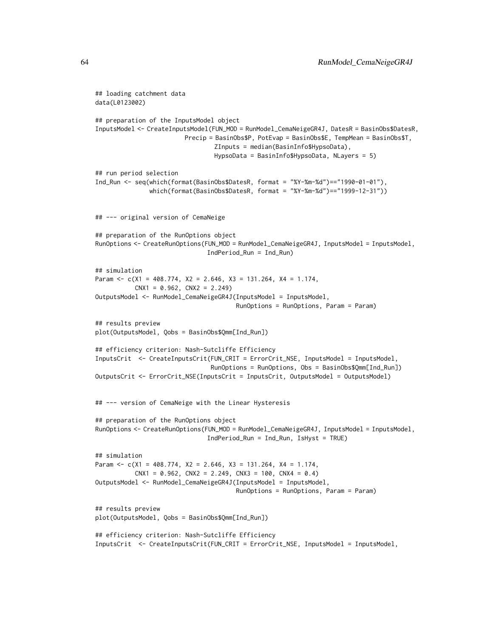```
## loading catchment data
data(L0123002)
## preparation of the InputsModel object
InputsModel <- CreateInputsModel(FUN_MOD = RunModel_CemaNeigeGR4J, DatesR = BasinObs$DatesR,
                        Precip = BasinObs$P, PotEvap = BasinObs$E, TempMean = BasinObs$T,
                                 ZInputs = median(BasinInfo$HypsoData),
                                 HypsoData = BasinInfo$HypsoData, NLayers = 5)
## run period selection
Ind_Run <- seq(which(format(BasinObs$DatesR, format = "%Y-%m-%d")=="1990-01-01"),
               which(format(BasinObs$DatesR, format = "%Y-%m-%d")=="1999-12-31"))
## --- original version of CemaNeige
## preparation of the RunOptions object
RunOptions <- CreateRunOptions(FUN_MOD = RunModel_CemaNeigeGR4J, InputsModel = InputsModel,
                               IndPeriod_Run = Ind_Run)
## simulation
Param <- c(X1 = 408.774, X2 = 2.646, X3 = 131.264, X4 = 1.174,
           CNX1 = 0.962, CNX2 = 2.249OutputsModel <- RunModel_CemaNeigeGR4J(InputsModel = InputsModel,
                                       RunOptions = RunOptions, Param = Param)
## results preview
plot(OutputsModel, Qobs = BasinObs$Qmm[Ind_Run])
## efficiency criterion: Nash-Sutcliffe Efficiency
InputsCrit <- CreateInputsCrit(FUN_CRIT = ErrorCrit_NSE, InputsModel = InputsModel,
                                RunOptions = RunOptions, Obs = BasinObs$Qmm[Ind_Run])
OutputsCrit <- ErrorCrit_NSE(InputsCrit = InputsCrit, OutputsModel = OutputsModel)
## --- version of CemaNeige with the Linear Hysteresis
## preparation of the RunOptions object
RunOptions <- CreateRunOptions(FUN_MOD = RunModel_CemaNeigeGR4J, InputsModel = InputsModel,
                               IndPeriod_Run = Ind_Run, IsHyst = TRUE)
## simulation
Param <- c(X1 = 408.774, X2 = 2.646, X3 = 131.264, X4 = 1.174,
           CNX1 = 0.962, CNX2 = 2.249, CNX3 = 100, CNX4 = 0.4)
OutputsModel <- RunModel_CemaNeigeGR4J(InputsModel = InputsModel,
                                       RunOptions = RunOptions, Param = Param)
## results preview
plot(OutputsModel, Qobs = BasinObs$Qmm[Ind_Run])
## efficiency criterion: Nash-Sutcliffe Efficiency
InputsCrit <- CreateInputsCrit(FUN_CRIT = ErrorCrit_NSE, InputsModel = InputsModel,
```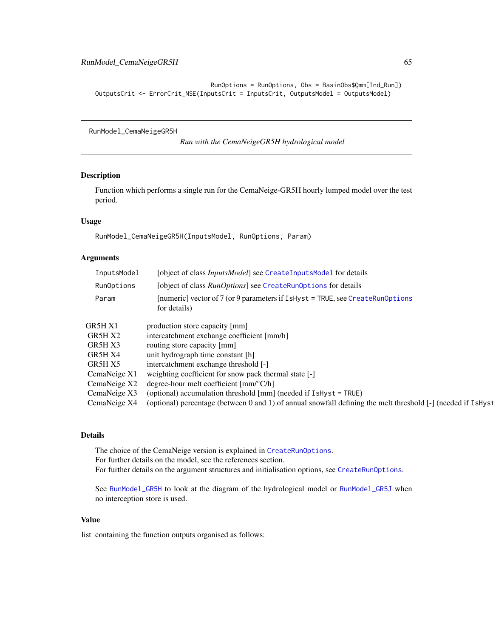```
RunOptions = RunOptions, Obs = BasinObs$Qmm[Ind_Run])
OutputsCrit <- ErrorCrit_NSE(InputsCrit = InputsCrit, OutputsModel = OutputsModel)
```
RunModel\_CemaNeigeGR5H

*Run with the CemaNeigeGR5H hydrological model*

## Description

Function which performs a single run for the CemaNeige-GR5H hourly lumped model over the test period.

## Usage

RunModel\_CemaNeigeGR5H(InputsModel, RunOptions, Param)

## Arguments

| InputsModel  | [object of class <i>InputsModel</i> ] see CreateInputsModel for details                                      |
|--------------|--------------------------------------------------------------------------------------------------------------|
| RunOptions   | [object of class <i>RunOptions</i> ] see CreateRunOptions for details                                        |
| Param        | [numeric] vector of 7 (or 9 parameters if IsHyst = TRUE, see CreateRunOptions<br>for details)                |
| GR5H X1      | production store capacity [mm]                                                                               |
| GR5H X2      | intercatchment exchange coefficient [mm/h]                                                                   |
| GR5H X3      | routing store capacity [mm]                                                                                  |
| GR5H X4      | unit hydrograph time constant [h]                                                                            |
| GR5H X5      | intercatchment exchange threshold [-]                                                                        |
| CemaNeige X1 | weighting coefficient for snow pack thermal state [-]                                                        |
| CemaNeige X2 | degree-hour melt coefficient $\text{[mm]^{\circ}C/h}$                                                        |
| CemaNeige X3 | (optional) accumulation threshold [mm] (needed if IsHyst = TRUE)                                             |
| CemaNeige X4 | (optional) percentage (between 0 and 1) of annual snowfall defining the melt threshold [-] (needed if IsHyst |

## Details

The choice of the CemaNeige version is explained in [CreateRunOptions](#page-28-0). For further details on the model, see the references section. For further details on the argument structures and initialisation options, see [CreateRunOptions](#page-28-0).

See [RunModel\\_GR5H](#page-84-0) to look at the diagram of the hydrological model or [RunModel\\_GR5J](#page-87-0) when no interception store is used.

## Value

list containing the function outputs organised as follows: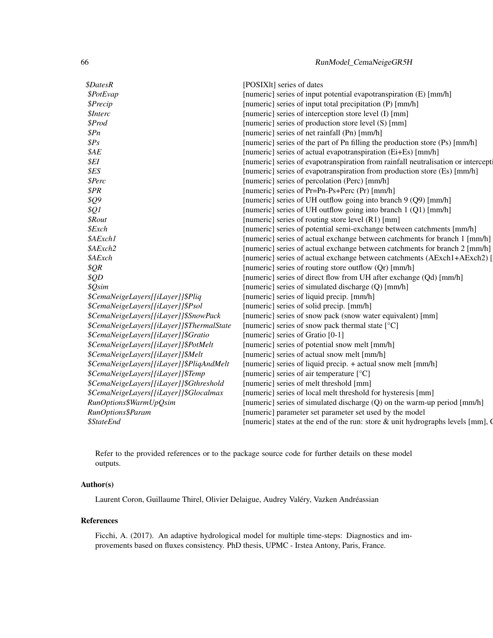| <i><b>\$DatesR</b></i>                    | [POSIX]t] series of dates                                                          |
|-------------------------------------------|------------------------------------------------------------------------------------|
| \$PotEvap                                 | [numeric] series of input potential evapotranspiration (E) [mm/h]                  |
| \$Precip                                  | [numeric] series of input total precipitation (P) [mm/h]                           |
| <i><b>\$Interc</b></i>                    | [numeric] series of interception store level (I) [mm]                              |
| \$Prod                                    | [numeric] series of production store level (S) [mm]                                |
| \$Pn\$                                    | [numeric] series of net rainfall (Pn) [mm/h]                                       |
| \$Ps                                      | [numeric] series of the part of Pn filling the production store (Ps) [mm/h]        |
| \$AE                                      | [numeric] series of actual evapotranspiration (Ei+Es) [mm/h]                       |
| \$EI\$                                    | [numeric] series of evapotranspiration from rainfall neutralisation or intercept   |
| \$ES                                      | [numeric] series of evapotranspiration from production store (Es) [mm/h]           |
| \$Perc                                    | [numeric] series of percolation (Perc) [mm/h]                                      |
| \$PR                                      | [numeric] series of Pr=Pn-Ps+Perc (Pr) [mm/h]                                      |
| <i><b>\$Q9</b></i>                        | [numeric] series of UH outflow going into branch 9 (Q9) [mm/h]                     |
| \$Q1                                      | [numeric] series of UH outflow going into branch 1 (Q1) [mm/h]                     |
| <i><b>\$Rout</b></i>                      | [numeric] series of routing store level (R1) [mm]                                  |
| \$Exch                                    | [numeric] series of potential semi-exchange between catchments [mm/h]              |
| \$AExch1                                  | [numeric] series of actual exchange between catchments for branch 1 [mm/h]         |
| \$AExch2                                  | [numeric] series of actual exchange between catchments for branch 2 [mm/h]         |
| \$AExch                                   | [numeric] series of actual exchange between catchments (AExch1+AExch2) [           |
| \$QR\$                                    | [numeric] series of routing store outflow (Qr) [mm/h]                              |
| \$QD                                      | [numeric] series of direct flow from UH after exchange (Qd) [mm/h]                 |
| \$Qsim                                    | [numeric] series of simulated discharge (Q) [mm/h]                                 |
| \$CemaNeigeLayers[[iLayer]]\$Pliq         | [numeric] series of liquid precip. [mm/h]                                          |
| \$CemaNeigeLayers[[iLayer]]\$Psol         | [numeric] series of solid precip. [mm/h]                                           |
| \$CemaNeigeLayers[[iLayer]]\$SnowPack     | [numeric] series of snow pack (snow water equivalent) [mm]                         |
| \$CemaNeigeLayers[[iLayer]]\$ThermalState | [numeric] series of snow pack thermal state [°C]                                   |
| \$CemaNeigeLayers[[iLayer]]\$Gratio       | [numeric] series of Gratio [0-1]                                                   |
| \$CemaNeigeLayers[[iLayer]]\$PotMelt      | [numeric] series of potential snow melt [mm/h]                                     |
| \$CemaNeigeLayers[[iLayer]]\$Melt         | [numeric] series of actual snow melt [mm/h]                                        |
| \$CemaNeigeLayers[[iLayer]]\$PliqAndMelt  | [numeric] series of liquid precip. + actual snow melt [mm/h]                       |
| \$CemaNeigeLayers[[iLayer]]\$Temp         | [numeric] series of air temperature [°C]                                           |
| \$CemaNeigeLayers[[iLayer]]\$Gthreshold   | [numeric] series of melt threshold [mm]                                            |
| \$CemaNeigeLayers[[iLayer]]\$Glocalmax    | [numeric] series of local melt threshold for hysteresis [mm]                       |
| RunOptions\$WarmUpQsim                    | [numeric] series of simulated discharge (Q) on the warm-up period [mm/h]           |
| RunOptions\$Param                         | [numeric] parameter set parameter set used by the model                            |
| <i><b>\$StateEnd</b></i>                  | [numeric] states at the end of the run: store $\&$ unit hydrographs levels [mm], Q |

Refer to the provided references or to the package source code for further details on these model outputs.

## Author(s)

Laurent Coron, Guillaume Thirel, Olivier Delaigue, Audrey Valéry, Vazken Andréassian

## References

Ficchi, A. (2017). An adaptive hydrological model for multiple time-steps: Diagnostics and improvements based on fluxes consistency. PhD thesis, UPMC - Irstea Antony, Paris, France.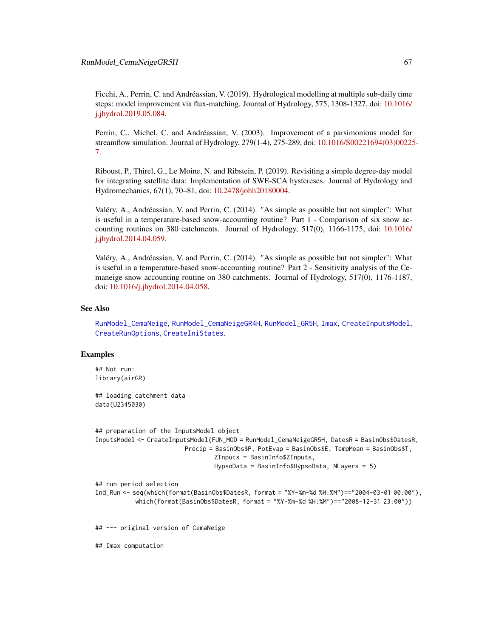Ficchi, A., Perrin, C. and Andréassian, V. (2019). Hydrological modelling at multiple sub-daily time steps: model improvement via flux-matching. Journal of Hydrology, 575, 1308-1327, doi: [10.1016/](https://doi.org/10.1016/j.jhydrol.2019.05.084) [j.jhydrol.2019.05.084.](https://doi.org/10.1016/j.jhydrol.2019.05.084)

Perrin, C., Michel, C. and Andréassian, V. (2003). Improvement of a parsimonious model for streamflow simulation. Journal of Hydrology, 279(1-4), 275-289, doi: [10.1016/S00221694\(03\)00225](https://doi.org/10.1016/S0022-1694(03)00225-7)- [7.](https://doi.org/10.1016/S0022-1694(03)00225-7)

Riboust, P., Thirel, G., Le Moine, N. and Ribstein, P. (2019). Revisiting a simple degree-day model for integrating satellite data: Implementation of SWE-SCA hystereses. Journal of Hydrology and Hydromechanics, 67(1), 70–81, doi: [10.2478/johh20180004.](https://doi.org/10.2478/johh-2018-0004)

Valéry, A., Andréassian, V. and Perrin, C. (2014). "As simple as possible but not simpler": What is useful in a temperature-based snow-accounting routine? Part 1 - Comparison of six snow accounting routines on 380 catchments. Journal of Hydrology, 517(0), 1166-1175, doi: [10.1016/](https://doi.org/10.1016/j.jhydrol.2014.04.059) [j.jhydrol.2014.04.059.](https://doi.org/10.1016/j.jhydrol.2014.04.059)

Valéry, A., Andréassian, V. and Perrin, C. (2014). "As simple as possible but not simpler": What is useful in a temperature-based snow-accounting routine? Part 2 - Sensitivity analysis of the Cemaneige snow accounting routine on 380 catchments. Journal of Hydrology, 517(0), 1176-1187, doi: [10.1016/j.jhydrol.2014.04.058.](https://doi.org/10.1016/j.jhydrol.2014.04.058)

### See Also

[RunModel\\_CemaNeige](#page-54-0), [RunModel\\_CemaNeigeGR4H](#page-57-0), [RunModel\\_GR5H](#page-84-0), [Imax](#page-44-0), [CreateInputsModel](#page-25-0), [CreateRunOptions](#page-28-0), [CreateIniStates](#page-16-0).

#### Examples

```
## Not run:
library(airGR)
```
## loading catchment data data(U2345030)

```
## preparation of the InputsModel object
InputsModel <- CreateInputsModel(FUN_MOD = RunModel_CemaNeigeGR5H, DatesR = BasinObs$DatesR,
                         Precip = BasinObs$P, PotEvap = BasinObs$E, TempMean = BasinObs$T,
                                 ZInputs = BasinInfo$ZInputs,
                                 HypsoData = BasinInfo$HypsoData, NLayers = 5)
```
## run period selection

```
Ind_Run <- seq(which(format(BasinObs$DatesR, format = "%Y-%m-%d %H:%M")=="2004-03-01 00:00"),
           which(format(BasinObs$DatesR, format = "%Y-%m-%d %H:%M")=="2008-12-31 23:00"))
```
## --- original version of CemaNeige

## Imax computation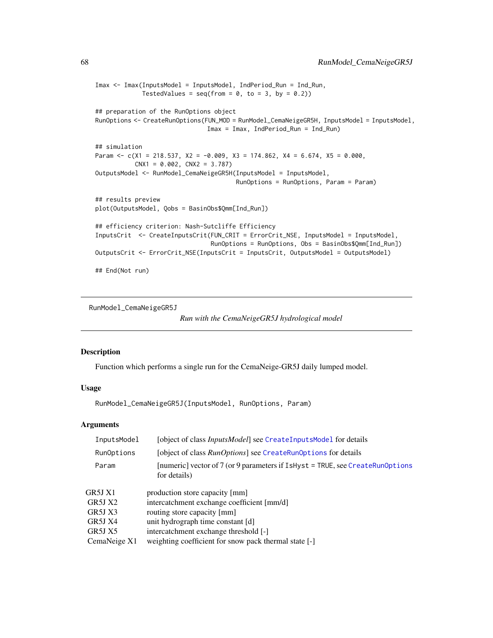```
Imax <- Imax(InputsModel = InputsModel, IndPeriod_Run = Ind_Run,
            TestedValues = seq(from = 0, to = 3, by = 0.2)## preparation of the RunOptions object
RunOptions <- CreateRunOptions(FUN_MOD = RunModel_CemaNeigeGR5H, InputsModel = InputsModel,
                               Imax = Imax, IndPeriod_Run = Ind_Run)
## simulation
Param <- c(X1 = 218.537, X2 = -0.009, X3 = 174.862, X4 = 6.674, X5 = 0.000,
          CNX1 = 0.002, CNX2 = 3.787OutputsModel <- RunModel_CemaNeigeGR5H(InputsModel = InputsModel,
                                       RunOptions = RunOptions, Param = Param)
## results preview
plot(OutputsModel, Qobs = BasinObs$Qmm[Ind_Run])
## efficiency criterion: Nash-Sutcliffe Efficiency
InputsCrit <- CreateInputsCrit(FUN_CRIT = ErrorCrit_NSE, InputsModel = InputsModel,
                                RunOptions = RunOptions, Obs = BasinObs$Qmm[Ind_Run])
OutputsCrit <- ErrorCrit_NSE(InputsCrit = InputsCrit, OutputsModel = OutputsModel)
## End(Not run)
```
<span id="page-67-0"></span>RunModel\_CemaNeigeGR5J

```
Run with the CemaNeigeGR5J hydrological model
```
#### Description

Function which performs a single run for the CemaNeige-GR5J daily lumped model.

#### Usage

```
RunModel_CemaNeigeGR5J(InputsModel, RunOptions, Param)
```
### Arguments

| InputsModel  | [object of class <i>InputsModel</i> ] see CreateInputsModel for details                            |  |
|--------------|----------------------------------------------------------------------------------------------------|--|
| RunOptions   | [object of class RunOptions] see CreateRunOptions for details                                      |  |
| Param        | [numeric] vector of $7$ (or 9 parameters if $I$ sHyst = TRUE, see CreateRunOptions<br>for details) |  |
| GR5J X1      | production store capacity [mm]                                                                     |  |
| GR5J X2      | intercatchment exchange coefficient [mm/d]                                                         |  |
| GR5J X3      | routing store capacity [mm]                                                                        |  |
| GR5J X4      | unit hydrograph time constant [d]                                                                  |  |
| GR5J X5      | intercatchment exchange threshold [-]                                                              |  |
| CemaNeige X1 | weighting coefficient for snow pack thermal state [-]                                              |  |
|              |                                                                                                    |  |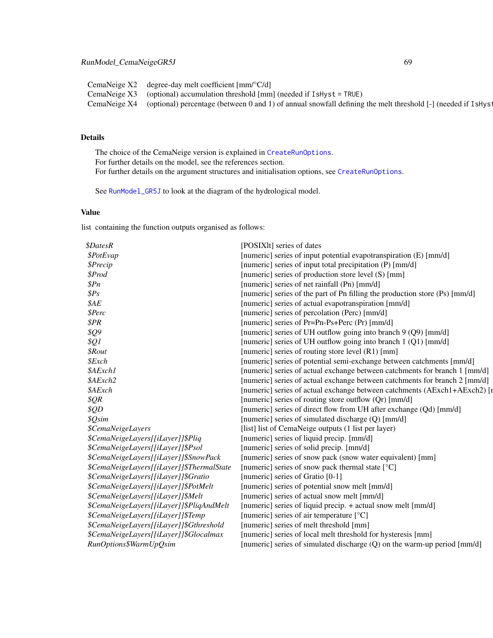CemaNeige X2 degree-day melt coefficient [mm/°C/d] CemaNeige X3 (optional) accumulation threshold [mm] (needed if IsHyst = TRUE) CemaNeige  $X4$  (optional) percentage (between 0 and 1) of annual snowfall defining the melt threshold  $[-]$  (needed if IsHyst

# Details

The choice of the CemaNeige version is explained in [CreateRunOptions](#page-28-0). For further details on the model, see the references section. For further details on the argument structures and initialisation options, see [CreateRunOptions](#page-28-0).

See [RunModel\\_GR5J](#page-87-0) to look at the diagram of the hydrological model.

## Value

list containing the function outputs organised as follows:

| <i><b>\$DatesR</b></i>                    | [POSIX]t] series of dates                                                   |
|-------------------------------------------|-----------------------------------------------------------------------------|
| \$PotEvap                                 | [numeric] series of input potential evapotranspiration (E) [mm/d]           |
| <i><b>\$Precip</b></i>                    | [numeric] series of input total precipitation (P) [mm/d]                    |
| \$Prod                                    | [numeric] series of production store level (S) [mm]                         |
| \$Pn\$                                    | [numeric] series of net rainfall (Pn) [mm/d]                                |
| $\$Ps$                                    | [numeric] series of the part of Pn filling the production store (Ps) [mm/d] |
| \$AE                                      | [numeric] series of actual evapotranspiration [mm/d]                        |
| \$Perc                                    | [numeric] series of percolation (Perc) [mm/d]                               |
| \$PR\$                                    | [numeric] series of Pr=Pn-Ps+Perc (Pr) [mm/d]                               |
| \$Q9                                      | [numeric] series of UH outflow going into branch 9 (Q9) [mm/d]              |
| \$Q1                                      | [numeric] series of UH outflow going into branch 1 (Q1) [mm/d]              |
| <i><b>\$Rout</b></i>                      | [numeric] series of routing store level (R1) [mm]                           |
| \$Exch                                    | [numeric] series of potential semi-exchange between catchments [mm/d]       |
| \$AExch1                                  | [numeric] series of actual exchange between catchments for branch 1 [mm/d]  |
| \$AExch2                                  | [numeric] series of actual exchange between catchments for branch 2 [mm/d]  |
| \$AExch                                   | [numeric] series of actual exchange between catchments (AExch1+AExch2) [r   |
| \$QR\$                                    | [numeric] series of routing store outflow (Qr) [mm/d]                       |
| \$QD                                      | [numeric] series of direct flow from UH after exchange (Qd) [mm/d]          |
| \$Qsim                                    | [numeric] series of simulated discharge (Q) [mm/d]                          |
| <i><b>\$CemaNeigeLayers</b></i>           | [list] list of CemaNeige outputs (1 list per layer)                         |
| \$CemaNeigeLayers[[iLayer]]\$Pliq         | [numeric] series of liquid precip. [mm/d]                                   |
| \$CemaNeigeLayers[[iLayer]]\$Psol         | [numeric] series of solid precip. [mm/d]                                    |
| \$CemaNeigeLayers[[iLayer]]\$SnowPack     | [numeric] series of snow pack (snow water equivalent) [mm]                  |
| \$CemaNeigeLayers[[iLayer]]\$ThermalState | [numeric] series of snow pack thermal state [°C]                            |
| \$CemaNeigeLayers[[iLayer]]\$Gratio       | [numeric] series of Gratio [0-1]                                            |
| \$CemaNeigeLayers[[iLayer]]\$PotMelt      | [numeric] series of potential snow melt [mm/d]                              |
| \$CemaNeigeLayers[[iLayer]]\$Melt         | [numeric] series of actual snow melt [mm/d]                                 |
| \$CemaNeigeLayers[[iLayer]]\$PliqAndMelt  | [numeric] series of liquid precip. + actual snow melt [mm/d]                |
| \$CemaNeigeLayers[[iLayer]]\$Temp         | [numeric] series of air temperature [°C]                                    |
| \$CemaNeigeLayers[[iLayer]]\$Gthreshold   | [numeric] series of melt threshold [mm]                                     |
| \$CemaNeigeLayers[[iLayer]]\$Glocalmax    | [numeric] series of local melt threshold for hysteresis [mm]                |
| RunOptions\$WarmUpQsim                    | [numeric] series of simulated discharge (Q) on the warm-up period [mm/d]    |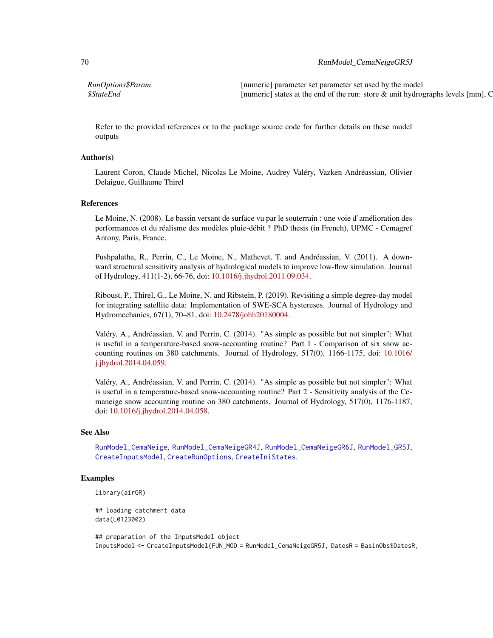## 70 RunModel\_CemaNeigeGR5J

*RunOptions\$Param* [numeric] parameter set parameter set used by the model *\$StateEnd* [numeric] states at the end of the run: store & unit hydrographs levels [mm], C

Refer to the provided references or to the package source code for further details on these model outputs

## Author(s)

Laurent Coron, Claude Michel, Nicolas Le Moine, Audrey Valéry, Vazken Andréassian, Olivier Delaigue, Guillaume Thirel

### References

Le Moine, N. (2008). Le bassin versant de surface vu par le souterrain : une voie d'amélioration des performances et du réalisme des modèles pluie-débit ? PhD thesis (in French), UPMC - Cemagref Antony, Paris, France.

Pushpalatha, R., Perrin, C., Le Moine, N., Mathevet, T. and Andréassian, V. (2011). A downward structural sensitivity analysis of hydrological models to improve low-flow simulation. Journal of Hydrology, 411(1-2), 66-76, doi: [10.1016/j.jhydrol.2011.09.034.](https://doi.org/10.1016/j.jhydrol.2011.09.034)

Riboust, P., Thirel, G., Le Moine, N. and Ribstein, P. (2019). Revisiting a simple degree-day model for integrating satellite data: Implementation of SWE-SCA hystereses. Journal of Hydrology and Hydromechanics, 67(1), 70–81, doi: [10.2478/johh20180004.](https://doi.org/10.2478/johh-2018-0004)

Valéry, A., Andréassian, V. and Perrin, C. (2014). "As simple as possible but not simpler": What is useful in a temperature-based snow-accounting routine? Part 1 - Comparison of six snow accounting routines on 380 catchments. Journal of Hydrology, 517(0), 1166-1175, doi: [10.1016/](https://doi.org/10.1016/j.jhydrol.2014.04.059) [j.jhydrol.2014.04.059.](https://doi.org/10.1016/j.jhydrol.2014.04.059)

Valéry, A., Andréassian, V. and Perrin, C. (2014). "As simple as possible but not simpler": What is useful in a temperature-based snow-accounting routine? Part 2 - Sensitivity analysis of the Cemaneige snow accounting routine on 380 catchments. Journal of Hydrology, 517(0), 1176-1187, doi: [10.1016/j.jhydrol.2014.04.058.](https://doi.org/10.1016/j.jhydrol.2014.04.058)

## See Also

[RunModel\\_CemaNeige](#page-54-0), [RunModel\\_CemaNeigeGR4J](#page-60-0), [RunModel\\_CemaNeigeGR6J](#page-70-0), [RunModel\\_GR5J](#page-87-0), [CreateInputsModel](#page-25-0), [CreateRunOptions](#page-28-0), [CreateIniStates](#page-16-0).

## Examples

```
library(airGR)
```
## loading catchment data data(L0123002)

## preparation of the InputsModel object InputsModel <- CreateInputsModel(FUN\_MOD = RunModel\_CemaNeigeGR5J, DatesR = BasinObs\$DatesR,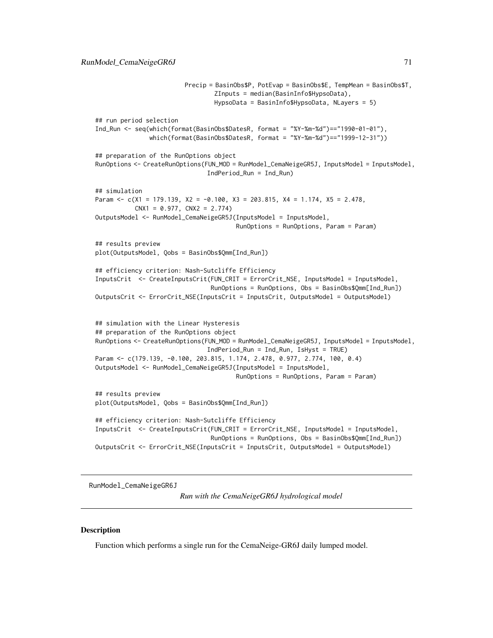```
Precip = BasinObs$P, PotEvap = BasinObs$E, TempMean = BasinObs$T,
                                 ZInputs = median(BasinInfo$HypsoData),
                                 HypsoData = BasinInfo$HypsoData, NLayers = 5)
## run period selection
Ind_Run <- seq(which(format(BasinObs$DatesR, format = "%Y-%m-%d")=="1990-01-01"),
               which(format(BasinObs$DatesR, format = "%Y-%m-%d")=="1999-12-31"))
## preparation of the RunOptions object
RunOptions <- CreateRunOptions(FUN_MOD = RunModel_CemaNeigeGR5J, InputsModel = InputsModel,
                               IndPeriod_Run = Ind_Run)
## simulation
Param \leq c(X1 = 179.139, X2 = -0.100, X3 = 203.815, X4 = 1.174, X5 = 2.478,
           CNX1 = 0.977, CNX2 = 2.774OutputsModel <- RunModel_CemaNeigeGR5J(InputsModel = InputsModel,
                                       RunOptions = RunOptions, Param = Param)
## results preview
plot(OutputsModel, Qobs = BasinObs$Qmm[Ind_Run])
## efficiency criterion: Nash-Sutcliffe Efficiency
InputsCrit <- CreateInputsCrit(FUN_CRIT = ErrorCrit_NSE, InputsModel = InputsModel,
                                RunOptions = RunOptions, Obs = BasinObs$Qmm[Ind_Run])
OutputsCrit <- ErrorCrit_NSE(InputsCrit = InputsCrit, OutputsModel = OutputsModel)
## simulation with the Linear Hysteresis
## preparation of the RunOptions object
RunOptions <- CreateRunOptions(FUN_MOD = RunModel_CemaNeigeGR5J, InputsModel = InputsModel,
                               IndPeriod_Run = Ind_Run, IsHyst = TRUE)
Param <- c(179.139, -0.100, 203.815, 1.174, 2.478, 0.977, 2.774, 100, 0.4)
OutputsModel <- RunModel_CemaNeigeGR5J(InputsModel = InputsModel,
                                       RunOptions = RunOptions, Param = Param)
## results preview
plot(OutputsModel, Qobs = BasinObs$Qmm[Ind_Run])
## efficiency criterion: Nash-Sutcliffe Efficiency
InputsCrit <- CreateInputsCrit(FUN_CRIT = ErrorCrit_NSE, InputsModel = InputsModel,
                                RunOptions = RunOptions, Obs = BasinObs$Qmm[Ind_Run])
OutputsCrit <- ErrorCrit_NSE(InputsCrit = InputsCrit, OutputsModel = OutputsModel)
```
<span id="page-70-0"></span>RunModel\_CemaNeigeGR6J

*Run with the CemaNeigeGR6J hydrological model*

## **Description**

Function which performs a single run for the CemaNeige-GR6J daily lumped model.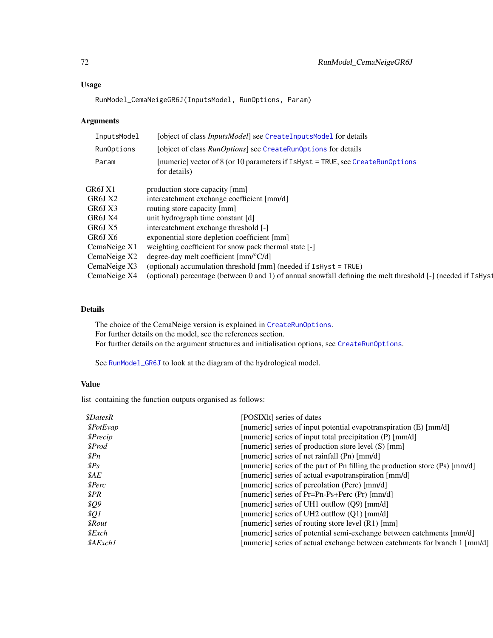## Usage

RunModel\_CemaNeigeGR6J(InputsModel, RunOptions, Param)

## Arguments

| InputsModel  | [object of class InputsModel] see CreateInputsModel for details                                              |  |
|--------------|--------------------------------------------------------------------------------------------------------------|--|
| RunOptions   | [object of class <i>RunOptions</i> ] see CreateRunOptions for details                                        |  |
| Param        | [numeric] vector of $8$ (or 10 parameters if IsHyst = TRUE, see CreateRunOptions<br>for details)             |  |
| GR6J X1      | production store capacity [mm]                                                                               |  |
| GR6J X2      | intercatchment exchange coefficient [mm/d]                                                                   |  |
| GR6J X3      | routing store capacity [mm]                                                                                  |  |
| GR6J X4      | unit hydrograph time constant [d]                                                                            |  |
| GR6J X5      | intercatchment exchange threshold [-]                                                                        |  |
| GR6J X6      | exponential store depletion coefficient [mm]                                                                 |  |
| CemaNeige X1 | weighting coefficient for snow pack thermal state [-]                                                        |  |
| CemaNeige X2 | degree-day melt coefficient $\text{[mm]^{\circ}C/d}$                                                         |  |
| CemaNeige X3 | (optional) accumulation threshold $\lceil \text{mm} \rceil$ (needed if $\text{IsHyst} = \text{TRUE}$ )       |  |
| CemaNeige X4 | (optional) percentage (between 0 and 1) of annual snowfall defining the melt threshold [-] (needed if IsHyst |  |

## Details

The choice of the CemaNeige version is explained in [CreateRunOptions](#page-28-0). For further details on the model, see the references section. For further details on the argument structures and initialisation options, see [CreateRunOptions](#page-28-0).

See [RunModel\\_GR6J](#page-90-0) to look at the diagram of the hydrological model.

## Value

list containing the function outputs organised as follows:

| <i><b>\$DatesR</b></i> | [POSIX]t] series of dates                                                   |
|------------------------|-----------------------------------------------------------------------------|
| \$PotEvap              | [numeric] series of input potential evapotranspiration (E) [mm/d]           |
| \$Precip               | [numeric] series of input total precipitation (P) [mm/d]                    |
| \$Prod                 | [numeric] series of production store level (S) [mm]                         |
| $\mathcal{S}Pn$        | [numeric] series of net rainfall (Pn) [mm/d]                                |
| $\$Ps$                 | [numeric] series of the part of Pn filling the production store (Ps) [mm/d] |
| \$AE                   | [numeric] series of actual evapotranspiration [mm/d]                        |
| <i><b>\$Perc</b></i>   | [numeric] series of percolation (Perc) [mm/d]                               |
| \$PR                   | [numeric] series of Pr=Pn-Ps+Perc (Pr) [mm/d]                               |
| <i><b>\$Q9</b></i>     | [numeric] series of UH1 outflow $(Q9)$ [mm/d]                               |
| $\frac{1}{2}QI$        | [numeric] series of UH2 outflow $(01)$ [mm/d]                               |
| <i><b>SRout</b></i>    | [numeric] series of routing store level $(R1)$ [mm]                         |
| $$\mathcal{E}$ xch     | [numeric] series of potential semi-exchange between catchments [mm/d]       |
| \$AExch1               | [numeric] series of actual exchange between catchments for branch 1 [mm/d]  |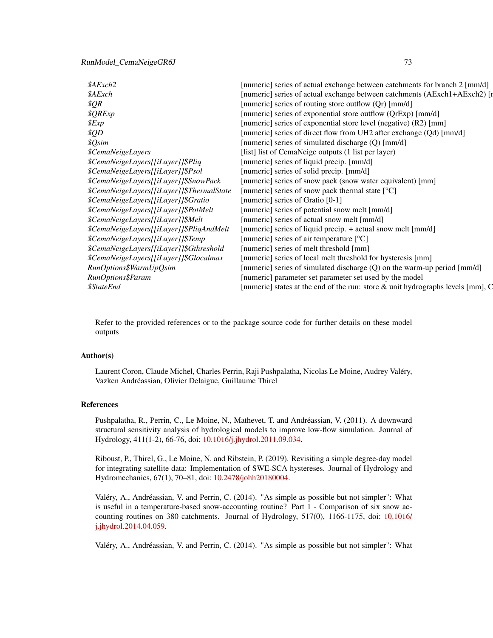## <span id="page-72-0"></span>RunModel\_CemaNeigeGR6J 73

| \$AExch2                                  | [numeric] series of actual exchange between catchments for branch 2 [mm/d]         |
|-------------------------------------------|------------------------------------------------------------------------------------|
| \$AExch                                   | [numeric] series of actual exchange between catchments (AExch1+AExch2) [1          |
| \$QR                                      | [numeric] series of routing store outflow (Qr) [mm/d]                              |
| \$QRExp                                   | [numeric] series of exponential store outflow (QrExp) [mm/d]                       |
| \$Exp                                     | [numeric] series of exponential store level (negative) (R2) [mm]                   |
| \$QD                                      | [numeric] series of direct flow from UH2 after exchange (Qd) [mm/d]                |
| \$Qsim                                    | [numeric] series of simulated discharge (Q) [mm/d]                                 |
| <i><b>\$CemaNeigeLayers</b></i>           | [list] list of CemaNeige outputs (1 list per layer)                                |
| \$CemaNeigeLayers[[iLayer]]\$Pliq         | [numeric] series of liquid precip. [mm/d]                                          |
| \$CemaNeigeLayers[[iLayer]]\$Psol         | [numeric] series of solid precip. [mm/d]                                           |
| \$CemaNeigeLayers[[iLayer]]\$SnowPack     | [numeric] series of snow pack (snow water equivalent) [mm]                         |
| \$CemaNeigeLayers[[iLayer]]\$ThermalState | [numeric] series of snow pack thermal state [°C]                                   |
| \$CemaNeigeLayers[[iLayer]]\$Gratio       | [numeric] series of Gratio [0-1]                                                   |
| \$CemaNeigeLayers[[iLayer]]\$PotMelt      | [numeric] series of potential snow melt [mm/d]                                     |
| \$CemaNeigeLayers[[iLayer]]\$Melt         | [numeric] series of actual snow melt [mm/d]                                        |
| \$CemaNeigeLayers[[iLayer]]\$PliqAndMelt  | [numeric] series of liquid precip. + actual snow melt [mm/d]                       |
| \$CemaNeigeLayers[[iLayer]]\$Temp         | [numeric] series of air temperature $[°C]$                                         |
| \$CemaNeigeLayers[[iLayer]]\$Gthreshold   | [numeric] series of melt threshold [mm]                                            |
| \$CemaNeigeLayers[[iLayer]]\$Glocalmax    | [numeric] series of local melt threshold for hysteresis [mm]                       |
| RunOptions\$WarmUpQsim                    | [numeric] series of simulated discharge (Q) on the warm-up period [mm/d]           |
| RunOptions\$Param                         | [numeric] parameter set parameter set used by the model                            |
| <i><b>\$StateEnd</b></i>                  | [numeric] states at the end of the run: store $\&$ unit hydrographs levels [mm], C |

Refer to the provided references or to the package source code for further details on these model outputs

# Author(s)

Laurent Coron, Claude Michel, Charles Perrin, Raji Pushpalatha, Nicolas Le Moine, Audrey Valéry, Vazken Andréassian, Olivier Delaigue, Guillaume Thirel

# References

Pushpalatha, R., Perrin, C., Le Moine, N., Mathevet, T. and Andréassian, V. (2011). A downward structural sensitivity analysis of hydrological models to improve low-flow simulation. Journal of Hydrology, 411(1-2), 66-76, doi: [10.1016/j.jhydrol.2011.09.034.](https://doi.org/10.1016/j.jhydrol.2011.09.034)

Riboust, P., Thirel, G., Le Moine, N. and Ribstein, P. (2019). Revisiting a simple degree-day model for integrating satellite data: Implementation of SWE-SCA hystereses. Journal of Hydrology and Hydromechanics, 67(1), 70–81, doi: [10.2478/johh20180004.](https://doi.org/10.2478/johh-2018-0004)

Valéry, A., Andréassian, V. and Perrin, C. (2014). "As simple as possible but not simpler": What is useful in a temperature-based snow-accounting routine? Part 1 - Comparison of six snow accounting routines on 380 catchments. Journal of Hydrology, 517(0), 1166-1175, doi: [10.1016/](https://doi.org/10.1016/j.jhydrol.2014.04.059) [j.jhydrol.2014.04.059.](https://doi.org/10.1016/j.jhydrol.2014.04.059)

Valéry, A., Andréassian, V. and Perrin, C. (2014). "As simple as possible but not simpler": What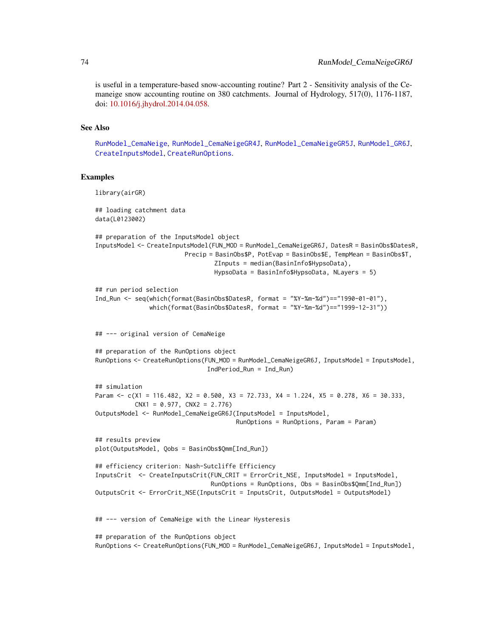is useful in a temperature-based snow-accounting routine? Part 2 - Sensitivity analysis of the Cemaneige snow accounting routine on 380 catchments. Journal of Hydrology, 517(0), 1176-1187, doi: [10.1016/j.jhydrol.2014.04.058.](https://doi.org/10.1016/j.jhydrol.2014.04.058)

# See Also

[RunModel\\_CemaNeige](#page-54-0), [RunModel\\_CemaNeigeGR4J](#page-60-0), [RunModel\\_CemaNeigeGR5J](#page-67-0), [RunModel\\_GR6J](#page-90-0), [CreateInputsModel](#page-25-0), [CreateRunOptions](#page-28-0).

```
library(airGR)
## loading catchment data
data(L0123002)
## preparation of the InputsModel object
InputsModel <- CreateInputsModel(FUN_MOD = RunModel_CemaNeigeGR6J, DatesR = BasinObs$DatesR,
                        Precip = BasinObs$P, PotEvap = BasinObs$E, TempMean = BasinObs$T,
                                 ZInputs = median(BasinInfo$HypsoData),
                                 HypsoData = BasinInfo$HypsoData, NLayers = 5)
## run period selection
Ind_Run <- seq(which(format(BasinObs$DatesR, format = "%Y-%m-%d")=="1990-01-01"),
               which(format(BasinObs$DatesR, format = "%Y-%m-%d")=="1999-12-31"))
## --- original version of CemaNeige
## preparation of the RunOptions object
RunOptions <- CreateRunOptions(FUN_MOD = RunModel_CemaNeigeGR6J, InputsModel = InputsModel,
                               IndPeriod_Run = Ind_Run)
## simulation
Param <- c(X1 = 116.482, X2 = 0.500, X3 = 72.733, X4 = 1.224, X5 = 0.278, X6 = 30.333,
           CNX1 = 0.977, CNX2 = 2.776OutputsModel <- RunModel_CemaNeigeGR6J(InputsModel = InputsModel,
                                       RunOptions = RunOptions, Param = Param)
## results preview
plot(OutputsModel, Qobs = BasinObs$Qmm[Ind_Run])
## efficiency criterion: Nash-Sutcliffe Efficiency
InputsCrit <- CreateInputsCrit(FUN_CRIT = ErrorCrit_NSE, InputsModel = InputsModel,
                                RunOptions = RunOptions, Obs = BasinObs$Qmm[Ind_Run])
OutputsCrit <- ErrorCrit_NSE(InputsCrit = InputsCrit, OutputsModel = OutputsModel)
## --- version of CemaNeige with the Linear Hysteresis
## preparation of the RunOptions object
RunOptions <- CreateRunOptions(FUN_MOD = RunModel_CemaNeigeGR6J, InputsModel = InputsModel,
```
<span id="page-73-0"></span>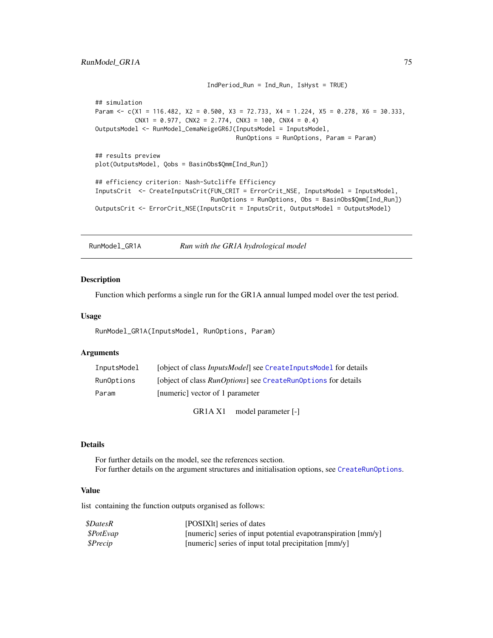```
IndPeriod_Run = Ind_Run, IsHyst = TRUE)
## simulation
Param <- c(X1 = 116.482, X2 = 0.500, X3 = 72.733, X4 = 1.224, X5 = 0.278, X6 = 30.333,
           CNX1 = 0.977, CNX2 = 2.774, CNX3 = 100, CNX4 = 0.4)
OutputsModel <- RunModel_CemaNeigeGR6J(InputsModel = InputsModel,
                                       RunOptions = RunOptions, Param = Param)
## results preview
plot(OutputsModel, Qobs = BasinObs$Qmm[Ind_Run])
## efficiency criterion: Nash-Sutcliffe Efficiency
InputsCrit <- CreateInputsCrit(FUN_CRIT = ErrorCrit_NSE, InputsModel = InputsModel,
                                RunOptions = RunOptions, Obs = BasinObs$Qmm[Ind_Run])
OutputsCrit <- ErrorCrit_NSE(InputsCrit = InputsCrit, OutputsModel = OutputsModel)
```
RunModel\_GR1A *Run with the GR1A hydrological model*

# Description

Function which performs a single run for the GR1A annual lumped model over the test period.

#### Usage

RunModel\_GR1A(InputsModel, RunOptions, Param)

## Arguments

| InputsModel | [object of class <i>InputsModel</i> ] see CreateInputsModel for details |
|-------------|-------------------------------------------------------------------------|
| RunOptions  | [object of class <i>RunOptions</i> ] see CreateRunOptions for details   |
| Param       | [numeric] vector of 1 parameter                                         |

GR1A X1 model parameter [-]

#### Details

For further details on the model, see the references section. For further details on the argument structures and initialisation options, see [CreateRunOptions](#page-28-0).

## Value

| <i><b>\$DatesR</b></i>  | [POSIXIt] series of dates                                     |
|-------------------------|---------------------------------------------------------------|
| <i><b>\$PotEvap</b></i> | [numeric] series of input potential evapotranspiration [mm/y] |
| \$Precip                | [numeric] series of input total precipitation [mm/y]          |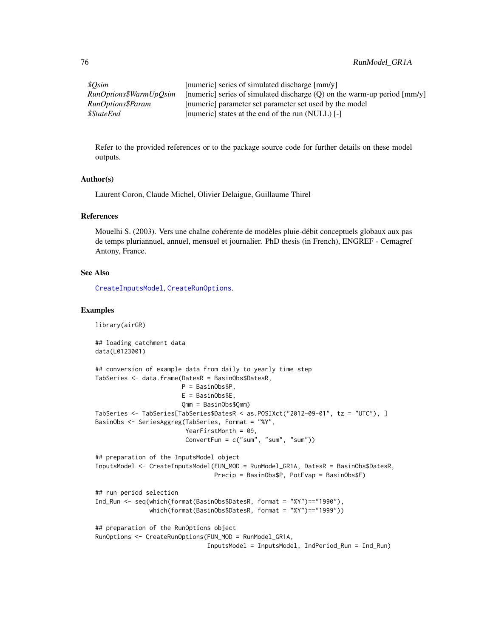| \$Osim                   | [numeric] series of simulated discharge [mm/y]                           |
|--------------------------|--------------------------------------------------------------------------|
| RunOptions\$WarmUpOsim   | [numeric] series of simulated discharge (Q) on the warm-up period [mm/y] |
| RunOptions\$Param        | [numeric] parameter set parameter set used by the model                  |
| <i><b>\$StateEnd</b></i> | [numeric] states at the end of the run (NULL) [-]                        |

Refer to the provided references or to the package source code for further details on these model outputs.

#### Author(s)

Laurent Coron, Claude Michel, Olivier Delaigue, Guillaume Thirel

#### References

Mouelhi S. (2003). Vers une chaîne cohérente de modèles pluie-débit conceptuels globaux aux pas de temps pluriannuel, annuel, mensuel et journalier. PhD thesis (in French), ENGREF - Cemagref Antony, France.

#### See Also

[CreateInputsModel](#page-25-0), [CreateRunOptions](#page-28-0).

```
library(airGR)
## loading catchment data
data(L0123001)
## conversion of example data from daily to yearly time step
TabSeries <- data.frame(DatesR = BasinObs$DatesR,
                       P = BasinObs$P,
                        E = BasinObs$E,
                        Qmm = BasinObs$Qmm)
TabSeries <- TabSeries[TabSeries$DatesR < as.POSIXct("2012-09-01", tz = "UTC"), ]
BasinObs <- SeriesAggreg(TabSeries, Format = "%Y",
                         YearFirstMonth = 09,
                         ConvertFun = c("sum", "sum", "sum"))
## preparation of the InputsModel object
InputsModel <- CreateInputsModel(FUN_MOD = RunModel_GR1A, DatesR = BasinObs$DatesR,
                                 Precip = BasinObs$P, PotEvap = BasinObs$E)
## run period selection
Ind_Run <- seq(which(format(BasinObs$DatesR, format = "%Y")=="1990"),
               which(format(BasinObs$DatesR, format = "%Y")=="1999"))
## preparation of the RunOptions object
RunOptions <- CreateRunOptions(FUN_MOD = RunModel_GR1A,
                               InputsModel = InputsModel, IndPeriod_Run = Ind_Run)
```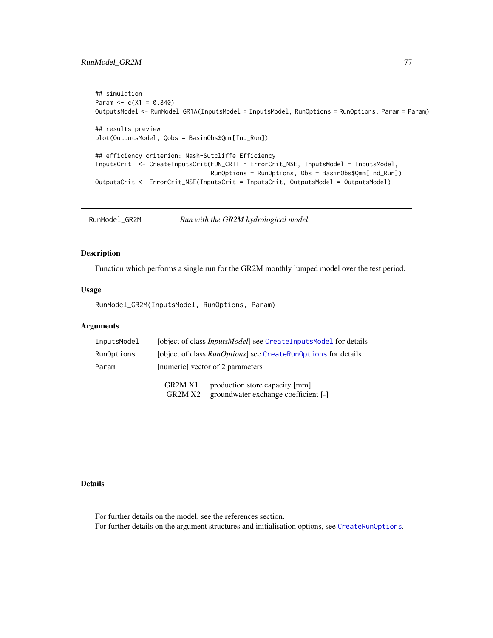# <span id="page-76-0"></span>RunModel\_GR2M 77

```
## simulation
Param <-c(X1 = 0.840)OutputsModel <- RunModel_GR1A(InputsModel = InputsModel, RunOptions = RunOptions, Param = Param)
## results preview
plot(OutputsModel, Qobs = BasinObs$Qmm[Ind_Run])
## efficiency criterion: Nash-Sutcliffe Efficiency
InputsCrit <- CreateInputsCrit(FUN_CRIT = ErrorCrit_NSE, InputsModel = InputsModel,
                                RunOptions = RunOptions, Obs = BasinObs$Qmm[Ind_Run])
OutputsCrit <- ErrorCrit_NSE(InputsCrit = InputsCrit, OutputsModel = OutputsModel)
```
RunModel\_GR2M *Run with the GR2M hydrological model*

#### Description

Function which performs a single run for the GR2M monthly lumped model over the test period.

#### Usage

RunModel\_GR2M(InputsModel, RunOptions, Param)

# Arguments

| InputsModel | [object of class <i>InputsModel</i> ] see CreateInputsModel for details |  |
|-------------|-------------------------------------------------------------------------|--|
| RunOptions  | [object of class <i>RunOptions</i> ] see CreateRunOptions for details   |  |
| Param       | [numeric] vector of 2 parameters                                        |  |
|             | production store capacity [mm]<br>GR <sub>2</sub> M <sub>X1</sub>       |  |

GR2M X2 groundwater exchange coefficient [-]

# Details

For further details on the model, see the references section. For further details on the argument structures and initialisation options, see [CreateRunOptions](#page-28-0).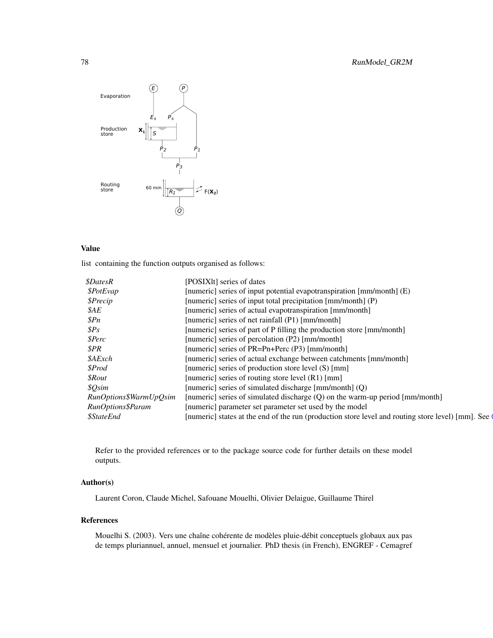<span id="page-77-0"></span>

# Value

list containing the function outputs organised as follows:

| <i><b>\$DatesR</b></i><br>[POSIXIt] series of dates                                                                             |
|---------------------------------------------------------------------------------------------------------------------------------|
| [numeric] series of input potential evapotranspiration [mm/month] (E)<br>\$PotEvap                                              |
| [numeric] series of input total precipitation [mm/month] (P)<br>\$Precip                                                        |
| [numeric] series of actual evapotranspiration [mm/month]<br>\$AE                                                                |
| [numeric] series of net rainfall (P1) [mm/month]<br>$\mathcal{S}Pn$                                                             |
| $\$Ps$<br>[numeric] series of part of P filling the production store [mm/month]                                                 |
| [numeric] series of percolation (P2) [mm/month]<br>\$Perc                                                                       |
| \$PR<br>[numeric] series of PR=Pn+Perc (P3) [mm/month]                                                                          |
| [numeric] series of actual exchange between catchments [mm/month]<br>\$AExch                                                    |
| [numeric] series of production store level (S) [mm]<br>\$Prod                                                                   |
| [numeric] series of routing store level $(R1)$ [mm]<br><i><b>SRout</b></i>                                                      |
| [numeric] series of simulated discharge [mm/month] (Q)<br>\$Qsim                                                                |
| [numeric] series of simulated discharge (Q) on the warm-up period [mm/month]<br>RunOptions\$WarmUpQsim                          |
| RunOptions\$Param<br>[numeric] parameter set parameter set used by the model                                                    |
| [numeric] states at the end of the run (production store level and routing store level) [mm]. See (<br><i><b>\$StateEnd</b></i> |

Refer to the provided references or to the package source code for further details on these model outputs.

# Author(s)

Laurent Coron, Claude Michel, Safouane Mouelhi, Olivier Delaigue, Guillaume Thirel

# References

Mouelhi S. (2003). Vers une chaîne cohérente de modèles pluie-débit conceptuels globaux aux pas de temps pluriannuel, annuel, mensuel et journalier. PhD thesis (in French), ENGREF - Cemagref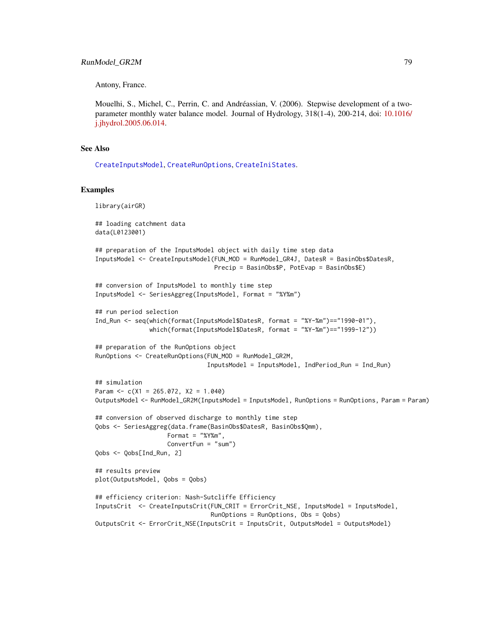<span id="page-78-0"></span>Antony, France.

Mouelhi, S., Michel, C., Perrin, C. and Andréassian, V. (2006). Stepwise development of a twoparameter monthly water balance model. Journal of Hydrology, 318(1-4), 200-214, doi: [10.1016/](https://doi.org/10.1016/j.jhydrol.2005.06.014) [j.jhydrol.2005.06.014.](https://doi.org/10.1016/j.jhydrol.2005.06.014)

## See Also

[CreateInputsModel](#page-25-0), [CreateRunOptions](#page-28-0), [CreateIniStates](#page-16-0).

```
library(airGR)
## loading catchment data
data(L0123001)
## preparation of the InputsModel object with daily time step data
InputsModel <- CreateInputsModel(FUN_MOD = RunModel_GR4J, DatesR = BasinObs$DatesR,
                                 Precip = BasinObs$P, PotEvap = BasinObs$E)
## conversion of InputsModel to monthly time step
InputsModel <- SeriesAggreg(InputsModel, Format = "%Y%m")
## run period selection
Ind_Run <- seq(which(format(InputsModel$DatesR, format = "%Y-%m")=="1990-01"),
               which(format(InputsModel$DatesR, format = "%Y-%m")=="1999-12"))
## preparation of the RunOptions object
RunOptions <- CreateRunOptions(FUN_MOD = RunModel_GR2M,
                               InputsModel = InputsModel, IndPeriod_Run = Ind_Run)
## simulation
Param <-c(X1 = 265.072, X2 = 1.040)OutputsModel <- RunModel_GR2M(InputsModel = InputsModel, RunOptions = RunOptions, Param = Param)
## conversion of observed discharge to monthly time step
Qobs <- SeriesAggreg(data.frame(BasinObs$DatesR, BasinObs$Qmm),
                    Format = "%Y%m",
                    ConvertFun = "sum")
Qobs <- Qobs[Ind_Run, 2]
## results preview
plot(OutputsModel, Qobs = Qobs)
## efficiency criterion: Nash-Sutcliffe Efficiency
InputsCrit <- CreateInputsCrit(FUN_CRIT = ErrorCrit_NSE, InputsModel = InputsModel,
                                RunOptions = RunOptions, Obs = Qobs)
OutputsCrit <- ErrorCrit_NSE(InputsCrit = InputsCrit, OutputsModel = OutputsModel)
```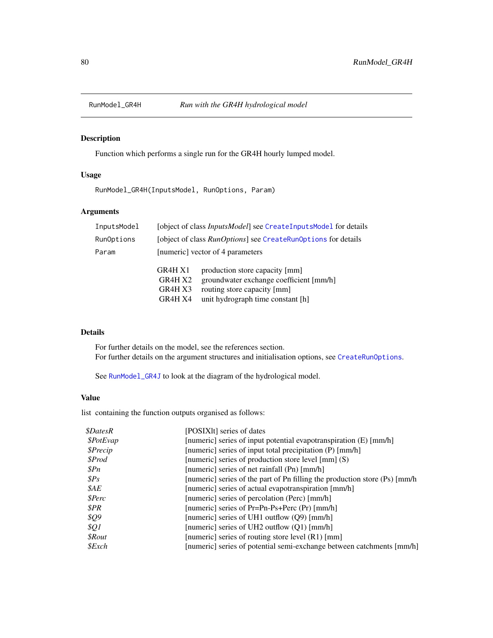<span id="page-79-1"></span><span id="page-79-0"></span>

# Description

Function which performs a single run for the GR4H hourly lumped model.

# Usage

RunModel\_GR4H(InputsModel, RunOptions, Param)

# Arguments

| InputsModel |                                                                       | [object of class <i>InputsModel</i> ] see CreateInputsModel for details                                                                       |  |
|-------------|-----------------------------------------------------------------------|-----------------------------------------------------------------------------------------------------------------------------------------------|--|
| RunOptions  | [object of class <i>RunOptions</i> ] see CreateRunOptions for details |                                                                                                                                               |  |
| Param       | [numeric] vector of 4 parameters                                      |                                                                                                                                               |  |
|             | GR4H X1<br>GR4H X2<br>GR4H X3<br>GR4H X4                              | production store capacity [mm]<br>groundwater exchange coefficient [mm/h]<br>routing store capacity [mm]<br>unit hydrograph time constant [h] |  |

# Details

For further details on the model, see the references section. For further details on the argument structures and initialisation options, see [CreateRunOptions](#page-28-0).

See [RunModel\\_GR4J](#page-81-0) to look at the diagram of the hydrological model.

## Value

| <i><b>\$DatesR</b></i> | [POSIXIt] series of dates                                                   |
|------------------------|-----------------------------------------------------------------------------|
| \$PotEvap              | [numeric] series of input potential evapotranspiration (E) [mm/h]           |
| \$Precip               | [numeric] series of input total precipitation (P) [mm/h]                    |
| \$Prod                 | [numeric] series of production store level $\lceil \text{mm} \rceil$ (S)    |
| $\mathcal{S}Pn$        | [numeric] series of net rainfall (Pn) [mm/h]                                |
| $\mathcal{S}PS$        | [numeric] series of the part of Pn filling the production store (Ps) [mm/h] |
| \$AE                   | [numeric] series of actual evapotranspiration [mm/h]                        |
| \$Perc                 | [numeric] series of percolation (Perc) [mm/h]                               |
| \$PR                   | [numeric] series of Pr=Pn-Ps+Perc (Pr) [mm/h]                               |
| \$Q9                   | [numeric] series of UH1 outflow $(Q9)$ [mm/h]                               |
| \$Q1                   | [numeric] series of UH2 outflow (Q1) [mm/h]                                 |
| <i><b>\$Rout</b></i>   | [numeric] series of routing store level $(R1)$ [mm]                         |
| $$\mathcal{E}$ xch     | [numeric] series of potential semi-exchange between catchments [mm/h]       |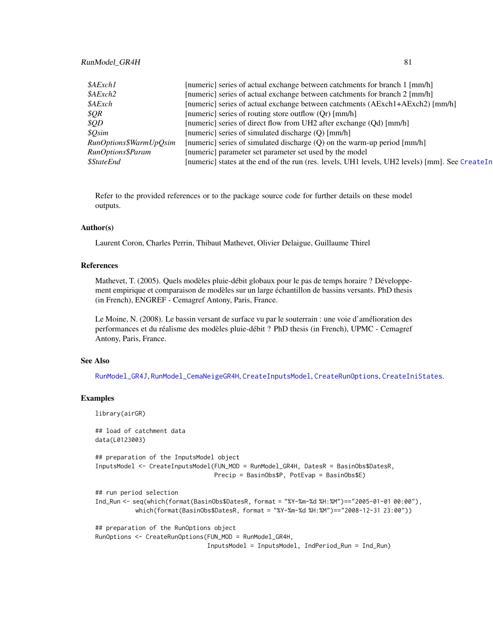# <span id="page-80-0"></span>RunModel\_GR4H 81

| \$AExch1                 | [numeric] series of actual exchange between catchments for branch 1 [mm/h]                      |
|--------------------------|-------------------------------------------------------------------------------------------------|
| \$AExch2                 | [numeric] series of actual exchange between catchments for branch 2 [mm/h]                      |
| <i><b>\$AExch</b></i>    | [numeric] series of actual exchange between catchments (AExch1+AExch2) [mm/h]                   |
| \$QR\$                   | [numeric] series of routing store outflow (Qr) [mm/h]                                           |
| \$QD                     | [numeric] series of direct flow from UH2 after exchange (Qd) [mm/h]                             |
| \$Osim                   | [numeric] series of simulated discharge (Q) [mm/h]                                              |
| RunOptions\$WarmUpQsim   | [numeric] series of simulated discharge (Q) on the warm-up period [mm/h]                        |
| RunOptions\$Param        | [numeric] parameter set parameter set used by the model                                         |
| <i><b>\$StateEnd</b></i> | [numeric] states at the end of the run (res. levels, UH1 levels, UH2 levels) [mm]. See CreateIn |

Refer to the provided references or to the package source code for further details on these model outputs.

#### Author(s)

Laurent Coron, Charles Perrin, Thibaut Mathevet, Olivier Delaigue, Guillaume Thirel

### References

Mathevet, T. (2005). Quels modèles pluie-débit globaux pour le pas de temps horaire ? Développement empirique et comparaison de modèles sur un large échantillon de bassins versants. PhD thesis (in French), ENGREF - Cemagref Antony, Paris, France.

Le Moine, N. (2008). Le bassin versant de surface vu par le souterrain : une voie d'amélioration des performances et du réalisme des modèles pluie-débit ? PhD thesis (in French), UPMC - Cemagref Antony, Paris, France.

## See Also

[RunModel\\_GR4J](#page-81-0), [RunModel\\_CemaNeigeGR4H](#page-57-0), [CreateInputsModel](#page-25-0), [CreateRunOptions](#page-28-0), [CreateIniStates](#page-16-0).

```
library(airGR)
## load of catchment data
```

```
data(L0123003)
```

```
## preparation of the InputsModel object
InputsModel <- CreateInputsModel(FUN_MOD = RunModel_GR4H, DatesR = BasinObs$DatesR,
                                Precip = BasinObs$P, PotEvap = BasinObs$E)
```

```
## run period selection
```

```
Ind_Run <- seq(which(format(BasinObs$DatesR, format = "%Y-%m-%d %H:%M")=="2005-01-01 00:00"),
           which(format(BasinObs$DatesR, format = "%Y-%m-%d %H:%M")=="2008-12-31 23:00"))
```

```
## preparation of the RunOptions object
RunOptions <- CreateRunOptions(FUN_MOD = RunModel_GR4H,
                              InputsModel = InputsModel, IndPeriod_Run = Ind_Run)
```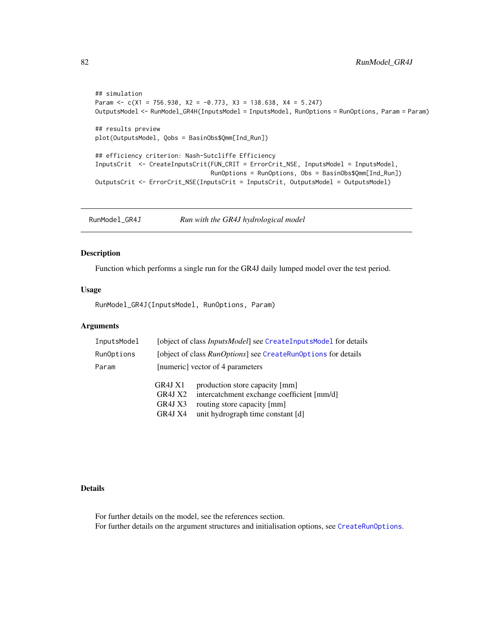```
## simulation
Param \leq c(X1 = 756.930, X2 = -0.773, X3 = 138.638, X4 = 5.247)
OutputsModel <- RunModel_GR4H(InputsModel = InputsModel, RunOptions = RunOptions, Param = Param)
## results preview
plot(OutputsModel, Qobs = BasinObs$Qmm[Ind_Run])
## efficiency criterion: Nash-Sutcliffe Efficiency
InputsCrit <- CreateInputsCrit(FUN_CRIT = ErrorCrit_NSE, InputsModel = InputsModel,
                                RunOptions = RunOptions, Obs = BasinObs$Qmm[Ind_Run])
OutputsCrit <- ErrorCrit_NSE(InputsCrit = InputsCrit, OutputsModel = OutputsModel)
```
<span id="page-81-0"></span>RunModel\_GR4J *Run with the GR4J hydrological model*

#### Description

Function which performs a single run for the GR4J daily lumped model over the test period.

#### Usage

RunModel\_GR4J(InputsModel, RunOptions, Param)

# Arguments

| InputsModel |                                          | [object of class <i>InputsModel</i> ] see CreateInputsModel for details                                                                          |
|-------------|------------------------------------------|--------------------------------------------------------------------------------------------------------------------------------------------------|
| RunOptions  |                                          | [object of class <i>RunOptions</i> ] see CreateRunOptions for details                                                                            |
| Param       | [numeric] vector of 4 parameters         |                                                                                                                                                  |
|             | GR4J X1<br>GR4J X2<br>GR4J X3<br>GR4J X4 | production store capacity [mm]<br>intercatchment exchange coefficient [mm/d]<br>routing store capacity [mm]<br>unit hydrograph time constant [d] |

# Details

For further details on the model, see the references section. For further details on the argument structures and initialisation options, see [CreateRunOptions](#page-28-0).

<span id="page-81-1"></span>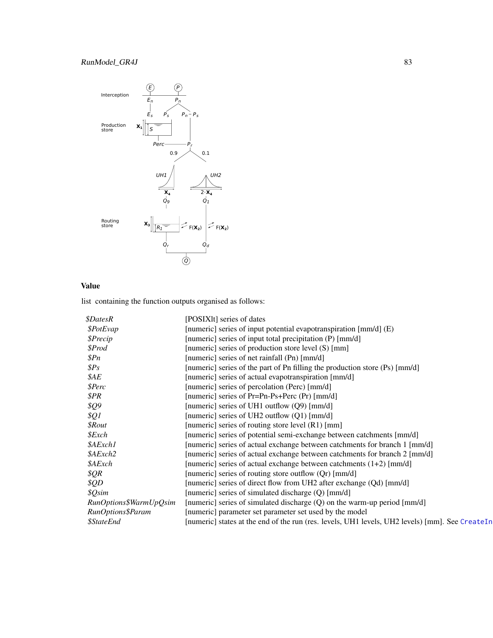# <span id="page-82-0"></span>RunModel\_GR4J 83



# Value

| <i><b>\$DatesR</b></i>   | [POSIXIt] series of dates                                                                       |
|--------------------------|-------------------------------------------------------------------------------------------------|
| \$PotEvap                | [numeric] series of input potential evapotranspiration [mm/d] (E)                               |
| \$Precip                 | [numeric] series of input total precipitation (P) [mm/d]                                        |
| \$Prod                   | [numeric] series of production store level (S) [mm]                                             |
| \$Pn                     | [numeric] series of net rainfall (Pn) [mm/d]                                                    |
| SPS                      | [numeric] series of the part of Pn filling the production store (Ps) [mm/d]                     |
| \$AE                     | [numeric] series of actual evapotranspiration [mm/d]                                            |
| <i><b>\$Perc</b></i>     | [numeric] series of percolation (Perc) [mm/d]                                                   |
| \$PR                     | [numeric] series of Pr=Pn-Ps+Perc (Pr) [mm/d]                                                   |
| \$Q9                     | [numeric] series of UH1 outflow (Q9) [mm/d]                                                     |
| \$Q1                     | [numeric] series of UH2 outflow (Q1) [mm/d]                                                     |
| $$$ <i>Rout</i>          | [numeric] series of routing store level (R1) [mm]                                               |
| $$$ <i>Exch</i>          | [numeric] series of potential semi-exchange between catchments [mm/d]                           |
| \$AExch1                 | [numeric] series of actual exchange between catchments for branch 1 [mm/d]                      |
| \$AExch2                 | [numeric] series of actual exchange between catchments for branch 2 [mm/d]                      |
| \$AExch                  | [numeric] series of actual exchange between catchments $(1+2)$ [mm/d]                           |
| \$QR                     | [numeric] series of routing store outflow (Qr) [mm/d]                                           |
| \$QD\$                   | [numeric] series of direct flow from UH2 after exchange (Qd) [mm/d]                             |
| \$Qsim                   | [numeric] series of simulated discharge (Q) [mm/d]                                              |
| RunOptions\$WarmUpQsim   | [numeric] series of simulated discharge (Q) on the warm-up period [mm/d]                        |
| RunOptions\$Param        | [numeric] parameter set parameter set used by the model                                         |
| <i><b>\$StateEnd</b></i> | [numeric] states at the end of the run (res. levels, UH1 levels, UH2 levels) [mm]. See CreateIn |
|                          |                                                                                                 |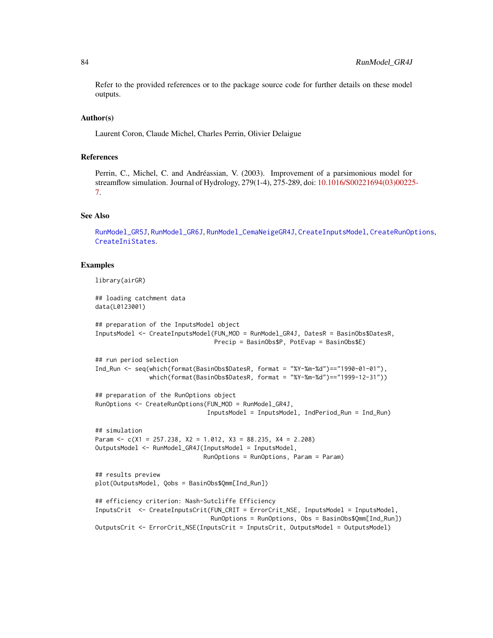<span id="page-83-0"></span>Refer to the provided references or to the package source code for further details on these model outputs.

## Author(s)

Laurent Coron, Claude Michel, Charles Perrin, Olivier Delaigue

# References

Perrin, C., Michel, C. and Andréassian, V. (2003). Improvement of a parsimonious model for streamflow simulation. Journal of Hydrology, 279(1-4), 275-289, doi: [10.1016/S00221694\(03\)00225](https://doi.org/10.1016/S0022-1694(03)00225-7)- [7.](https://doi.org/10.1016/S0022-1694(03)00225-7)

#### See Also

[RunModel\\_GR5J](#page-87-0), [RunModel\\_GR6J](#page-90-0), [RunModel\\_CemaNeigeGR4J](#page-60-0), [CreateInputsModel](#page-25-0), [CreateRunOptions](#page-28-0), [CreateIniStates](#page-16-0).

#### Examples

library(airGR)

## loading catchment data data(L0123001)

```
## preparation of the InputsModel object
InputsModel <- CreateInputsModel(FUN_MOD = RunModel_GR4J, DatesR = BasinObs$DatesR,
                                 Precip = BasinObs$P, PotEvap = BasinObs$E)
## run period selection
Ind_Run <- seq(which(format(BasinObs$DatesR, format = "%Y-%m-%d")=="1990-01-01"),
               which(format(BasinObs$DatesR, format = "%Y-%m-%d")=="1999-12-31"))
## preparation of the RunOptions object
RunOptions <- CreateRunOptions(FUN_MOD = RunModel_GR4J,
                               InputsModel = InputsModel, IndPeriod_Run = Ind_Run)
## simulation
Param <- c(X1 = 257.238, X2 = 1.012, X3 = 88.235, X4 = 2.208)
OutputsModel <- RunModel_GR4J(InputsModel = InputsModel,
                              RunOptions = RunOptions, Param = Param)
## results preview
plot(OutputsModel, Qobs = BasinObs$Qmm[Ind_Run])
## efficiency criterion: Nash-Sutcliffe Efficiency
InputsCrit <- CreateInputsCrit(FUN_CRIT = ErrorCrit_NSE, InputsModel = InputsModel,
                                RunOptions = RunOptions, Obs = BasinObs$Qmm[Ind_Run])
OutputsCrit <- ErrorCrit_NSE(InputsCrit = InputsCrit, OutputsModel = OutputsModel)
```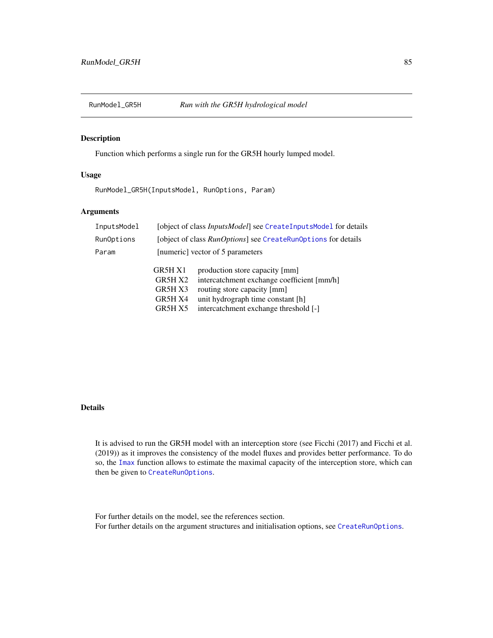<span id="page-84-0"></span>

# Description

Function which performs a single run for the GR5H hourly lumped model.

# Usage

RunModel\_GR5H(InputsModel, RunOptions, Param)

# Arguments

| InputsModel |                                                     | [object of class <i>InputsModel</i> ] see CreateInputsMode1 for details                                                                                                                   |
|-------------|-----------------------------------------------------|-------------------------------------------------------------------------------------------------------------------------------------------------------------------------------------------|
| RunOptions  |                                                     | [object of class RunOptions] see CreateRunOptions for details                                                                                                                             |
| Param       | [numeric] vector of 5 parameters                    |                                                                                                                                                                                           |
|             | GR5H X1<br>GR5H X2<br>GR5H X3<br>GR5H X4<br>GR5H X5 | production store capacity [mm]<br>intercatchment exchange coefficient [mm/h]<br>routing store capacity [mm]<br>unit hydrograph time constant [h]<br>intercatchment exchange threshold [-] |

# Details

It is advised to run the GR5H model with an interception store (see Ficchi (2017) and Ficchi et al. (2019)) as it improves the consistency of the model fluxes and provides better performance. To do so, the [Imax](#page-44-0) function allows to estimate the maximal capacity of the interception store, which can then be given to [CreateRunOptions](#page-28-0).

For further details on the model, see the references section. For further details on the argument structures and initialisation options, see [CreateRunOptions](#page-28-0).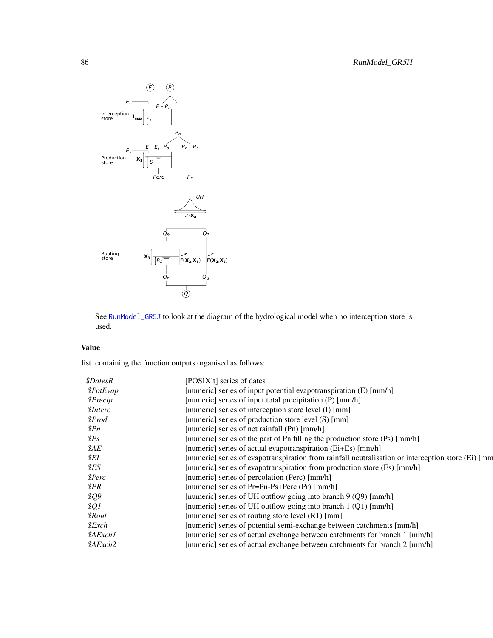<span id="page-85-0"></span>

See [RunModel\\_GR5J](#page-87-0) to look at the diagram of the hydrological model when no interception store is used.

# Value

| <i><b>\$DatesR</b></i> | [POSIXIt] series of dates                                                                           |
|------------------------|-----------------------------------------------------------------------------------------------------|
| \$PotEvap              | [numeric] series of input potential evapotranspiration (E) [mm/h]                                   |
| \$Precip               | [numeric] series of input total precipitation (P) [mm/h]                                            |
| <i><b>\$Interc</b></i> | [numeric] series of interception store level (I) [mm]                                               |
| \$Prod                 | [numeric] series of production store level (S) [mm]                                                 |
| \$Pn                   | [numeric] series of net rainfall (Pn) [mm/h]                                                        |
| $\$Ps$                 | [numeric] series of the part of Pn filling the production store (Ps) [mm/h]                         |
| $\mathcal{S}AE$        | [numeric] series of actual evapotranspiration (Ei+Es) [mm/h]                                        |
| \$EI                   | [numeric] series of evapotranspiration from rainfall neutralisation or interception store (Ei) [mm] |
| \$ES                   | [numeric] series of evapotranspiration from production store (Es) [mm/h]                            |
| \$Perc                 | [numeric] series of percolation (Perc) [mm/h]                                                       |
| \$PR                   | [numeric] series of Pr=Pn-Ps+Perc (Pr) [mm/h]                                                       |
| <i><b>\$Q9</b></i>     | [numeric] series of UH outflow going into branch $9(Q9)$ [mm/h]                                     |
| \$Q1                   | [numeric] series of UH outflow going into branch 1 (Q1) [mm/h]                                      |
| $$$ <i>Rout</i>        | [numeric] series of routing store level $(R1)$ [mm]                                                 |
| $$\mathcal{E}$ xch     | [numeric] series of potential semi-exchange between catchments [mm/h]                               |
| \$AExch1               | [numeric] series of actual exchange between catchments for branch 1 [mm/h]                          |
| \$AExch2               | [numeric] series of actual exchange between catchments for branch 2 [mm/h]                          |
|                        |                                                                                                     |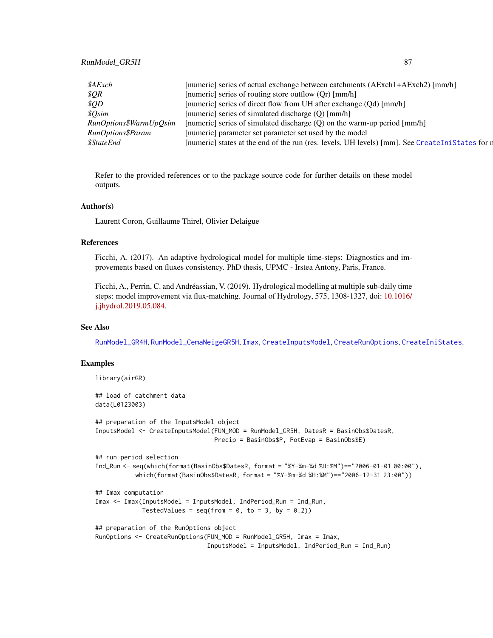# <span id="page-86-0"></span>RunModel\_GR5H 87

| \$AExch                  | [numeric] series of actual exchange between catchments (AExch1+AExch2) [mm/h]                   |
|--------------------------|-------------------------------------------------------------------------------------------------|
| \$QR\$                   | [numeric] series of routing store outflow (Qr) [mm/h]                                           |
| \$QD                     | [numeric] series of direct flow from UH after exchange (Qd) [mm/h]                              |
| \$Osim                   | [numeric] series of simulated discharge (Q) [mm/h]                                              |
| RunOptions\$WarmUpOsim   | [numeric] series of simulated discharge (Q) on the warm-up period [mm/h]                        |
| RunOptions\$Param        | [numeric] parameter set parameter set used by the model                                         |
| <i><b>\$StateEnd</b></i> | [numeric] states at the end of the run (res. levels, UH levels) [mm]. See CreateIniStates for n |

Refer to the provided references or to the package source code for further details on these model outputs.

## Author(s)

Laurent Coron, Guillaume Thirel, Olivier Delaigue

#### References

Ficchi, A. (2017). An adaptive hydrological model for multiple time-steps: Diagnostics and improvements based on fluxes consistency. PhD thesis, UPMC - Irstea Antony, Paris, France.

Ficchi, A., Perrin, C. and Andréassian, V. (2019). Hydrological modelling at multiple sub-daily time steps: model improvement via flux-matching. Journal of Hydrology, 575, 1308-1327, doi: [10.1016/](https://doi.org/10.1016/j.jhydrol.2019.05.084) [j.jhydrol.2019.05.084.](https://doi.org/10.1016/j.jhydrol.2019.05.084)

# See Also

[RunModel\\_GR4H](#page-79-0), [RunModel\\_CemaNeigeGR5H](#page-64-0), [Imax](#page-44-0), [CreateInputsModel](#page-25-0), [CreateRunOptions](#page-28-0), [CreateIniStates](#page-16-0).

```
library(airGR)
## load of catchment data
data(L0123003)
## preparation of the InputsModel object
InputsModel <- CreateInputsModel(FUN_MOD = RunModel_GR5H, DatesR = BasinObs$DatesR,
                                 Precip = BasinObs$P, PotEvap = BasinObs$E)
## run period selection
Ind_Run <- seq(which(format(BasinObs$DatesR, format = "%Y-%m-%d %H:%M")=="2006-01-01 00:00"),
           which(format(BasinObs$DatesR, format = "%Y-%m-%d %H:%M")=="2006-12-31 23:00"))
## Imax computation
Imax <- Imax(InputsModel = InputsModel, IndPeriod_Run = Ind_Run,
             TestedValues = seq(from = 0, to = 3, by = 0.2)## preparation of the RunOptions object
RunOptions <- CreateRunOptions(FUN_MOD = RunModel_GR5H, Imax = Imax,
                               InputsModel = InputsModel, IndPeriod_Run = Ind_Run)
```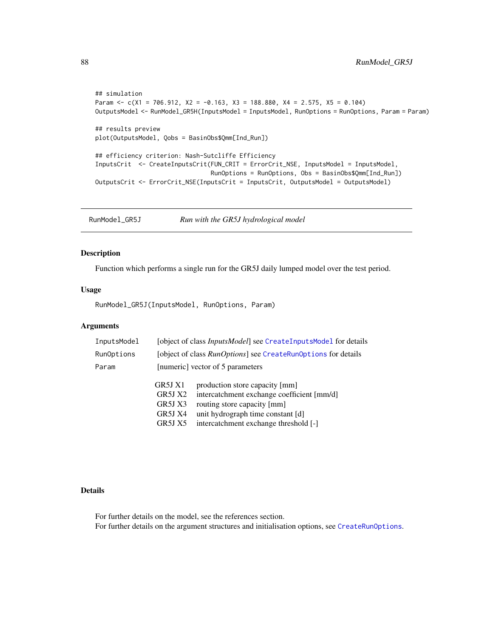```
## simulation
Param <- c(X1 = 706.912, X2 = -0.163, X3 = 188.880, X4 = 2.575, X5 = 0.104)
OutputsModel <- RunModel_GR5H(InputsModel = InputsModel, RunOptions = RunOptions, Param = Param)
## results preview
plot(OutputsModel, Qobs = BasinObs$Qmm[Ind_Run])
## efficiency criterion: Nash-Sutcliffe Efficiency
InputsCrit <- CreateInputsCrit(FUN_CRIT = ErrorCrit_NSE, InputsModel = InputsModel,
                                RunOptions = RunOptions, Obs = BasinObs$Qmm[Ind_Run])
OutputsCrit <- ErrorCrit_NSE(InputsCrit = InputsCrit, OutputsModel = OutputsModel)
```
<span id="page-87-0"></span>RunModel\_GR5J *Run with the GR5J hydrological model*

#### Description

Function which performs a single run for the GR5J daily lumped model over the test period.

## Usage

RunModel\_GR5J(InputsModel, RunOptions, Param)

# Arguments

| InputsModel |         | [object of class <i>InputsModel</i> ] see CreateInputsModel for details |
|-------------|---------|-------------------------------------------------------------------------|
| RunOptions  |         | [object of class <i>RunOptions</i> ] see CreateRunOptions for details   |
| Param       |         | [numeric] vector of 5 parameters                                        |
|             | GR5J X1 | production store capacity [mm]                                          |
|             | GR5J X2 | intercatchment exchange coefficient [mm/d]                              |
|             | GR5J X3 | routing store capacity [mm]                                             |
|             | GR5J X4 | unit hydrograph time constant [d]                                       |
|             | GR5J X5 | intercatchment exchange threshold [-]                                   |

# Details

For further details on the model, see the references section. For further details on the argument structures and initialisation options, see [CreateRunOptions](#page-28-0).

<span id="page-87-1"></span>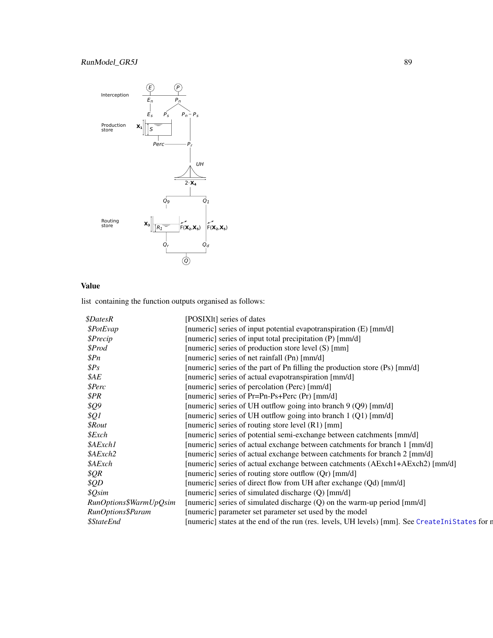# <span id="page-88-0"></span>RunModel\_GR5J 89



# Value

| <i><b>\$DatesR</b></i>   | [POSIXIt] series of dates                                                                       |
|--------------------------|-------------------------------------------------------------------------------------------------|
| \$PotEvap                | [numeric] series of input potential evapotranspiration (E) [mm/d]                               |
| \$Precip                 | [numeric] series of input total precipitation (P) [mm/d]                                        |
| \$Prod                   | [numeric] series of production store level (S) [mm]                                             |
| $_{\mathcal{S}Pn}$       | [numeric] series of net rainfall (Pn) [mm/d]                                                    |
| SPS                      | [numeric] series of the part of Pn filling the production store (Ps) [mm/d]                     |
| \$AE                     | [numeric] series of actual evapotranspiration [mm/d]                                            |
| <i><b>SPerc</b></i>      | [numeric] series of percolation (Perc) [mm/d]                                                   |
| \$PR                     | [numeric] series of Pr=Pn-Ps+Perc (Pr) [mm/d]                                                   |
| \$Q9                     | [numeric] series of UH outflow going into branch 9 (Q9) [mm/d]                                  |
| \$Q1                     | [numeric] series of UH outflow going into branch 1 (Q1) [mm/d]                                  |
| <i><b>\$Rout</b></i>     | [numeric] series of routing store level (R1) [mm]                                               |
| $$$ <i>Exch</i>          | [numeric] series of potential semi-exchange between catchments [mm/d]                           |
| \$AExch1                 | [numeric] series of actual exchange between catchments for branch 1 [mm/d]                      |
| \$AExch2                 | [numeric] series of actual exchange between catchments for branch 2 [mm/d]                      |
| \$AExch                  | [numeric] series of actual exchange between catchments (AExch1+AExch2) [mm/d]                   |
| \$QR                     | [numeric] series of routing store outflow (Qr) [mm/d]                                           |
| \$QD                     | [numeric] series of direct flow from UH after exchange (Qd) [mm/d]                              |
| \$Qsim                   | [numeric] series of simulated discharge (Q) [mm/d]                                              |
| RunOptions\$WarmUpQsim   | [numeric] series of simulated discharge $(Q)$ on the warm-up period [mm/d]                      |
| RunOptions\$Param        | [numeric] parameter set parameter set used by the model                                         |
| <i><b>\$StateEnd</b></i> | [numeric] states at the end of the run (res. levels, UH levels) [mm]. See CreateIniStates for r |
|                          |                                                                                                 |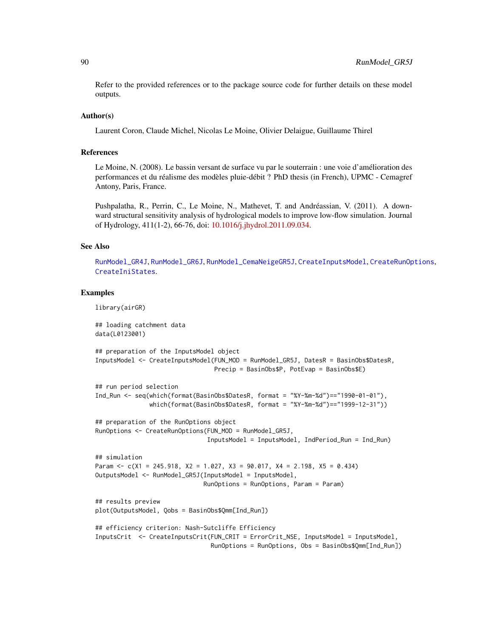<span id="page-89-0"></span>Refer to the provided references or to the package source code for further details on these model outputs.

#### Author(s)

Laurent Coron, Claude Michel, Nicolas Le Moine, Olivier Delaigue, Guillaume Thirel

## References

Le Moine, N. (2008). Le bassin versant de surface vu par le souterrain : une voie d'amélioration des performances et du réalisme des modèles pluie-débit ? PhD thesis (in French), UPMC - Cemagref Antony, Paris, France.

Pushpalatha, R., Perrin, C., Le Moine, N., Mathevet, T. and Andréassian, V. (2011). A downward structural sensitivity analysis of hydrological models to improve low-flow simulation. Journal of Hydrology, 411(1-2), 66-76, doi: [10.1016/j.jhydrol.2011.09.034.](https://doi.org/10.1016/j.jhydrol.2011.09.034)

## See Also

[RunModel\\_GR4J](#page-81-0), [RunModel\\_GR6J](#page-90-0), [RunModel\\_CemaNeigeGR5J](#page-67-0), [CreateInputsModel](#page-25-0), [CreateRunOptions](#page-28-0), [CreateIniStates](#page-16-0).

```
library(airGR)
```

```
## loading catchment data
data(L0123001)
## preparation of the InputsModel object
InputsModel <- CreateInputsModel(FUN_MOD = RunModel_GR5J, DatesR = BasinObs$DatesR,
                                 Precip = BasinObs$P, PotEvap = BasinObs$E)
## run period selection
Ind_Run <- seq(which(format(BasinObs$DatesR, format = "%Y-%m-%d")=="1990-01-01"),
               which(format(BasinObs$DatesR, format = "%Y-%m-%d")=="1999-12-31"))
## preparation of the RunOptions object
RunOptions <- CreateRunOptions(FUN_MOD = RunModel_GR5J,
                               InputsModel = InputsModel, IndPeriod_Run = Ind_Run)
## simulation
Param <- c(X1 = 245.918, X2 = 1.027, X3 = 90.017, X4 = 2.198, X5 = 0.434)
OutputsModel <- RunModel_GR5J(InputsModel = InputsModel,
                              RunOptions = RunOptions, Param = Param)
## results preview
plot(OutputsModel, Qobs = BasinObs$Qmm[Ind_Run])
## efficiency criterion: Nash-Sutcliffe Efficiency
InputsCrit <- CreateInputsCrit(FUN_CRIT = ErrorCrit_NSE, InputsModel = InputsModel,
                                RunOptions = RunOptions, Obs = BasinObs$Qmm[Ind_Run])
```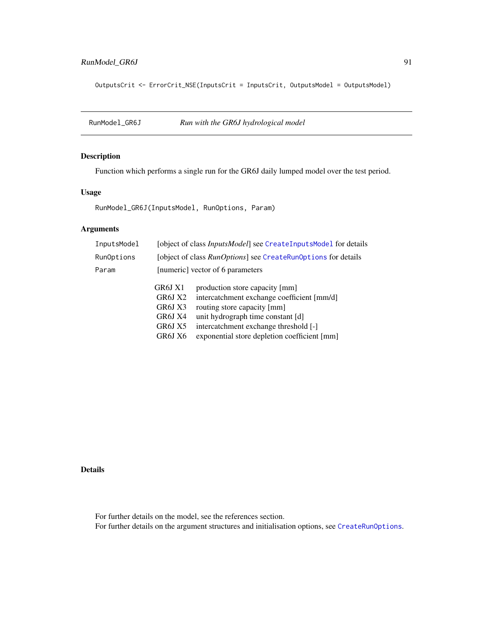# <span id="page-90-1"></span>RunModel\_GR6J 91

OutputsCrit <- ErrorCrit\_NSE(InputsCrit = InputsCrit, OutputsModel = OutputsModel)

<span id="page-90-0"></span>RunModel\_GR6J *Run with the GR6J hydrological model*

# Description

Function which performs a single run for the GR6J daily lumped model over the test period.

# Usage

RunModel\_GR6J(InputsModel, RunOptions, Param)

# Arguments

| InputsModel |                                                                | [object of class <i>InputsModel</i> ] see CreateInputsModel for details                                                                                                                                                                   |
|-------------|----------------------------------------------------------------|-------------------------------------------------------------------------------------------------------------------------------------------------------------------------------------------------------------------------------------------|
| RunOptions  |                                                                | [object of class <i>RunOptions</i> ] see CreateRunOptions for details                                                                                                                                                                     |
| Param       |                                                                | [numeric] vector of 6 parameters                                                                                                                                                                                                          |
|             | GR6J X1<br>GR6J X2<br>GR6J X3<br>GR6J X4<br>GR6J X5<br>GR6J X6 | production store capacity [mm]<br>intercatchment exchange coefficient [mm/d]<br>routing store capacity [mm]<br>unit hydrograph time constant [d]<br>intercatchment exchange threshold [-]<br>exponential store depletion coefficient [mm] |
|             |                                                                |                                                                                                                                                                                                                                           |

# Details

For further details on the model, see the references section. For further details on the argument structures and initialisation options, see [CreateRunOptions](#page-28-0).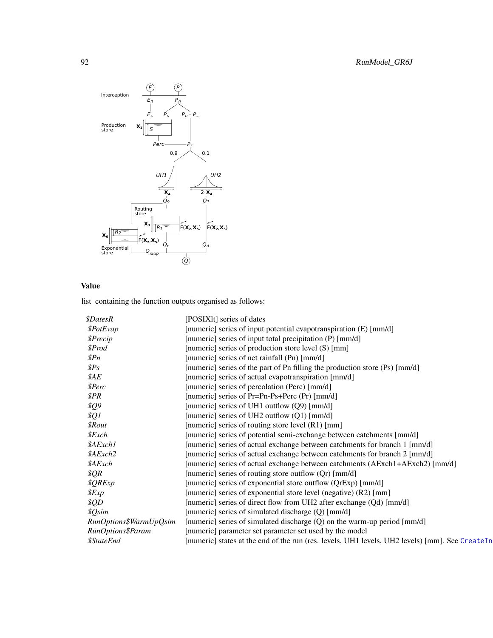<span id="page-91-0"></span>

# Value

| <i><b>\$DatesR</b></i>   | [POSIX]t] series of dates                                                                       |
|--------------------------|-------------------------------------------------------------------------------------------------|
| \$PotEvap                | [numeric] series of input potential evapotranspiration (E) [mm/d]                               |
| \$Precip                 | [numeric] series of input total precipitation (P) [mm/d]                                        |
| \$Prod                   | [numeric] series of production store level (S) [mm]                                             |
| \$Pn                     | [numeric] series of net rainfall (Pn) [mm/d]                                                    |
| $\$Ps$                   | [numeric] series of the part of Pn filling the production store (Ps) [mm/d]                     |
| \$AE                     | [numeric] series of actual evapotranspiration [mm/d]                                            |
| \$Perc                   | [numeric] series of percolation (Perc) [mm/d]                                                   |
| \$PR                     | [numeric] series of Pr=Pn-Ps+Perc (Pr) [mm/d]                                                   |
| \$Q9                     | [numeric] series of UH1 outflow $(Q9)$ [mm/d]                                                   |
| $\frac{1}{2}$            | [numeric] series of UH2 outflow (Q1) [mm/d]                                                     |
| <i><b>\$Rout</b></i>     | [numeric] series of routing store level (R1) [mm]                                               |
| \$Exch                   | [numeric] series of potential semi-exchange between catchments [mm/d]                           |
| \$AExch1                 | [numeric] series of actual exchange between catchments for branch 1 [mm/d]                      |
| \$AExch2                 | [numeric] series of actual exchange between catchments for branch 2 [mm/d]                      |
| \$AExch                  | [numeric] series of actual exchange between catchments (AExch1+AExch2) [mm/d]                   |
| \$QR\$                   | [numeric] series of routing store outflow (Qr) [mm/d]                                           |
| \$QRExp                  | [numeric] series of exponential store outflow (QrExp) [mm/d]                                    |
| \$Exp                    | [numeric] series of exponential store level (negative) (R2) [mm]                                |
| \$QD                     | [numeric] series of direct flow from UH2 after exchange (Qd) [mm/d]                             |
| \$Qsim                   | [numeric] series of simulated discharge (Q) [mm/d]                                              |
| RunOptions\$WarmUpQsim   | [numeric] series of simulated discharge $(Q)$ on the warm-up period [mm/d]                      |
| RunOptions\$Param        | [numeric] parameter set parameter set used by the model                                         |
| <i><b>\$StateEnd</b></i> | [numeric] states at the end of the run (res. levels, UH1 levels, UH2 levels) [mm]. See CreateIn |
|                          |                                                                                                 |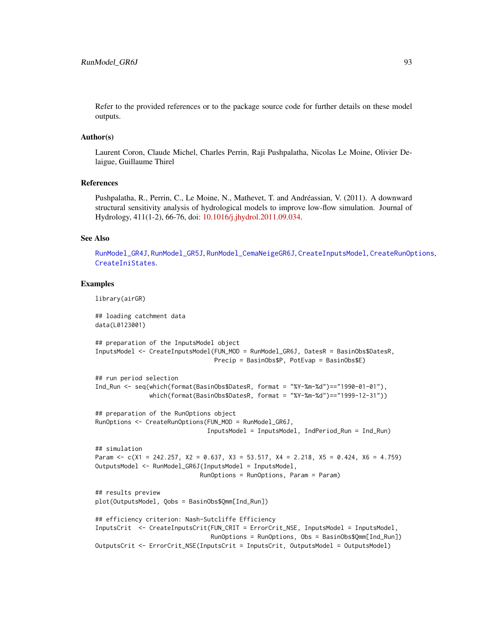<span id="page-92-0"></span>Refer to the provided references or to the package source code for further details on these model outputs.

## Author(s)

Laurent Coron, Claude Michel, Charles Perrin, Raji Pushpalatha, Nicolas Le Moine, Olivier Delaigue, Guillaume Thirel

#### References

Pushpalatha, R., Perrin, C., Le Moine, N., Mathevet, T. and Andréassian, V. (2011). A downward structural sensitivity analysis of hydrological models to improve low-flow simulation. Journal of Hydrology, 411(1-2), 66-76, doi: [10.1016/j.jhydrol.2011.09.034.](https://doi.org/10.1016/j.jhydrol.2011.09.034)

#### See Also

[RunModel\\_GR4J](#page-81-0), [RunModel\\_GR5J](#page-87-0), [RunModel\\_CemaNeigeGR6J](#page-70-0), [CreateInputsModel](#page-25-0), [CreateRunOptions](#page-28-0), [CreateIniStates](#page-16-0).

## Examples

library(airGR)

```
## loading catchment data
data(L0123001)
## preparation of the InputsModel object
InputsModel <- CreateInputsModel(FUN_MOD = RunModel_GR6J, DatesR = BasinObs$DatesR,
                                 Precip = BasinObs$P, PotEvap = BasinObs$E)
## run period selection
Ind_Run <- seq(which(format(BasinObs$DatesR, format = "%Y-%m-%d")=="1990-01-01"),
               which(format(BasinObs$DatesR, format = "%Y-%m-%d")=="1999-12-31"))
## preparation of the RunOptions object
RunOptions <- CreateRunOptions(FUN_MOD = RunModel_GR6J,
                               InputsModel = InputsModel, IndPeriod_Run = Ind_Run)
## simulation
Param \leq c(X1 = 242.257, X2 = 0.637, X3 = 53.517, X4 = 2.218, X5 = 0.424, X6 = 4.759)
OutputsModel <- RunModel_GR6J(InputsModel = InputsModel,
                             RunOptions = RunOptions, Param = Param)
## results preview
plot(OutputsModel, Qobs = BasinObs$Qmm[Ind_Run])
## efficiency criterion: Nash-Sutcliffe Efficiency
InputsCrit <- CreateInputsCrit(FUN_CRIT = ErrorCrit_NSE, InputsModel = InputsModel,
                                RunOptions = RunOptions, Obs = BasinObs$Qmm[Ind_Run])
OutputsCrit <- ErrorCrit_NSE(InputsCrit = InputsCrit, OutputsModel = OutputsModel)
```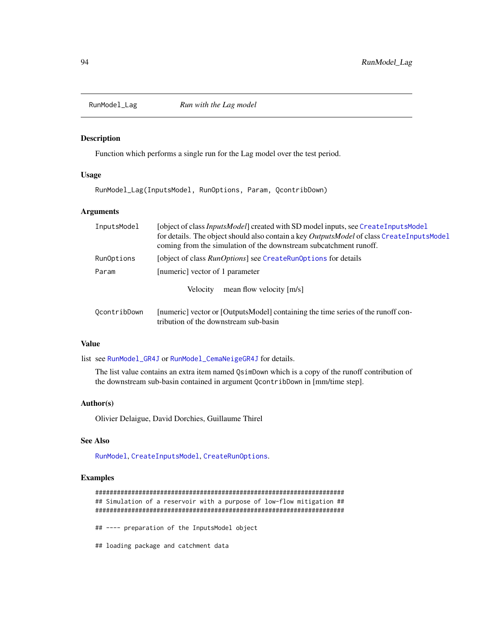<span id="page-93-0"></span>

# Description

Function which performs a single run for the Lag model over the test period.

#### Usage

RunModel\_Lag(InputsModel, RunOptions, Param, QcontribDown)

### Arguments

| [object of class <i>InputsModel</i> ] created with SD model inputs, see CreateInputsModel |
|-------------------------------------------------------------------------------------------|
| for details. The object should also contain a key OutputsModel of class CreateInputsModel |
| coming from the simulation of the downstream subcatchment runoff.                         |
| [object of class <i>RunOptions</i> ] see CreateRunOptions for details                     |
| [numeric] vector of 1 parameter                                                           |
| mean flow velocity [m/s]<br><b>Velocity</b>                                               |
|                                                                                           |

| OcontribDown | [numeric] vector or [OutputsModel] containing the time series of the runoff con- |
|--------------|----------------------------------------------------------------------------------|
|              | tribution of the downstream sub-basin                                            |

# Value

list see [RunModel\\_GR4J](#page-81-0) or [RunModel\\_CemaNeigeGR4J](#page-60-0) for details.

The list value contains an extra item named QsimDown which is a copy of the runoff contribution of the downstream sub-basin contained in argument QcontribDown in [mm/time step].

#### Author(s)

Olivier Delaigue, David Dorchies, Guillaume Thirel

# See Also

[RunModel](#page-53-0), [CreateInputsModel](#page-25-0), [CreateRunOptions](#page-28-0).

```
#####################################################################
## Simulation of a reservoir with a purpose of low-flow mitigation ##
#####################################################################
## ---- preparation of the InputsModel object
## loading package and catchment data
```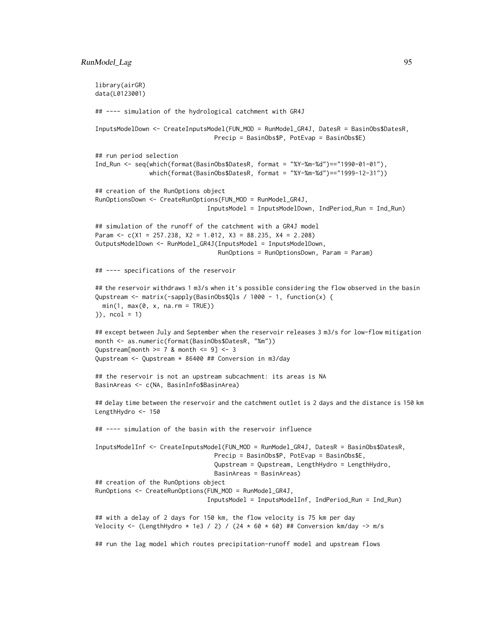```
library(airGR)
data(L0123001)
## ---- simulation of the hydrological catchment with GR4J
InputsModelDown <- CreateInputsModel(FUN_MOD = RunModel_GR4J, DatesR = BasinObs$DatesR,
                                 Precip = BasinObs$P, PotEvap = BasinObs$E)
## run period selection
Ind_Run <- seq(which(format(BasinObs$DatesR, format = "%Y-%m-%d")=="1990-01-01"),
               which(format(BasinObs$DatesR, format = "%Y-%m-%d")=="1999-12-31"))
## creation of the RunOptions object
RunOptionsDown <- CreateRunOptions(FUN_MOD = RunModel_GR4J,
                               InputsModel = InputsModelDown, IndPeriod_Run = Ind_Run)
## simulation of the runoff of the catchment with a GR4J model
Param <- c(X1 = 257.238, X2 = 1.012, X3 = 88.235, X4 = 2.208)
OutputsModelDown <- RunModel_GR4J(InputsModel = InputsModelDown,
                                  RunOptions = RunOptionsDown, Param = Param)
## ---- specifications of the reservoir
## the reservoir withdraws 1 m3/s when it's possible considering the flow observed in the basin
Qupstream <- matrix(-sapply(BasinObs$Qls / 1000 - 1, function(x) {
 min(1, max(0, x, na.rm = TRUE))}), ncol = 1)
## except between July and September when the reservoir releases 3 m3/s for low-flow mitigation
month <- as.numeric(format(BasinObs$DatesR, "%m"))
Qupstream[month >= 7 & month <= 9] <- 3Qupstream <- Qupstream * 86400 ## Conversion in m3/day
## the reservoir is not an upstream subcachment: its areas is NA
BasinAreas <- c(NA, BasinInfo$BasinArea)
## delay time between the reservoir and the catchment outlet is 2 days and the distance is 150 km
LengthHydro <- 150
## ---- simulation of the basin with the reservoir influence
InputsModelInf <- CreateInputsModel(FUN_MOD = RunModel_GR4J, DatesR = BasinObs$DatesR,
                                 Precip = BasinObs$P, PotEvap = BasinObs$E,
                                 Qupstream = Qupstream, LengthHydro = LengthHydro,
                                 BasinAreas = BasinAreas)
## creation of the RunOptions object
RunOptions <- CreateRunOptions(FUN_MOD = RunModel_GR4J,
                               InputsModel = InputsModelInf, IndPeriod_Run = Ind_Run)
## with a delay of 2 days for 150 km, the flow velocity is 75 km per day
Velocity <- (LengthHydro * 1e3 / 2) / (24 * 60 * 60) ## Conversion km/day -> m/s
## run the lag model which routes precipitation-runoff model and upstream flows
```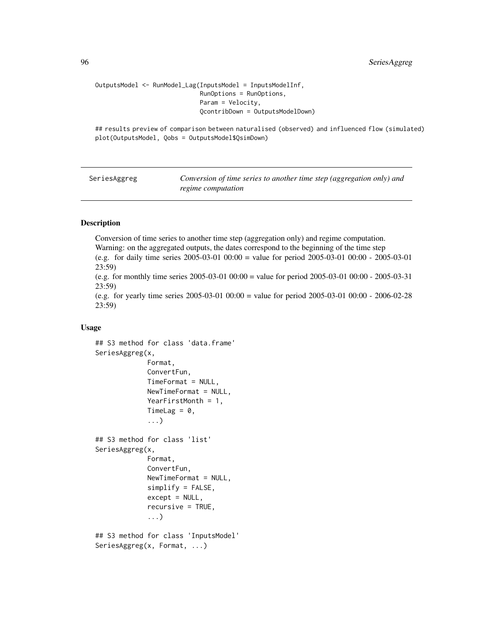```
OutputsModel <- RunModel_Lag(InputsModel = InputsModelInf,
                             RunOptions = RunOptions,
                             Param = Velocity,
                             QcontribDown = OutputsModelDown)
```
## results preview of comparison between naturalised (observed) and influenced flow (simulated) plot(OutputsModel, Qobs = OutputsModel\$QsimDown)

<span id="page-95-1"></span>SeriesAggreg *Conversion of time series to another time step (aggregation only) and regime computation*

#### <span id="page-95-0"></span>Description

Conversion of time series to another time step (aggregation only) and regime computation. Warning: on the aggregated outputs, the dates correspond to the beginning of the time step (e.g. for daily time series 2005-03-01 00:00 = value for period 2005-03-01 00:00 - 2005-03-01 23:59)

(e.g. for monthly time series 2005-03-01 00:00 = value for period 2005-03-01 00:00 - 2005-03-31 23:59)

(e.g. for yearly time series 2005-03-01 00:00 = value for period 2005-03-01 00:00 - 2006-02-28 23:59)

#### Usage

```
## S3 method for class 'data.frame'
SeriesAggreg(x,
             Format,
             ConvertFun,
             TimeFormat = NULL,
             NewTimeFormat = NULL,
             YearFirstMonth = 1,
             TimeLag = 0,
             ...)
## S3 method for class 'list'
SeriesAggreg(x,
             Format,
             ConvertFun,
             NewTimeFormat = NULL,
             simplify = FALSE,
             except = NULL,recursive = TRUE,
             ...)
## S3 method for class 'InputsModel'
SeriesAggreg(x, Format, ...)
```
<span id="page-95-2"></span>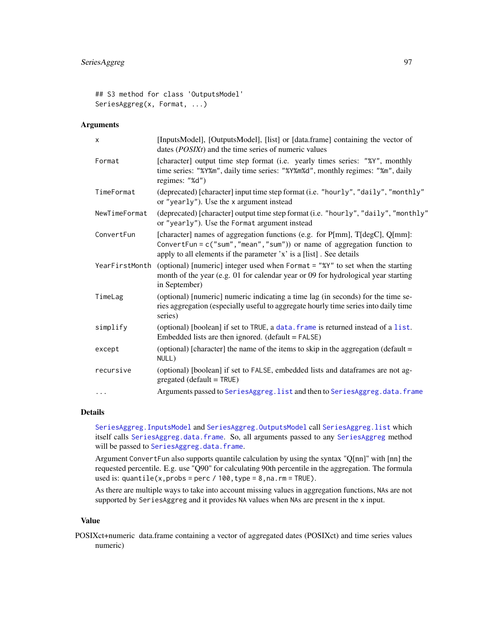```
## S3 method for class 'OutputsModel'
SeriesAggreg(x, Format, ...)
```
# Arguments

| X              | [InputsModel], [OutputsModel], [list] or [data.frame] containing the vector of<br>dates $(POSIXt)$ and the time series of numeric values                                                                                        |
|----------------|---------------------------------------------------------------------------------------------------------------------------------------------------------------------------------------------------------------------------------|
| Format         | [character] output time step format (i.e. yearly times series: "%Y", monthly<br>time series: "%Y%m", daily time series: "%Y%m%d", monthly regimes: "%m", daily<br>regimes: "%d")                                                |
| TimeFormat     | (deprecated) [character] input time step format (i.e. "hourly", "daily", "monthly"<br>or "yearly"). Use the x argument instead                                                                                                  |
| NewTimeFormat  | (deprecated) [character] output time step format (i.e. "hourly", "daily", "monthly"<br>or "yearly"). Use the Format argument instead                                                                                            |
| ConvertFun     | [character] names of aggregation functions (e.g. for P[mm], T[degC], Q[mm]:<br>ConvertFun = $c("sum", "mean", "sum")$ or name of aggregation function to<br>apply to all elements if the parameter 'x' is a [list]. See details |
| YearFirstMonth | (optional) [numeric] integer used when Format = "%Y" to set when the starting<br>month of the year (e.g. 01 for calendar year or 09 for hydrological year starting<br>in September)                                             |
| TimeLag        | (optional) [numeric] numeric indicating a time lag (in seconds) for the time se-<br>ries aggregation (especially useful to aggregate hourly time series into daily time<br>series)                                              |
| simplify       | (optional) [boolean] if set to TRUE, a data. frame is returned instead of a list.<br>Embedded lists are then ignored. $(default = FALSE)$                                                                                       |
| except         | (optional) [character] the name of the items to skip in the aggregation (default =<br>NULL)                                                                                                                                     |
| recursive      | (optional) [boolean] if set to FALSE, embedded lists and dataframes are not ag-<br>$gregated (default = TRUE)$                                                                                                                  |
| .              | Arguments passed to SeriesAggreg. list and then to SeriesAggreg. data. frame                                                                                                                                                    |

# Details

[SeriesAggreg.InputsModel](#page-95-0) and [SeriesAggreg.OutputsModel](#page-95-0) call [SeriesAggreg.list](#page-95-0) which itself calls [SeriesAggreg.data.frame](#page-95-0). So, all arguments passed to any [SeriesAggreg](#page-95-1) method will be passed to [SeriesAggreg.data.frame](#page-95-0).

Argument ConvertFun also supports quantile calculation by using the syntax "Q[nn]" with [nn] the requested percentile. E.g. use "Q90" for calculating 90th percentile in the aggregation. The formula used is:  $quantile(x, probes = perc / 100, type = 8, na. rm = TRUE).$ 

As there are multiple ways to take into account missing values in aggregation functions, NAs are not supported by SeriesAggreg and it provides NA values when NAs are present in the x input.

## Value

POSIXct+numeric data.frame containing a vector of aggregated dates (POSIXct) and time series values numeric)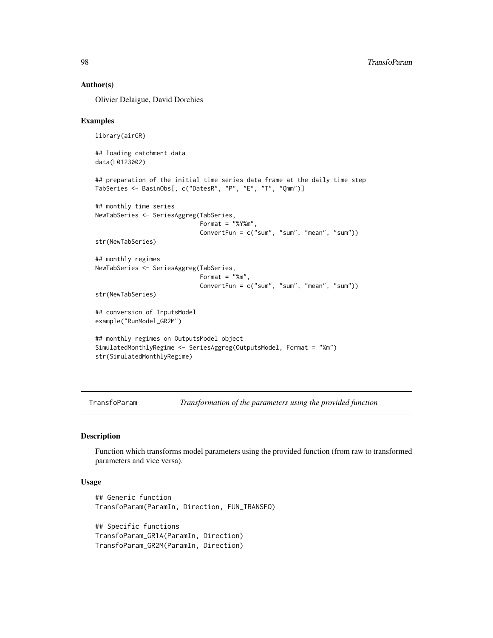#### Author(s)

Olivier Delaigue, David Dorchies

### Examples

```
library(airGR)
## loading catchment data
data(L0123002)
## preparation of the initial time series data frame at the daily time step
TabSeries <- BasinObs[, c("DatesR", "P", "E", "T", "Qmm")]
## monthly time series
NewTabSeries <- SeriesAggreg(TabSeries,
                             Format = "%Y%m",
                             ConvertFun = c("sum", "sum", "mean", "sum"))
str(NewTabSeries)
## monthly regimes
NewTabSeries <- SeriesAggreg(TabSeries,
                             Format = "%m",
                             ConvertFun = c("sum", "sum", "mean", "sum"))
str(NewTabSeries)
```

```
## conversion of InputsModel
example("RunModel_GR2M")
```

```
## monthly regimes on OutputsModel object
SimulatedMonthlyRegime <- SeriesAggreg(OutputsModel, Format = "%m")
str(SimulatedMonthlyRegime)
```
TransfoParam *Transformation of the parameters using the provided function*

#### Description

Function which transforms model parameters using the provided function (from raw to transformed parameters and vice versa).

# Usage

```
## Generic function
TransfoParam(ParamIn, Direction, FUN_TRANSFO)
## Specific functions
```
TransfoParam\_GR1A(ParamIn, Direction) TransfoParam\_GR2M(ParamIn, Direction)

<span id="page-97-0"></span>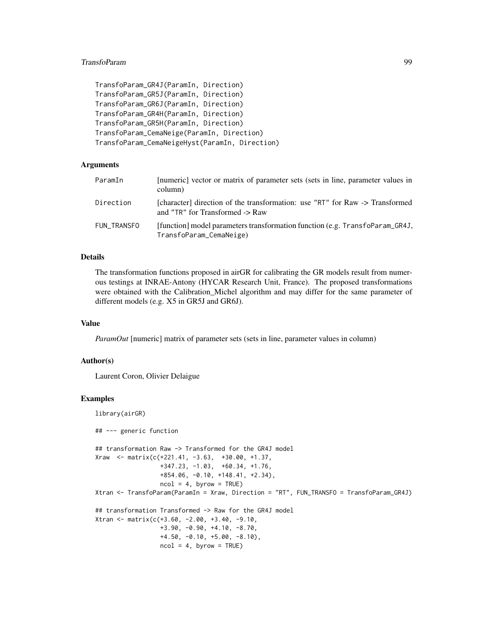# TransfoParam 99

```
TransfoParam_GR4J(ParamIn, Direction)
TransfoParam_GR5J(ParamIn, Direction)
TransfoParam_GR6J(ParamIn, Direction)
TransfoParam_GR4H(ParamIn, Direction)
TransfoParam_GR5H(ParamIn, Direction)
TransfoParam_CemaNeige(ParamIn, Direction)
TransfoParam_CemaNeigeHyst(ParamIn, Direction)
```
#### Arguments

| ParamIn     | [numeric] vector or matrix of parameter sets (sets in line, parameter values in<br>column)                          |
|-------------|---------------------------------------------------------------------------------------------------------------------|
| Direction   | [character] direction of the transformation: use "RT" for Raw -> Transformed<br>and "TR" for Transformed $\geq$ Raw |
| FUN TRANSFO | [function] model parameters transformation function (e.g. TransfoParam_GR4J,<br>TransfoParam_CemaNeige)             |

# Details

The transformation functions proposed in airGR for calibrating the GR models result from numerous testings at INRAE-Antony (HYCAR Research Unit, France). The proposed transformations were obtained with the Calibration\_Michel algorithm and may differ for the same parameter of different models (e.g. X5 in GR5J and GR6J).

# Value

*ParamOut* [numeric] matrix of parameter sets (sets in line, parameter values in column)

#### Author(s)

Laurent Coron, Olivier Delaigue

```
library(airGR)
## --- generic function
## transformation Raw -> Transformed for the GR4J model
Xraw \leq -\text{matrix}(c(+221.41, -3.63, +30.00, +1.37,+347.23, -1.03, +60.34, +1.76,
                  +854.06, -0.10, +148.41, +2.34),
                  ncol = 4, byrow = TRUE)
Xtran <- TransfoParam(ParamIn = Xraw, Direction = "RT", FUN_TRANSFO = TransfoParam_GR4J)
## transformation Transformed -> Raw for the GR4J model
Xtran <- matrix(c(+3.60, -2.00, +3.40, -9.10,
                  +3.90, -0.90, +4.10, -8.70,
                  +4.50, -0.10, +5.00, -8.10),
                  ncol = 4, byrow = TRUE)
```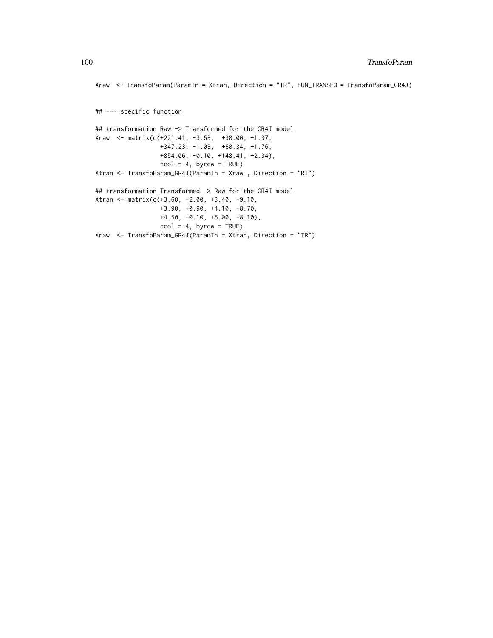```
Xraw <- TransfoParam(ParamIn = Xtran, Direction = "TR", FUN_TRANSFO = TransfoParam_GR4J)
## --- specific function
## transformation Raw -> Transformed for the GR4J model
Xraw <- matrix(c(+221.41, -3.63, +30.00, +1.37,
                 +347.23, -1.03, +60.34, +1.76,
                 +854.06, -0.10, +148.41, +2.34),
                 ncol = 4, byrow = TRUE)
Xtran <- TransfoParam_GR4J(ParamIn = Xraw , Direction = "RT")
## transformation Transformed -> Raw for the GR4J model
Xtran <- matrix(c(+3.60, -2.00, +3.40, -9.10,
                 +3.90, -0.90, +4.10, -8.70,
                 +4.50, -0.10, +5.00, -8.10),
                 ncol = 4, byrow = TRUE)
Xraw <- TransfoParam_GR4J(ParamIn = Xtran, Direction = "TR")
```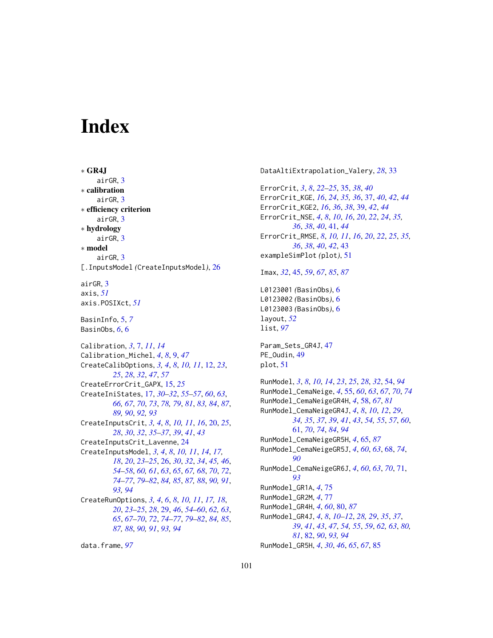# **Index**

∗ GR4J airGR, [3](#page-2-0) ∗ calibration airGR, [3](#page-2-0) ∗ efficiency criterion airGR, [3](#page-2-0) ∗ hydrology airGR, [3](#page-2-0) ∗ model airGR, [3](#page-2-0) [.InputsModel *(*CreateInputsModel*)*, [26](#page-25-1) airGR, [3](#page-2-0) axis, *[51](#page-50-0)* axis.POSIXct, *[51](#page-50-0)* BasinInfo, [5,](#page-4-0) *[7](#page-6-0)* BasinObs, *[6](#page-5-0)*, [6](#page-5-0) Calibration, *[3](#page-2-0)*, [7,](#page-6-0) *[11](#page-10-0)*, *[14](#page-13-0)* Calibration\_Michel, *[4](#page-3-0)*, *[8](#page-7-0)*, [9,](#page-8-0) *[47](#page-46-0)* CreateCalibOptions, *[3,](#page-2-0) [4](#page-3-0)*, *[8](#page-7-0)*, *[10,](#page-9-0) [11](#page-10-0)*, [12,](#page-11-0) *[23](#page-22-0)*, *[25](#page-24-0)*, *[28](#page-27-0)*, *[32](#page-31-0)*, *[47](#page-46-0)*, *[57](#page-56-0)* CreateErrorCrit\_GAPX, [15,](#page-14-0) *[25](#page-24-0)* CreateIniStates, [17,](#page-16-1) *[30–](#page-29-0)[32](#page-31-0)*, *[55–](#page-54-1)[57](#page-56-0)*, *[60](#page-59-0)*, *[63](#page-62-0)*, *[66,](#page-65-0) [67](#page-66-0)*, *[70](#page-69-0)*, *[73](#page-72-0)*, *[78,](#page-77-0) [79](#page-78-0)*, *[81](#page-80-0)*, *[83,](#page-82-0) [84](#page-83-0)*, *[87](#page-86-0)*, *[89,](#page-88-0) [90](#page-89-0)*, *[92,](#page-91-0) [93](#page-92-0)* CreateInputsCrit, *[3,](#page-2-0) [4](#page-3-0)*, *[8](#page-7-0)*, *[10,](#page-9-0) [11](#page-10-0)*, *[16](#page-15-0)*, [20,](#page-19-0) *[25](#page-24-0)*, *[28](#page-27-0)*, *[30](#page-29-0)*, *[32](#page-31-0)*, *[35–](#page-34-0)[37](#page-36-0)*, *[39](#page-38-0)*, *[41](#page-40-0)*, *[43](#page-42-0)* CreateInputsCrit\_Lavenne, [24](#page-23-0) CreateInputsModel, *[3,](#page-2-0) [4](#page-3-0)*, *[8](#page-7-0)*, *[10,](#page-9-0) [11](#page-10-0)*, *[14](#page-13-0)*, *[17,](#page-16-1) [18](#page-17-0)*, *[20](#page-19-0)*, *[23](#page-22-0)[–25](#page-24-0)*, [26,](#page-25-1) *[30](#page-29-0)*, *[32](#page-31-0)*, *[34](#page-33-0)*, *[45,](#page-44-1) [46](#page-45-0)*, *[54](#page-53-1)[–58](#page-57-1)*, *[60,](#page-59-0) [61](#page-60-1)*, *[63](#page-62-0)*, *[65](#page-64-1)*, *[67,](#page-66-0) [68](#page-67-1)*, *[70](#page-69-0)*, *[72](#page-71-0)*, *[74](#page-73-0)[–77](#page-76-0)*, *[79](#page-78-0)[–82](#page-81-1)*, *[84,](#page-83-0) [85](#page-84-0)*, *[87,](#page-86-0) [88](#page-87-1)*, *[90,](#page-89-0) [91](#page-90-1)*, *[93,](#page-92-0) [94](#page-93-0)* CreateRunOptions, *[3,](#page-2-0) [4](#page-3-0)*, *[6](#page-5-0)*, *[8](#page-7-0)*, *[10,](#page-9-0) [11](#page-10-0)*, *[17,](#page-16-1) [18](#page-17-0)*, *[20](#page-19-0)*, *[23](#page-22-0)[–25](#page-24-0)*, *[28](#page-27-0)*, [29,](#page-28-1) *[46](#page-45-0)*, *[54–](#page-53-1)[60](#page-59-0)*, *[62,](#page-61-0) [63](#page-62-0)*, *[65](#page-64-1)*, *[67](#page-66-0)[–70](#page-69-0)*, *[72](#page-71-0)*, *[74–](#page-73-0)[77](#page-76-0)*, *[79–](#page-78-0)[82](#page-81-1)*, *[84,](#page-83-0) [85](#page-84-0)*, *[87,](#page-86-0) [88](#page-87-1)*, *[90,](#page-89-0) [91](#page-90-1)*, *[93,](#page-92-0) [94](#page-93-0)*

data.frame, *[97](#page-96-0)*

DataAltiExtrapolation\_Valery, *[28](#page-27-0)*, [33](#page-32-0) ErrorCrit, *[3](#page-2-0)*, *[8](#page-7-0)*, *[22](#page-21-0)[–25](#page-24-0)*, [35,](#page-34-0) *[38](#page-37-0)*, *[40](#page-39-0)* ErrorCrit\_KGE, *[16](#page-15-0)*, *[24](#page-23-0)*, *[35,](#page-34-0) [36](#page-35-0)*, [37,](#page-36-0) *[40](#page-39-0)*, *[42](#page-41-0)*, *[44](#page-43-0)* ErrorCrit\_KGE2, *[16](#page-15-0)*, *[36](#page-35-0)*, *[38](#page-37-0)*, [39,](#page-38-0) *[42](#page-41-0)*, *[44](#page-43-0)* ErrorCrit\_NSE, *[4](#page-3-0)*, *[8](#page-7-0)*, *[10](#page-9-0)*, *[16](#page-15-0)*, *[20](#page-19-0)*, *[22](#page-21-0)*, *[24](#page-23-0)*, *[35,](#page-34-0) [36](#page-35-0)*, *[38](#page-37-0)*, *[40](#page-39-0)*, [41,](#page-40-0) *[44](#page-43-0)* ErrorCrit\_RMSE, *[8](#page-7-0)*, *[10,](#page-9-0) [11](#page-10-0)*, *[16](#page-15-0)*, *[20](#page-19-0)*, *[22](#page-21-0)*, *[25](#page-24-0)*, *[35,](#page-34-0) [36](#page-35-0)*, *[38](#page-37-0)*, *[40](#page-39-0)*, *[42](#page-41-0)*, [43](#page-42-0) exampleSimPlot *(*plot*)*, [51](#page-50-0) Imax, *[32](#page-31-0)*, [45,](#page-44-1) *[59](#page-58-0)*, *[67](#page-66-0)*, *[85](#page-84-0)*, *[87](#page-86-0)* L0123001 *(*BasinObs*)*, [6](#page-5-0) L0123002 *(*BasinObs*)*, [6](#page-5-0) L0123003 *(*BasinObs*)*, [6](#page-5-0) layout, *[52](#page-51-0)* list, *[97](#page-96-0)* Param\_Sets\_GR4J, [47](#page-46-0) PE\_Oudin, [49](#page-48-0) plot, [51](#page-50-0) RunModel, *[3](#page-2-0)*, *[8](#page-7-0)*, *[10](#page-9-0)*, *[14](#page-13-0)*, *[23](#page-22-0)*, *[25](#page-24-0)*, *[28](#page-27-0)*, *[32](#page-31-0)*, [54,](#page-53-1) *[94](#page-93-0)* RunModel\_CemaNeige, *[4](#page-3-0)*, [55,](#page-54-1) *[60](#page-59-0)*, *[63](#page-62-0)*, *[67](#page-66-0)*, *[70](#page-69-0)*, *[74](#page-73-0)* RunModel\_CemaNeigeGR4H, *[4](#page-3-0)*, [58,](#page-57-1) *[67](#page-66-0)*, *[81](#page-80-0)* RunModel\_CemaNeigeGR4J, *[4](#page-3-0)*, *[8](#page-7-0)*, *[10](#page-9-0)*, *[12](#page-11-0)*, *[29](#page-28-1)*, *[34,](#page-33-0) [35](#page-34-0)*, *[37](#page-36-0)*, *[39](#page-38-0)*, *[41](#page-40-0)*, *[43](#page-42-0)*, *[54,](#page-53-1) [55](#page-54-1)*, *[57](#page-56-0)*, *[60](#page-59-0)*, [61,](#page-60-1) *[70](#page-69-0)*, *[74](#page-73-0)*, *[84](#page-83-0)*, *[94](#page-93-0)* RunModel\_CemaNeigeGR5H, *[4](#page-3-0)*, [65,](#page-64-1) *[87](#page-86-0)* RunModel\_CemaNeigeGR5J, *[4](#page-3-0)*, *[60](#page-59-0)*, *[63](#page-62-0)*, [68,](#page-67-1) *[74](#page-73-0)*, *[90](#page-89-0)* RunModel\_CemaNeigeGR6J, *[4](#page-3-0)*, *[60](#page-59-0)*, *[63](#page-62-0)*, *[70](#page-69-0)*, [71,](#page-70-1) *[93](#page-92-0)* RunModel\_GR1A, *[4](#page-3-0)*, [75](#page-74-0) RunModel\_GR2M, *[4](#page-3-0)*, [77](#page-76-0) RunModel\_GR4H, *[4](#page-3-0)*, *[60](#page-59-0)*, [80,](#page-79-1) *[87](#page-86-0)* RunModel\_GR4J, *[4](#page-3-0)*, *[8](#page-7-0)*, *[10](#page-9-0)[–12](#page-11-0)*, *[28,](#page-27-0) [29](#page-28-1)*, *[35](#page-34-0)*, *[37](#page-36-0)*, *[39](#page-38-0)*, *[41](#page-40-0)*, *[43](#page-42-0)*, *[47](#page-46-0)*, *[54,](#page-53-1) [55](#page-54-1)*, *[59](#page-58-0)*, *[62,](#page-61-0) [63](#page-62-0)*, *[80,](#page-79-1) [81](#page-80-0)*, [82,](#page-81-1) *[90](#page-89-0)*, *[93,](#page-92-0) [94](#page-93-0)* RunModel\_GR5H, *[4](#page-3-0)*, *[30](#page-29-0)*, *[46](#page-45-0)*, *[65](#page-64-1)*, *[67](#page-66-0)*, [85](#page-84-0)